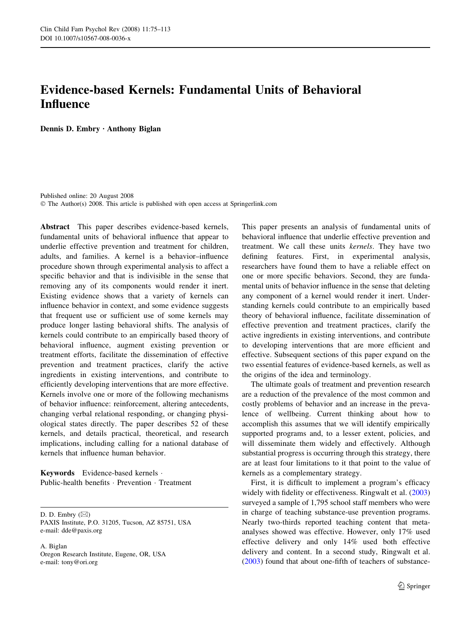# Evidence-based Kernels: Fundamental Units of Behavioral Influence

Dennis D. Embry · Anthony Biglan

Published online: 20 August 2008  $\odot$  The Author(s) 2008. This article is published with open access at Springerlink.com

Abstract This paper describes evidence-based kernels, fundamental units of behavioral influence that appear to underlie effective prevention and treatment for children, adults, and families. A kernel is a behavior–influence procedure shown through experimental analysis to affect a specific behavior and that is indivisible in the sense that removing any of its components would render it inert. Existing evidence shows that a variety of kernels can influence behavior in context, and some evidence suggests that frequent use or sufficient use of some kernels may produce longer lasting behavioral shifts. The analysis of kernels could contribute to an empirically based theory of behavioral influence, augment existing prevention or treatment efforts, facilitate the dissemination of effective prevention and treatment practices, clarify the active ingredients in existing interventions, and contribute to efficiently developing interventions that are more effective. Kernels involve one or more of the following mechanisms of behavior influence: reinforcement, altering antecedents, changing verbal relational responding, or changing physiological states directly. The paper describes 52 of these kernels, and details practical, theoretical, and research implications, including calling for a national database of kernels that influence human behavior.

Keywords Evidence-based kernels . Public-health benefits · Prevention · Treatment

D. D. Embry  $(\boxtimes)$ 

PAXIS Institute, P.O. 31205, Tucson, AZ 85751, USA e-mail: dde@paxis.org

A. Biglan Oregon Research Institute, Eugene, OR, USA e-mail: tony@ori.org

This paper presents an analysis of fundamental units of behavioral influence that underlie effective prevention and treatment. We call these units kernels. They have two defining features. First, in experimental analysis, researchers have found them to have a reliable effect on one or more specific behaviors. Second, they are fundamental units of behavior influence in the sense that deleting any component of a kernel would render it inert. Understanding kernels could contribute to an empirically based theory of behavioral influence, facilitate dissemination of effective prevention and treatment practices, clarify the active ingredients in existing interventions, and contribute to developing interventions that are more efficient and effective. Subsequent sections of this paper expand on the two essential features of evidence-based kernels, as well as the origins of the idea and terminology.

The ultimate goals of treatment and prevention research are a reduction of the prevalence of the most common and costly problems of behavior and an increase in the prevalence of wellbeing. Current thinking about how to accomplish this assumes that we will identify empirically supported programs and, to a lesser extent, policies, and will disseminate them widely and effectively. Although substantial progress is occurring through this strategy, there are at least four limitations to it that point to the value of kernels as a complementary strategy.

First, it is difficult to implement a program's efficacy widely with fidelity or effectiveness. Ringwalt et al. ([2003\)](#page-34-0) surveyed a sample of 1,795 school staff members who were in charge of teaching substance-use prevention programs. Nearly two-thirds reported teaching content that metaanalyses showed was effective. However, only 17% used effective delivery and only 14% used both effective delivery and content. In a second study, Ringwalt et al. [\(2003](#page-34-0)) found that about one-fifth of teachers of substance-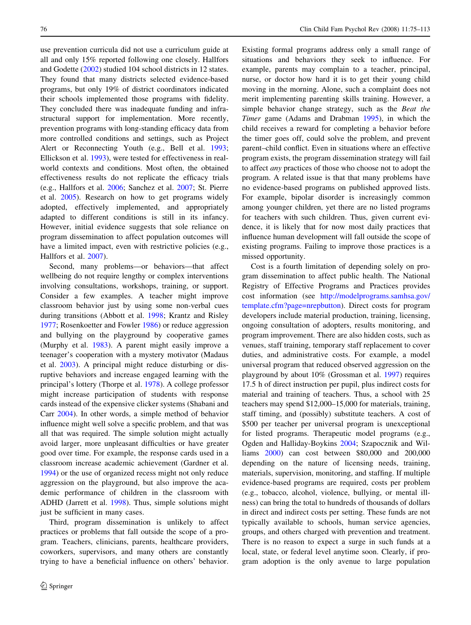use prevention curricula did not use a curriculum guide at all and only 15% reported following one closely. Hallfors and Godette [\(2002](#page-27-0)) studied 104 school districts in 12 states. They found that many districts selected evidence-based programs, but only 19% of district coordinators indicated their schools implemented those programs with fidelity. They concluded there was inadequate funding and infrastructural support for implementation. More recently, prevention programs with long-standing efficacy data from more controlled conditions and settings, such as Project Alert or Reconnecting Youth (e.g., Bell et al. [1993](#page-22-0); Ellickson et al. [1993](#page-25-0)), were tested for effectiveness in realworld contexts and conditions. Most often, the obtained effectiveness results do not replicate the efficacy trials (e.g., Hallfors et al. [2006;](#page-27-0) Sanchez et al. [2007;](#page-34-0) St. Pierre et al. [2005\)](#page-36-0). Research on how to get programs widely adopted, effectively implemented, and appropriately adapted to different conditions is still in its infancy. However, initial evidence suggests that sole reliance on program dissemination to affect population outcomes will have a limited impact, even with restrictive policies (e.g., Hallfors et al. [2007\)](#page-27-0).

Second, many problems—or behaviors—that affect wellbeing do not require lengthy or complex interventions involving consultations, workshops, training, or support. Consider a few examples. A teacher might improve classroom behavior just by using some non-verbal cues during transitions (Abbott et al. [1998;](#page-21-0) Krantz and Risley [1977;](#page-29-0) Rosenkoetter and Fowler [1986](#page-34-0)) or reduce aggression and bullying on the playground by cooperative games (Murphy et al. [1983\)](#page-32-0). A parent might easily improve a teenager's cooperation with a mystery motivator (Madaus et al. [2003\)](#page-30-0). A principal might reduce disturbing or disruptive behaviors and increase engaged learning with the principal's lottery (Thorpe et al. [1978\)](#page-37-0). A college professor might increase participation of students with response cards instead of the expensive clicker systems (Shabani and Carr [2004\)](#page-35-0). In other words, a simple method of behavior influence might well solve a specific problem, and that was all that was required. The simple solution might actually avoid larger, more unpleasant difficulties or have greater good over time. For example, the response cards used in a classroom increase academic achievement (Gardner et al. [1994\)](#page-26-0) or the use of organized recess might not only reduce aggression on the playground, but also improve the academic performance of children in the classroom with ADHD (Jarrett et al. [1998\)](#page-28-0). Thus, simple solutions might just be sufficient in many cases.

Third, program dissemination is unlikely to affect practices or problems that fall outside the scope of a program. Teachers, clinicians, parents, healthcare providers, coworkers, supervisors, and many others are constantly trying to have a beneficial influence on others' behavior. Existing formal programs address only a small range of situations and behaviors they seek to influence. For example, parents may complain to a teacher, principal, nurse, or doctor how hard it is to get their young child moving in the morning. Alone, such a complaint does not merit implementing parenting skills training. However, a simple behavior change strategy, such as the Beat the Timer game (Adams and Drabman [1995](#page-21-0)), in which the child receives a reward for completing a behavior before the timer goes off, could solve the problem, and prevent parent–child conflict. Even in situations where an effective program exists, the program dissemination strategy will fail to affect any practices of those who choose not to adopt the program. A related issue is that that many problems have no evidence-based programs on published approved lists. For example, bipolar disorder is increasingly common among younger children, yet there are no listed programs for teachers with such children. Thus, given current evidence, it is likely that for now most daily practices that influence human development will fall outside the scope of existing programs. Failing to improve those practices is a missed opportunity.

Cost is a fourth limitation of depending solely on program dissemination to affect public health. The National Registry of Effective Programs and Practices provides cost information (see [http://modelprograms.samhsa.gov/](http://modelprograms.samhsa.gov/template.cfm?page=nrepbutton) [template.cfm?page=nrepbutton](http://modelprograms.samhsa.gov/template.cfm?page=nrepbutton)). Direct costs for program developers include material production, training, licensing, ongoing consultation of adopters, results monitoring, and program improvement. There are also hidden costs, such as venues, staff training, temporary staff replacement to cover duties, and administrative costs. For example, a model universal program that reduced observed aggression on the playground by about 10% (Grossman et al. [1997](#page-27-0)) requires 17.5 h of direct instruction per pupil, plus indirect costs for material and training of teachers. Thus, a school with 25 teachers may spend \$12,000–15,000 for materials, training, staff timing, and (possibly) substitute teachers. A cost of \$500 per teacher per universal program is unexceptional for listed programs. Therapeutic model programs (e.g., Ogden and Halliday-Boykins [2004](#page-32-0); Szapocznik and Williams [2000](#page-36-0)) can cost between \$80,000 and 200,000 depending on the nature of licensing needs, training, materials, supervision, monitoring, and staffing. If multiple evidence-based programs are required, costs per problem (e.g., tobacco, alcohol, violence, bullying, or mental illness) can bring the total to hundreds of thousands of dollars in direct and indirect costs per setting. These funds are not typically available to schools, human service agencies, groups, and others charged with prevention and treatment. There is no reason to expect a surge in such funds at a local, state, or federal level anytime soon. Clearly, if program adoption is the only avenue to large population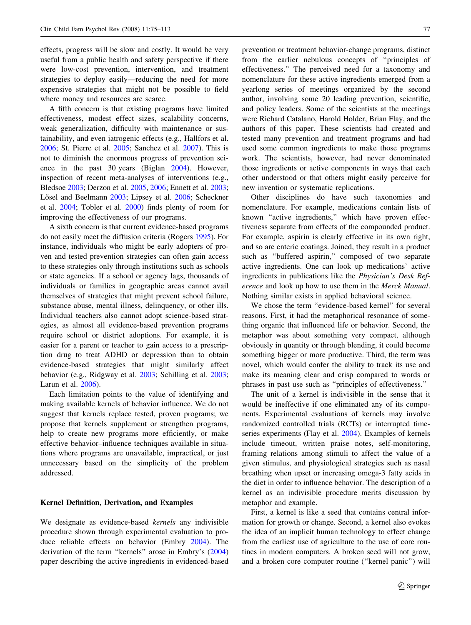effects, progress will be slow and costly. It would be very useful from a public health and safety perspective if there were low-cost prevention, intervention, and treatment strategies to deploy easily—reducing the need for more expensive strategies that might not be possible to field where money and resources are scarce.

A fifth concern is that existing programs have limited effectiveness, modest effect sizes, scalability concerns, weak generalization, difficulty with maintenance or sustainability, and even iatrogenic effects (e.g., Hallfors et al. [2006;](#page-27-0) St. Pierre et al. [2005;](#page-36-0) Sanchez et al. [2007](#page-34-0)). This is not to diminish the enormous progress of prevention science in the past 30 years (Biglan [2004](#page-22-0)). However, inspection of recent meta-analyses of interventions (e.g., Bledsoe [2003;](#page-23-0) Derzon et al. [2005](#page-24-0), [2006;](#page-24-0) Ennett et al. [2003](#page-25-0); Lősel and Beelmann [2003](#page-30-0); Lipsey et al. [2006;](#page-30-0) Scheckner et al. [2004;](#page-35-0) Tobler et al. [2000\)](#page-37-0) finds plenty of room for improving the effectiveness of our programs.

A sixth concern is that current evidence-based programs do not easily meet the diffusion criteria (Rogers [1995\)](#page-34-0). For instance, individuals who might be early adopters of proven and tested prevention strategies can often gain access to these strategies only through institutions such as schools or state agencies. If a school or agency lags, thousands of individuals or families in geographic areas cannot avail themselves of strategies that might prevent school failure, substance abuse, mental illness, delinquency, or other ills. Individual teachers also cannot adopt science-based strategies, as almost all evidence-based prevention programs require school or district adoptions. For example, it is easier for a parent or teacher to gain access to a prescription drug to treat ADHD or depression than to obtain evidence-based strategies that might similarly affect behavior (e.g., Ridgway et al. [2003;](#page-34-0) Schilling et al. [2003](#page-35-0); Larun et al. [2006\)](#page-30-0).

Each limitation points to the value of identifying and making available kernels of behavior influence. We do not suggest that kernels replace tested, proven programs; we propose that kernels supplement or strengthen programs, help to create new programs more efficiently, or make effective behavior–influence techniques available in situations where programs are unavailable, impractical, or just unnecessary based on the simplicity of the problem addressed.

#### Kernel Definition, Derivation, and Examples

We designate as evidence-based kernels any indivisible procedure shown through experimental evaluation to produce reliable effects on behavior (Embry [2004](#page-25-0)). The derivation of the term ''kernels'' arose in Embry's ([2004\)](#page-25-0) paper describing the active ingredients in evidenced-based prevention or treatment behavior-change programs, distinct from the earlier nebulous concepts of ''principles of effectiveness.'' The perceived need for a taxonomy and nomenclature for these active ingredients emerged from a yearlong series of meetings organized by the second author, involving some 20 leading prevention, scientific, and policy leaders. Some of the scientists at the meetings were Richard Catalano, Harold Holder, Brian Flay, and the authors of this paper. These scientists had created and tested many prevention and treatment programs and had used some common ingredients to make those programs work. The scientists, however, had never denominated those ingredients or active components in ways that each other understood or that others might easily perceive for new invention or systematic replications.

Other disciplines do have such taxonomies and nomenclature. For example, medications contain lists of known ''active ingredients,'' which have proven effectiveness separate from effects of the compounded product. For example, aspirin is clearly effective in its own right, and so are enteric coatings. Joined, they result in a product such as ''buffered aspirin,'' composed of two separate active ingredients. One can look up medications' active ingredients in publications like the Physician's Desk Reference and look up how to use them in the Merck Manual. Nothing similar exists in applied behavioral science.

We chose the term "evidence-based kernel" for several reasons. First, it had the metaphorical resonance of something organic that influenced life or behavior. Second, the metaphor was about something very compact, although obviously in quantity or through blending, it could become something bigger or more productive. Third, the term was novel, which would confer the ability to track its use and make its meaning clear and crisp compared to words or phrases in past use such as ''principles of effectiveness.''

The unit of a kernel is indivisible in the sense that it would be ineffective if one eliminated any of its components. Experimental evaluations of kernels may involve randomized controlled trials (RCTs) or interrupted timeseries experiments (Flay et al. [2004](#page-26-0)). Examples of kernels include timeout, written praise notes, self-monitoring, framing relations among stimuli to affect the value of a given stimulus, and physiological strategies such as nasal breathing when upset or increasing omega-3 fatty acids in the diet in order to influence behavior. The description of a kernel as an indivisible procedure merits discussion by metaphor and example.

First, a kernel is like a seed that contains central information for growth or change. Second, a kernel also evokes the idea of an implicit human technology to effect change from the earliest use of agriculture to the use of core routines in modern computers. A broken seed will not grow, and a broken core computer routine (''kernel panic'') will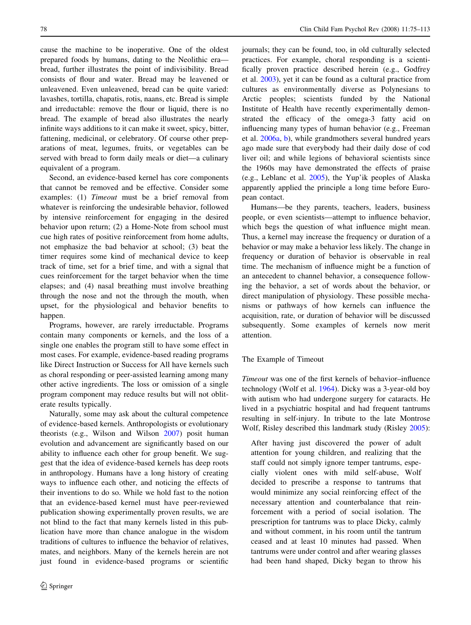cause the machine to be inoperative. One of the oldest prepared foods by humans, dating to the Neolithic era bread, further illustrates the point of indivisibility. Bread consists of flour and water. Bread may be leavened or unleavened. Even unleavened, bread can be quite varied: lavashes, tortilla, chapatis, rotis, naans, etc. Bread is simple and irreductable: remove the flour or liquid, there is no bread. The example of bread also illustrates the nearly infinite ways additions to it can make it sweet, spicy, bitter, fattening, medicinal, or celebratory. Of course other preparations of meat, legumes, fruits, or vegetables can be served with bread to form daily meals or diet—a culinary equivalent of a program.

Second, an evidence-based kernel has core components that cannot be removed and be effective. Consider some examples: (1) Timeout must be a brief removal from whatever is reinforcing the undesirable behavior, followed by intensive reinforcement for engaging in the desired behavior upon return; (2) a Home-Note from school must cue high rates of positive reinforcement from home adults, not emphasize the bad behavior at school; (3) beat the timer requires some kind of mechanical device to keep track of time, set for a brief time, and with a signal that cues reinforcement for the target behavior when the time elapses; and (4) nasal breathing must involve breathing through the nose and not the through the mouth, when upset, for the physiological and behavior benefits to happen.

Programs, however, are rarely irreductable. Programs contain many components or kernels, and the loss of a single one enables the program still to have some effect in most cases. For example, evidence-based reading programs like Direct Instruction or Success for All have kernels such as choral responding or peer-assisted learning among many other active ingredients. The loss or omission of a single program component may reduce results but will not obliterate results typically.

Naturally, some may ask about the cultural competence of evidence-based kernels. Anthropologists or evolutionary theorists (e.g., Wilson and Wilson [2007](#page-37-0)) posit human evolution and advancement are significantly based on our ability to influence each other for group benefit. We suggest that the idea of evidence-based kernels has deep roots in anthropology. Humans have a long history of creating ways to influence each other, and noticing the effects of their inventions to do so. While we hold fast to the notion that an evidence-based kernel must have peer-reviewed publication showing experimentally proven results, we are not blind to the fact that many kernels listed in this publication have more than chance analogue in the wisdom traditions of cultures to influence the behavior of relatives, mates, and neighbors. Many of the kernels herein are not just found in evidence-based programs or scientific journals; they can be found, too, in old culturally selected practices. For example, choral responding is a scientifically proven practice described herein (e.g., Godfrey et al. [2003](#page-27-0)), yet it can be found as a cultural practice from cultures as environmentally diverse as Polynesians to Arctic peoples; scientists funded by the National Institute of Health have recently experimentally demonstrated the efficacy of the omega-3 fatty acid on influencing many types of human behavior (e.g., Freeman et al. [2006a,](#page-26-0) [b](#page-26-0)), while grandmothers several hundred years ago made sure that everybody had their daily dose of cod liver oil; and while legions of behavioral scientists since the 1960s may have demonstrated the effects of praise (e.g., Leblanc et al. [2005](#page-30-0)), the Yup'ik peoples of Alaska apparently applied the principle a long time before European contact.

Humans—be they parents, teachers, leaders, business people, or even scientists—attempt to influence behavior, which begs the question of what influence might mean. Thus, a kernel may increase the frequency or duration of a behavior or may make a behavior less likely. The change in frequency or duration of behavior is observable in real time. The mechanism of influence might be a function of an antecedent to channel behavior, a consequence following the behavior, a set of words about the behavior, or direct manipulation of physiology. These possible mechanisms or pathways of how kernels can influence the acquisition, rate, or duration of behavior will be discussed subsequently. Some examples of kernels now merit attention.

#### The Example of Timeout

Timeout was one of the first kernels of behavior–influence technology (Wolf et al. [1964](#page-38-0)). Dicky was a 3-year-old boy with autism who had undergone surgery for cataracts. He lived in a psychiatric hospital and had frequent tantrums resulting in self-injury. In tribute to the late Montrose Wolf, Risley described this landmark study (Risley [2005](#page-34-0)):

After having just discovered the power of adult attention for young children, and realizing that the staff could not simply ignore temper tantrums, especially violent ones with mild self-abuse, Wolf decided to prescribe a response to tantrums that would minimize any social reinforcing effect of the necessary attention and counterbalance that reinforcement with a period of social isolation. The prescription for tantrums was to place Dicky, calmly and without comment, in his room until the tantrum ceased and at least 10 minutes had passed. When tantrums were under control and after wearing glasses had been hand shaped, Dicky began to throw his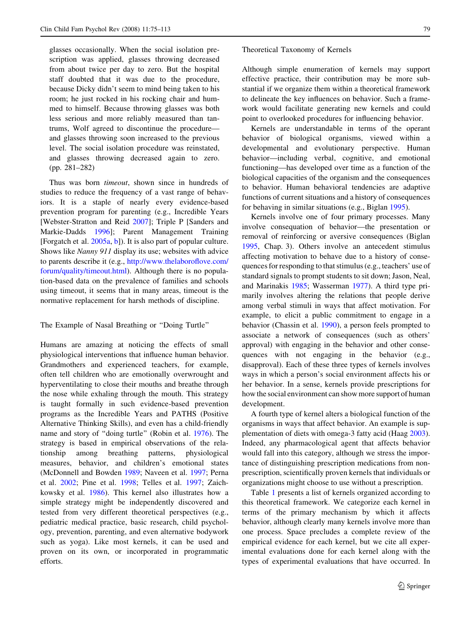glasses occasionally. When the social isolation prescription was applied, glasses throwing decreased from about twice per day to zero. But the hospital staff doubted that it was due to the procedure, because Dicky didn't seem to mind being taken to his room; he just rocked in his rocking chair and hummed to himself. Because throwing glasses was both less serious and more reliably measured than tantrums, Wolf agreed to discontinue the procedure and glasses throwing soon increased to the previous level. The social isolation procedure was reinstated, and glasses throwing decreased again to zero. (pp. 281–282)

Thus was born *timeout*, shown since in hundreds of studies to reduce the frequency of a vast range of behaviors. It is a staple of nearly every evidence-based prevention program for parenting (e.g., Incredible Years [Webster-Stratton and Reid [2007\]](#page-37-0); Triple P [Sanders and Markie-Dadds [1996](#page-35-0)]; Parent Management Training [Forgatch et al. [2005a,](#page-26-0) [b](#page-26-0)]). It is also part of popular culture. Shows like Nanny 911 display its use; websites with advice to parents describe it (e.g., [http://www.thelaboroflove.com/](http://www.thelaboroflove.com/forum/quality/timeout.html) [forum/quality/timeout.html](http://www.thelaboroflove.com/forum/quality/timeout.html)). Although there is no population-based data on the prevalence of families and schools using timeout, it seems that in many areas, timeout is the normative replacement for harsh methods of discipline.

# The Example of Nasal Breathing or ''Doing Turtle''

Humans are amazing at noticing the effects of small physiological interventions that influence human behavior. Grandmothers and experienced teachers, for example, often tell children who are emotionally overwrought and hyperventilating to close their mouths and breathe through the nose while exhaling through the mouth. This strategy is taught formally in such evidence-based prevention programs as the Incredible Years and PATHS (Positive Alternative Thinking Skills), and even has a child-friendly name and story of ''doing turtle'' (Robin et al. [1976](#page-34-0)). The strategy is based in empirical observations of the relationship among breathing patterns, physiological measures, behavior, and children's emotional states (McDonnell and Bowden [1989](#page-31-0); Naveen et al. [1997](#page-32-0); Perna et al. [2002](#page-33-0); Pine et al. [1998](#page-33-0); Telles et al. [1997](#page-36-0); Zaichkowsky et al. [1986\)](#page-38-0). This kernel also illustrates how a simple strategy might be independently discovered and tested from very different theoretical perspectives (e.g., pediatric medical practice, basic research, child psychology, prevention, parenting, and even alternative bodywork such as yoga). Like most kernels, it can be used and proven on its own, or incorporated in programmatic efforts.

## Theoretical Taxonomy of Kernels

Although simple enumeration of kernels may support effective practice, their contribution may be more substantial if we organize them within a theoretical framework to delineate the key influences on behavior. Such a framework would facilitate generating new kernels and could point to overlooked procedures for influencing behavior.

Kernels are understandable in terms of the operant behavior of biological organisms, viewed within a developmental and evolutionary perspective. Human behavior—including verbal, cognitive, and emotional functioning—has developed over time as a function of the biological capacities of the organism and the consequences to behavior. Human behavioral tendencies are adaptive functions of current situations and a history of consequences for behaving in similar situations (e.g., Biglan [1995\)](#page-22-0).

Kernels involve one of four primary processes. Many involve consequation of behavior—the presentation or removal of reinforcing or aversive consequences (Biglan [1995](#page-22-0), Chap. 3). Others involve an antecedent stimulus affecting motivation to behave due to a history of consequences for responding to that stimulus (e.g., teachers' use of standard signals to prompt students to sit down; Jason, Neal, and Marinakis [1985;](#page-29-0) Wasserman [1977\)](#page-37-0). A third type primarily involves altering the relations that people derive among verbal stimuli in ways that affect motivation. For example, to elicit a public commitment to engage in a behavior (Chassin et al. [1990](#page-23-0)), a person feels prompted to associate a network of consequences (such as others' approval) with engaging in the behavior and other consequences with not engaging in the behavior (e.g., disapproval). Each of these three types of kernels involves ways in which a person's social environment affects his or her behavior. In a sense, kernels provide prescriptions for how the social environment can show more support of human development.

A fourth type of kernel alters a biological function of the organisms in ways that affect behavior. An example is supplementation of diets with omega-3 fatty acid (Haag [2003](#page-27-0)). Indeed, any pharmacological agent that affects behavior would fall into this category, although we stress the importance of distinguishing prescription medications from nonprescription, scientifically proven kernels that individuals or organizations might choose to use without a prescription.

Table [1](#page-5-0) presents a list of kernels organized according to this theoretical framework. We categorize each kernel in terms of the primary mechanism by which it affects behavior, although clearly many kernels involve more than one process. Space precludes a complete review of the empirical evidence for each kernel, but we cite all experimental evaluations done for each kernel along with the types of experimental evaluations that have occurred. In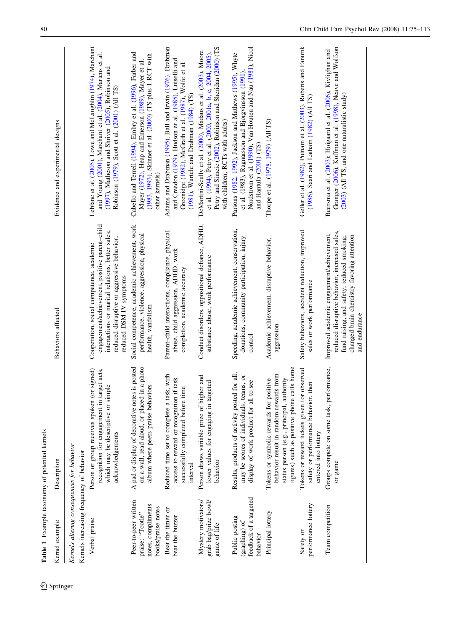<span id="page-5-0"></span>

| Table 1 Example taxonomy of potential kernels                                          |                                                                                                                                                                              |                                                                                                                                                                                                                        |                                                                                                                                                                                                                                |
|----------------------------------------------------------------------------------------|------------------------------------------------------------------------------------------------------------------------------------------------------------------------------|------------------------------------------------------------------------------------------------------------------------------------------------------------------------------------------------------------------------|--------------------------------------------------------------------------------------------------------------------------------------------------------------------------------------------------------------------------------|
| Kernel example                                                                         | Description                                                                                                                                                                  | Behaviors affected                                                                                                                                                                                                     | Evidence and experimental designs                                                                                                                                                                                              |
| Kernels altering consequences for behavior<br>Kernels increasing frequency of behavior |                                                                                                                                                                              |                                                                                                                                                                                                                        |                                                                                                                                                                                                                                |
| Verbal praise                                                                          | (or signed)<br>target acts,<br>which may be descriptive or simple<br>Person or group receives spoken<br>recognition for engagement in<br>acknowledgements                    | engagement/achievement, positive parent-child<br>interactions or marital relations, better sales;<br>reduced disruptive or aggressive behavior;<br>Cooperation, social competence, academic<br>reduced DSM-IV symptoms | Leblanc et al. (2005), Lowe and McLaughlin (1974), Marchant<br>and Young (2001), Marchant et al. (2004), Martens et al.<br>(1997), Matheson and Shriver (2005), Robinson and<br>Robinson (1979), Scott et al. (2001) (All TS)  |
| Peer-to-peer written<br>notes, compliments<br>books/praise notes<br>praise: "Tootle"   | A pad or display of decorative notes is posted<br>in a photo<br>album where peers praise behaviors<br>on a wall, read aloud, or placed                                       | Social competence, academic achievement, work<br>performance, violence, aggression, physical<br>health, vandalism                                                                                                      | Cabello and Terrell (1994), Embry et al. (1996), Farber and<br>(1983, 1993), Skinner et al. (2000) (TS plus 1 RCT with<br>Mayer (1972), Heap and Emerson (1989), Mayer et al.<br>other kernels)                                |
| Beat the timer or<br>beat the buzzer                                                   | Reduced time set to complete a task, with<br>access to reward or recognition if task<br>successfully completed before time<br>interval                                       | Parent-child interactions, compliance, physical<br>abuse, child aggression, ADHD, work<br>completion, academic accuracy                                                                                                | Adams and Drabman (1995), Ball and Irwin (1976), Drabman<br>and Creedon (1979), Hudson et al. (1985), Luiselli and<br>ನ<br>Greenidge (1982), McGrath et al. (1987), Wolfe et<br>$(1981)$ , Wurtele and Drabman $(1984)$ $(TS)$ |
| Mystery motivators/<br>grab bag/prize bowl/<br>game of life                            | Person draws variable prize of higher and<br>lower values for engaging in targeted<br>behavior                                                                               | Conduct disorders, oppositional defiance, ADHD,<br>substance abuse, work performance                                                                                                                                   | Petry and Simcic (2002), Robinson and Sheridan (2000) (TS<br>DeMartini-Scully et al. (2000), Madaus et al. (2003), Moore<br>et al. (1994), Petry et al. (2000, 2001a, b, c, 2004, 2005),<br>with children; RCTs with adults)   |
| feedback of a targeted<br>Public posting<br>(graphing) of<br>behavior                  | Results, products of activity posted for all,<br>may be scores of individuals, teams, or<br>to see<br>display of work product for all                                        | Speeding, academic achievement, conservation,<br>donations, community participation, injury<br>contro.                                                                                                                 | Nordstrom et al. (1990), Van Houten and Nau (1981), Nicol<br>Parsons (1982, 1992), Jackson and Mathews (1995), Whyte<br>et al. (1983), Ragnarsson and Bjorgvinsson (1991)<br>and Hantula (2001) (TS)                           |
| Principal lottery                                                                      | figures) such as positive phone calls home<br>behavior result in random rewards from<br>status person (e.g., principal, authority<br>Tokens or symbolic rewards for positive | Academic achievement, disruptive behavior,<br>aggression                                                                                                                                                               | Thorpe et al. (1978, 1979) (All TS)                                                                                                                                                                                            |
| performance lottery<br>Safety or                                                       | Tokens or reward tickets given for observed<br>safety or performance behavior, then<br>entered into lottery                                                                  | Safety behaviors, accident reduction, improved<br>sales or work performance                                                                                                                                            | Geller et al. (1982), Putnam et al. (2003), Roberts and Fanurik<br>(1986), Saari and Latham (1982) (All TS)                                                                                                                    |
| Team competition                                                                       | Groups compete on some task, performance,<br>or game                                                                                                                         | reduced disruptive behavior, increased sales,<br>Improved academic engagement/achievement,<br>changed brain chemistry favoring attention<br>fund raising, and safety; reduced smoking;<br>and endurance                | Granger (2006), Koffman et al. (1998), Neave and Wolfson<br>Beersma et al. (2003); Hoigaard et al. (2006), Kivlighan and<br>(2003) (All TS, and one naturalistic study)                                                        |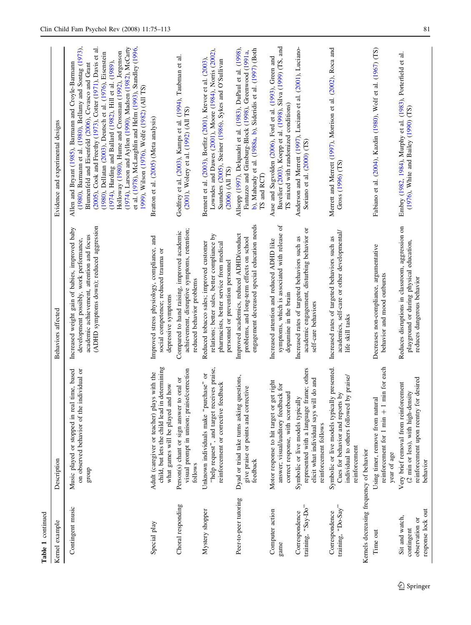| Table 1 continued                                                   |                                                                                                                                                              |                                                                                                                                                                                    |                                                                                                                                                                                                                                                                                                                                                                                                                                                                                                                                                                                                  |
|---------------------------------------------------------------------|--------------------------------------------------------------------------------------------------------------------------------------------------------------|------------------------------------------------------------------------------------------------------------------------------------------------------------------------------------|--------------------------------------------------------------------------------------------------------------------------------------------------------------------------------------------------------------------------------------------------------------------------------------------------------------------------------------------------------------------------------------------------------------------------------------------------------------------------------------------------------------------------------------------------------------------------------------------------|
| Kernel example                                                      | Description                                                                                                                                                  | Behaviors affected                                                                                                                                                                 | Evidence and experimental designs                                                                                                                                                                                                                                                                                                                                                                                                                                                                                                                                                                |
| Contingent music                                                    | time, based<br>on observed behavior of the individual or<br>Music played or stopped in real<br>group                                                         | (ADHD symptoms down); reduced aggression<br>Increased weight gain of babies, improved baby<br>academic achievement, attention and focus<br>development possibly, work performance, | et al. (1978), McLaughlin and Helm (1993), Standley (1996,<br>(1980), Barmann et al. (1980), Bellamy and Sontag (1973),<br>(2005), Cook and Freethy (1973), Cotter (1971), Davis et al.<br>(1974), Larson and Ayllon (1990), Madsen (1982), McCarty<br>Holloway (1980), Hume and Crossman (1992), Jorgenson<br>(1980), Dellatan (2003), Deutsch et al. (1976), Eisenstein<br>(1974), Harding and Ballard (1982), Hill et al. (1989),<br>Allen and Bryant (1985), Barmann and Croyle-Barmann<br>Blumenfeld and Eisenfeld (2006), Cevasco and Grant<br>1999), Wilson (1976), Wolfe (1982) (All TS) |
| Special play                                                        | child, but lets the child lead in determining<br>Adult (caregiver or teacher) plays with the<br>what games will be played and how                            | Improved stress physiology, compliance, and<br>social competence; reduced trauma or<br>depressive symptoms                                                                         | Bratton et al. (2005) (Meta analysis)                                                                                                                                                                                                                                                                                                                                                                                                                                                                                                                                                            |
| Choral responding                                                   | visual prompt in unison; praise/correction<br>Person(s) chant or sign answer to oral or<br>follows                                                           | achievement, disruptive symptoms, retention;<br>Compared to hand raising, improved academic<br>reduced behavior problems                                                           | Godfrey et al. (2003), Kamps et al. (1994), Taubman et al.<br>(2001), Wolery et al. (1992) (All TS)                                                                                                                                                                                                                                                                                                                                                                                                                                                                                              |
| Mystery shopper                                                     | "help request", and target receives praise,<br>Unknown individuals make "purchase" or<br>reinforcement or corrective feedback                                | relations; better sales, better compliance by<br>Reduced tobacco sales; improved customer<br>pharmacists, better service from medical<br>personnel or prevention personnel         | Lowndes and Dawes (2001), Moore (1984), Norris (2002),<br>Bennett et al. (2003), Borfitz (2001), Krevor et al. (2003),<br>Saunders (2005), Steiner (1986), Sykes and O'Sullivan<br>$(2006)$ $(All TS)$                                                                                                                                                                                                                                                                                                                                                                                           |
| Peer-to-peer tutoring                                               | Dyad or triad take turns asking questions,<br>give praise or points and corrective<br>feedback                                                               | engagement decreased special education needs<br>Improved academics, reduced ADHD/conduct<br>problems, and long-term effects on school                                              | Allsopp (1997), Delquadri et al. (1983), DuPaul et al. (1998),<br>b), Maheady et al. (1988a, b), Sideridis et al. (1997) (Both<br>Fantuzzo and Ginsburg-Block (1998), Greenwood (1991a,<br>TS and RCT)                                                                                                                                                                                                                                                                                                                                                                                           |
| Computer action<br>game                                             | Motor response to hit target or get right<br>answer; visual/auditory feedback for<br>correct response, with scoreboard                                       | symptoms, which is associated with release of<br>Increased attention and reduced ADHD like<br>dopamine in the brain                                                                | Bavelier (2003), Koepp et al. (1998), Silva (1999) (TS, and<br>Aase and Sagvolden (2006), Ford et al. (1993), Green and<br>TS mixed with randomized conditions)                                                                                                                                                                                                                                                                                                                                                                                                                                  |
| training, "Say-Do"<br>Correspondence                                | represented with a language frame; others<br>do and<br>Symbolic or live models typically<br>elicit what individual says will<br>reinforcement follows        | academic engagement, disturbing behavior or<br>Increased rates of targeted behaviors such as<br>self-care behaviors                                                                | Anderson and Merrett (1997), Luciano et al. (2001), Luciano-<br>Soriano et al. (2000) (TS)                                                                                                                                                                                                                                                                                                                                                                                                                                                                                                       |
| training, "Do-Say"<br>Correspondence                                | Symbolic or live models typically presented.<br>individual to others followed by praise/<br>$\overline{A}$<br>Cues for behavior and reports<br>reinforcement | academics, self-care or other developmental/<br>Increased rates of targeted behaviors such as<br>life skill tasks                                                                  | Merrett and Merrett (1997), Morrison et al. (2002), Roca and<br>Gross (1996) (TS)                                                                                                                                                                                                                                                                                                                                                                                                                                                                                                                |
| Kemels decreasing frequency of behavior                             |                                                                                                                                                              |                                                                                                                                                                                    |                                                                                                                                                                                                                                                                                                                                                                                                                                                                                                                                                                                                  |
| Time out                                                            | reinforcement for $1$ min $+ 1$ min for each<br>Using timer, remove from natura<br>year of age                                                               | Decreases non-compliance, argumentative<br>behavior and mood outbursts                                                                                                             | Fabiano et al. (2004), Kazdin (1980), Wolf et al. (1967) (TS)                                                                                                                                                                                                                                                                                                                                                                                                                                                                                                                                    |
| response lock out<br>Sit and watch,<br>observation or<br>contingent | reinforcement upon reentry for desired<br>Very brief removal from reinforcement<br>(2 min or less), with high-density<br>behavior                            | Reduces disruptions in classroom, aggression on<br>playground or during physical education,<br>reduces dangerous behavior                                                          | Embry (1982, 1984), Murphy et al. (1983), Porterfield et al.<br>(1976), White and Bailey (1990) (TS)                                                                                                                                                                                                                                                                                                                                                                                                                                                                                             |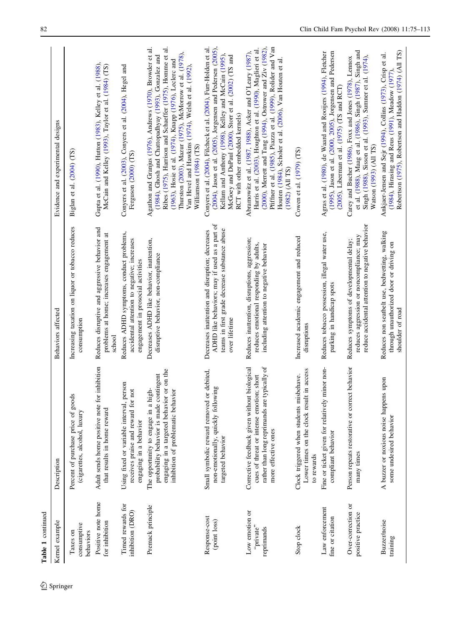| Table 1 continued                         |                                                                                                                                                                    |                                                                                                                                                                    |                                                                                                                                                                                                                                                                                                                                                                                     |
|-------------------------------------------|--------------------------------------------------------------------------------------------------------------------------------------------------------------------|--------------------------------------------------------------------------------------------------------------------------------------------------------------------|-------------------------------------------------------------------------------------------------------------------------------------------------------------------------------------------------------------------------------------------------------------------------------------------------------------------------------------------------------------------------------------|
| Kernel example                            | Description                                                                                                                                                        | <b>Behaviors</b> affected                                                                                                                                          | Evidence and experimental designs                                                                                                                                                                                                                                                                                                                                                   |
| consumptive<br>Taxes on<br>behaviors      | S<br>Percent of purchase price of good<br>(cigarettes, alcohol, luxury                                                                                             | Increasing taxation on liquor or tobacco reduces<br>consumption                                                                                                    | Biglan et al. (2004) (TS)                                                                                                                                                                                                                                                                                                                                                           |
| Positive note home<br>for inhibition      | Adult sends home positive note for inhibition<br>that results in home reward                                                                                       | Reduces disruptive and aggressive behavior and<br>problems at home; increases engagement at<br>school                                                              | Gupta et al. (1990), Hutton (1983), Kelley et al. (1988),<br>McCain and Kelley (1993), Taylor et al. (1984) (TS)                                                                                                                                                                                                                                                                    |
| Timed rewards for<br>inhibition (DRO)     | Using fixed or variable interval, person<br>receives praise and reward for not<br>engaging in a behavior                                                           | Reduces ADHD symptoms, conduct problems,<br>accidental attention to negative; increases<br>engagement in prosocial activities                                      | Conyers et al. (2003), Conyers et al. (2004), Hegel and<br>Ferguson (2000) (TS)                                                                                                                                                                                                                                                                                                     |
| Premack principle                         | engaging in a targeted behavior or on the<br>probability behavior is made contingent<br>The opportunity to engage in a high-<br>inhibition of problematic behavior | Decreases ADHD like behavior, inattention,<br>disruptive behavior, non-compliance                                                                                  | Ribes (1975), Harrison and Schaeffer (1975), Homme et al.<br>Agathon and Granjus (1976), Andrews (1970), Browder et al.<br>Thurston (2003), Mazur (1975), McMorrow et al. (1978),<br>(1984), Ghosh and Chattopadhyay (1993), Gonzalez and<br>(1963), Hosie et al. (1974), Knapp (1976), Leclerc and<br>Van Hevel and Hawkins (1974), Welsh et al. (1992),<br>Williamson (1984) (TS) |
| Response-cost<br>(point loss)             | Small symbolic reward removed or debited,<br>non-emotionally, quickly following<br>targeted behavior                                                               | ADHD like behaviors; may if used as a part of<br>teams in first grade decrease substance abuse<br>Decreases inattention and disruption; decreases<br>over lifetime | (2004), Jason et al. (2005), Jorgensen and Pedersen (2005),<br>Conyers et al. (2004), Filcheck et al. (2004), Furr-Holden et al.<br>Kellam and Anthony (1998), Kelley and McCain (1995),<br>McGoey and DuPaul (2000), Storr et al. (2002) (TS and<br>RCT with other embedded kernels)                                                                                               |
| Low emotion or<br>"private"<br>reprimands | rather than long reprimands are typically of<br>Corrective feedback given without biological<br>cues of threat or intense emotion; short<br>more effective ones    | Reduces inattention, disruptions, aggression;<br>reduces emotional responding by adults,<br>including attention to negative behavior                               | (2000), Merrett and Tang (1994), Ostrower and Ziv (1982),<br>Pfiffner et al. (1985), Piazza et al. (1999), Rolider and Van<br>Harris et al. (2003), Houghton et al. (1990), Maglieri et al.<br>Abramowitz et al. (1987, 1988), Acker and O'Leary (1987),<br>Houten (1984), Scholer et al. (2006), Van Houten et al.<br>$(1982)$ $(All TS)$                                          |
| Stop clock                                | Lower times on the clock result in access<br>Clock triggered when students misbehave.<br>to rewards                                                                | Increased academic engagement and reduced<br>disruptions                                                                                                           | Cowen et al. $(1979)$ (TS)                                                                                                                                                                                                                                                                                                                                                          |
| Law enforcement<br>fine or citation       | minor non-<br>Fine or ticket given for relatively<br>compliant behavior                                                                                            | Reduces tobacco possession, illegal water use,<br>parking in handicap spots                                                                                        | Agras et al. (1980), de Waard and Rooijers (1994), Fletcher<br>(1995), Jason et al. (2000, 2005), Jorgensen and Pedersen<br>(2005), Liberman et al. (1975) (TS and RCT)                                                                                                                                                                                                             |
| Over-correction or<br>positive practice   | Person repeats restorative or correct behavior<br>many times                                                                                                       | reduce accidental attention to negative behavior<br>reduces aggression or noncompliance; may<br>Reduces symptoms of developmental delay;                           | et al. (1988), Maag et al. (1986), Singh (1987), Singh and<br>Singh (1988), Sisson et al. (1993), Sumner et al. (1974),<br>Carey and Bucher (1986), Foxx and Jones (1978), Lemox<br>Watson (1993) (All TS)                                                                                                                                                                          |
| <b>Buzzer/noise</b><br>training           | noqu st<br>A buzzer or noxious noise happen<br>some undesired behavior                                                                                             | Reduces non seatbelt use, bedwetting, walking<br>through unauthorized door or driving on<br>shoulder of road                                                       | Robertson (1975), Robertson and Haddon (1974) (All TS)<br>Ankjaer-Jensen and Sejr (1994), Collins (1973), Crisp et al.<br>(1984), Hirasing and Reus (1991), Meadow (1977),                                                                                                                                                                                                          |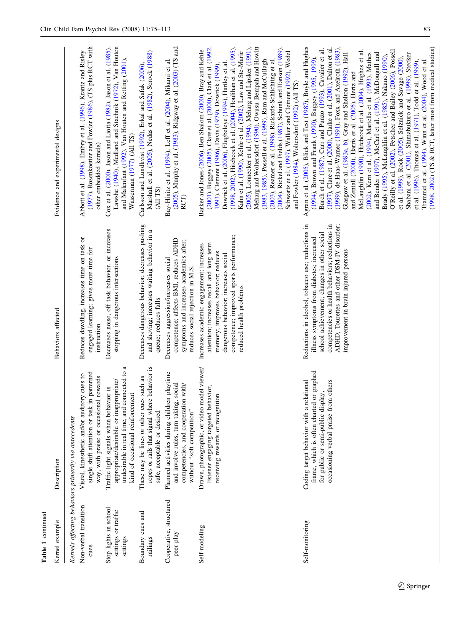Table 1 continued Table 1 continued

| Kemel example                                            | Description                                                                                                                                                           | Behaviors affected                                                                                                                                                                                                                         | Evidence and experimental designs                                                                                                                                                                                                                                                                                                                                                                                                                                                                                                                                                                                                                                                                                                                                                                              |
|----------------------------------------------------------|-----------------------------------------------------------------------------------------------------------------------------------------------------------------------|--------------------------------------------------------------------------------------------------------------------------------------------------------------------------------------------------------------------------------------------|----------------------------------------------------------------------------------------------------------------------------------------------------------------------------------------------------------------------------------------------------------------------------------------------------------------------------------------------------------------------------------------------------------------------------------------------------------------------------------------------------------------------------------------------------------------------------------------------------------------------------------------------------------------------------------------------------------------------------------------------------------------------------------------------------------------|
|                                                          | Kernels affecting behaviors primarily via antecedents                                                                                                                 |                                                                                                                                                                                                                                            |                                                                                                                                                                                                                                                                                                                                                                                                                                                                                                                                                                                                                                                                                                                                                                                                                |
| Non-verbal transition<br>cues                            | single shift attention or task in patterned<br>Visual, kinesthetic and/or auditory cues to<br>way, with praise or occasional rewards                                  | Reduces dawdling, increases time on task or<br>engaged learning; gives more time for<br>mstruction                                                                                                                                         | (1977), Rosenkoetter and Fowler (1986), (TS plus RCT with<br>Abbott et al. (1998), Embry et al. (1996), Krantz and Risley<br>other embedded kernels)                                                                                                                                                                                                                                                                                                                                                                                                                                                                                                                                                                                                                                                           |
| Stop lights in school<br>settings or traffic<br>settings | undesirable in real time, and connected to a<br>appropriate/desirable or inappropriate/<br>Traffic light signals when behavior is<br>kind of occasional reinforcement | Decreases noise, off task behavior, or increases<br>stopping in dangerous intersections                                                                                                                                                    | Lawshe (1940), Medland and Stachnik (1972), Van Houten<br>Cox et al. (2000), Jason and Liotta (1982), Jason et al. (1985),<br>and Malenfant (1992), Van Houten and Retting (2001),<br>Wasserman (1977) (All TS)                                                                                                                                                                                                                                                                                                                                                                                                                                                                                                                                                                                                |
| Boundary cues and<br>railings                            | ropes or rails that signal where behavior is<br>These may be lines or other cues such as<br>safe, acceptable or desired                                               | Decreases dangerous behavior; decreases pushing<br>and shoving; increases waiting behavior in a<br>queue; reduces falls                                                                                                                    | Marshall et al. (2005), Nedas et al. (1982), Sorock (1988)<br>Carlsson and Lundkvist (1992), Erkal and Safak (2006),<br>(All TS)                                                                                                                                                                                                                                                                                                                                                                                                                                                                                                                                                                                                                                                                               |
| Cooperative, structured<br>peer play                     | Planned activities during children playtime<br>social<br>competencies, and cooperation with/<br>and involve rules, turn taking,<br>without "soft competition"         | competence; affects BMI, reduces ADHD<br>symptoms and increases academics after;<br>Decreases aggression/increases social<br>reduces social rejection in M.S.                                                                              | (2005), Murphy et al. (1983), Ridgway et al. (2003) (TS and<br>Bay-Hinitz et al. (1994), Leff et al. (2004), Mikami et al.<br>RCT)                                                                                                                                                                                                                                                                                                                                                                                                                                                                                                                                                                                                                                                                             |
| Self-modeling                                            | Drawn, photographic, or video model viewer/<br>listener engaging targeted behavior,<br>receiving rewards or recognition                                               | competence; improved sports performance;<br>attention; increases recall and long term<br>Increases academic engagement; increases<br>memory; improves behavior; reduces<br>dangerous behavior; increases social<br>reduced health problems | (1998, 2002), Hitchcock et al. (2004), Houlihan et al. (1995),<br>Meharg and Woltersdorf (1990), Owusu-Bempah and Howitt<br>(2004), Rickel and Fields (1983), Schunk and Hanson (1989),<br>(2001), Buggey (2005), Clare et al. (2000), Clark et al. (1992,<br>(2005), Lonnecker et al. (1994), Meharg and Lipsker (1991),<br>Barker and Jones (2006), Ben Shalom (2000), Bray and Kehle<br>Kahn et al. (1990), Kehle et al. (2002), Law and Ste-Marie<br>Schwartz et al. (1997), Walker and Clement (1992), Wedel<br>(2003), Reamer et al. (1998), Rickards-Schlichting et al.<br>(1983, 1985), Possell et al. (1999), Ram and McCullagh<br>Dowrick et al. (2006), Elegbeleye (1994), Hartley et al.<br>1993), Clement (1986), Davis (1979), Dowrick (1999),<br>and Fowler (1984), Woltersdorf (1992) (All TS) |
| Self-monitoring                                          | Coding target behavior with a relational                                                                                                                              |                                                                                                                                                                                                                                            | Reductions in alcohol, tobacco use; reductions in Agran et al. (2005), Blick and Test (1987), Boyle and Hughes                                                                                                                                                                                                                                                                                                                                                                                                                                                                                                                                                                                                                                                                                                 |

(1998, 2002) (TS & RCT, latter most from medical studies) Agran et al. (2005), Blick and Test (1987), Boyle and Hughes (1999), de Haas-Warner (1991), Foxx and Axelroth (1983), Agran et al. ([2005](#page-21-0)), Blick and Test ([1987\)](#page-23-0), Boyle and Hughes ([1997](#page-23-0)), Clare et al. ([2000\)](#page-23-0), Clarke et al. [\(2001](#page-23-0)), Dalton et al. ([1999](#page-24-0)), de Haas-Warner [\(1991](#page-24-0)), Foxx and Axelroth ([1983](#page-26-0)), ([1998](#page-38-0), [2002\)](#page-38-0) (TS & RCT, latter most from medical studies) Burch et al. (1987), Carr and Punzo (1993), Cavalier et al. Burch et al. ([1987\)](#page-23-0), Carr and Punzo ([1993](#page-23-0)), Cavalier et al. (1997), Clare et al. (2000), Clarke et al. (2001), Dalton et al. McLaughlin (1990), Hitchcock et al. (2004), Hughes et al. McLaughlin ([1990\)](#page-28-0), Hitchcock et al. ([2004](#page-28-0)), Hughes et al. O'Reilly et al. ([2002\)](#page-32-0), Petscher and Bailey ([2006](#page-33-0)), Possell O'Reilly et al. (2002), Petscher and Bailey (2006), Possell Glasgow et al. (1983a, b), Gray and Shelton (1992), Hall (2002), Kern et al. (1994), Martella et al. (1993), Mathes and Bender (1997), McCarl et al. (1991), McDougall and Shabani et al. (2001), Shimabukuro et al. (1999), Stecker Glasgow et al. ([1983a](#page-27-0), [b](#page-27-0)), Gray and Shelton ([1992](#page-27-0)), Hall and Bender [\(1997](#page-31-0)), McCarl et al. ([1991\)](#page-31-0), McDougall and Shabani et al. ([2001](#page-35-0)), Shimabukuro et al. [\(1999](#page-35-0)), Stecker ([2002](#page-28-0)), Kern et al. [\(1994](#page-29-0)), Martella et al. ([1993\)](#page-31-0), Mathes Brady (1995), McLaughlin et al. (1985), Nakano (1990), et al. (1999), Rock (2005), Selznick and Savage (2000), Brady ([1995](#page-31-0)), McLaughlin et al. ([1985](#page-31-0)), Nakano ([1990\)](#page-32-0), (1994), Brown and Frank (1990), Buggey (1995, 1999), et al. ([1999](#page-33-0)), Rock [\(2005](#page-34-0)), Selznick and Savage [\(2000](#page-35-0)), ([1994](#page-23-0)), Brown and Frank ([1990](#page-23-0)), Buggey ([1995](#page-23-0), [1999\)](#page-23-0), et al. (1996), Thomas et al. (1971), Todd et al. (1999), Trammel et al. (1994), Winn et al. (2004), Wood et al. et al. ([1996](#page-36-0)), Thomas et al. ([1971](#page-37-0)), Todd et al. ([1999](#page-37-0)), Trammel et al. ([1994](#page-37-0)), Winn et al. [\(2004](#page-37-0)), Wood et al. and Zentall (2000), Harris et al. (2005), Hertz and and Zentall ([2000](#page-27-0)), Harris et al. ([2005\)](#page-27-0), Hertz and

frame, which is often charted or graphed for public or semi-public display, occasioning verbal praise from others

occasioning verbal praise from others for public or semi-public display,

frame, which is often charted or graphed

illness symptoms from diabetes; increased school achievement; changes in other social competencies or health behaviors; reductions in ADHD, Tourettes and other DSM-IV disorder; improvement in brain injured persons

competencies or health behaviors; reductions in ADHD, Tourettes and other DSM-IV disorder; school achievement; changes in other social illness symptoms from diabetes; increased

improvement in brain injured persons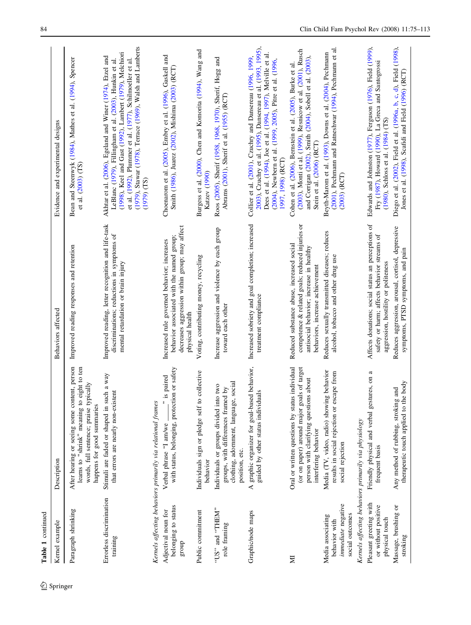| Table 1 continued                                                           |                                                                                                                                                                    |                                                                                                                                                                             |                                                                                                                                                                                                                                                                                                                              |
|-----------------------------------------------------------------------------|--------------------------------------------------------------------------------------------------------------------------------------------------------------------|-----------------------------------------------------------------------------------------------------------------------------------------------------------------------------|------------------------------------------------------------------------------------------------------------------------------------------------------------------------------------------------------------------------------------------------------------------------------------------------------------------------------|
| Kemel example                                                               | Description                                                                                                                                                        | <b>Behaviors</b> affected                                                                                                                                                   | Evidence and experimental designs                                                                                                                                                                                                                                                                                            |
| Paragraph shrinking                                                         | After hearing or seeing some content, person<br>learns to "shrink" meaning to eight to ten<br>words, full sentence; praise typically<br>happens for good summaries | Improved reading responses and retention                                                                                                                                    | Bean and Steenwyk (1984), Mathes et al. (1994), Spencer<br>et al. (2003) (TS)                                                                                                                                                                                                                                                |
| Errorless discrimination<br>training                                        | Stimuli are faded or shaped in such a way<br>that errors are nearly non-existent                                                                                   | Improved reading, letter recognition and life-task<br>discriminations; reductions in symptoms of<br>mental retardation or brain injury                                      | (1979), Stawar (1978), Terrace (1969), Walsh and Lamberts<br>(1998), Keel and Gast (1992), Lambert (1979), Melchiori<br>Akhtar et al. (2006), Egeland and Winer (1974), Etzel and<br>LeBlanc (1979), Fillingham et al. (2003), Hunkin et al.<br>et al. (1992), Plummer et al. (1977), Schilmoeller et al.<br>$(1979)$ $(TS)$ |
|                                                                             | Kernels affecting behaviors primarily via relational frames                                                                                                        |                                                                                                                                                                             |                                                                                                                                                                                                                                                                                                                              |
| belonging to status<br>Adjectival noun for<br>group                         | with status, belonging, protection or safety<br>" is paired<br>Verbal phrase "I am/we                                                                              | decreases aggression within group; may affect<br>behavior associated with the named group;<br>Increased rule governed behavior; increases<br>physical health                | Choenarom et al. (2005), Embry et al. (1996), Gaskell and<br>Smith (1986), Juarez (2002), Mishima (2003) (RCT)                                                                                                                                                                                                               |
| Public commitment                                                           | Individuals sign or pledge self to collective<br>behavior                                                                                                          | Voting, contributing money, recycling                                                                                                                                       | Burgess et al. (2000), Chen and Komorita (1994), Wang and<br>Katzev (1990)                                                                                                                                                                                                                                                   |
| "US" and "THEM"<br>role framing                                             | clothing, adornment, language, social<br>two<br>groups, with differences framed by<br>Individuals or groups divided into<br>position, etc.                         | Increase aggression and violence by each group<br>toward each other                                                                                                         | Roos (2005), Sherif (1958, 1968, 1970), Sherif, Hogg and<br>Abrams (2001), Sherif et al. (1955) (RCT)                                                                                                                                                                                                                        |
| Graphic/node maps                                                           | graphic organizer for goal-based behavior,<br>$\overline{\mathbf{s}}$<br>guided by other status individua<br>$\overline{\mathcal{L}}$                              | Increased sobriety and goal completion; increased<br>treatment compliance                                                                                                   | 2003), Czuchry et al. (1995), Dansereau et al. (1993, 1995),<br>Dees et al. (1994), Joe et al. (1994, 1997), Melville et al.<br>Collier et al. (2001), Czuchry and Dansereau (1996, 1999,<br>(2004), Newbern et al. (1999, 2005), Pitre et al. (1996,<br>1997, 1998) (RCT)                                                   |
| Σ                                                                           | Oral or written questions by status individual<br>(or on paper) around major goals of target<br>about<br>person with clarifying questions<br>interfering behavior  | competence & related goals; reduced injuries or<br>Reduced substance abuse, increased social<br>antisocial behavior; increase in healthy<br>behaviors, increase achievement | (2003), Monti et al. (1999), Resnicow et al. (2001), Rusch<br>and Corrigan (2002), Smith (2004), Sobell et al. (2003),<br>Cohen et al. (2006), Bernstein et al. (2005), Burke et al.<br>Stein et al. (2006) (RCT)                                                                                                            |
| immediate negative<br>social outcomes<br>Media associating<br>behavior with | behavior<br>results in social rejection or escape from<br>Media (TV, video, radio) showing<br>social rejection                                                     | Reduces sexually transmitted diseases; reduces<br>alcohol, tobacco and other drug use                                                                                       | (2001), Pechmann and Ratneshwar (1994), Pechmann et al.<br>Beyth-Marom et al. (1993), Downs et al. (2004), Pechmann<br>$(2003)$ (RCT)                                                                                                                                                                                        |
|                                                                             | Kernels affecting behaviors primarily via physiology                                                                                                               |                                                                                                                                                                             |                                                                                                                                                                                                                                                                                                                              |
| Pleasant greeting with<br>or without positive<br>physical touch             | Friendly physical and verbal gestures, on a<br>frequent basis                                                                                                      | Affects donations; social status an perceptions of<br>safety or harm; affects behavior streams of<br>aggression, hostility or politeness                                    | Edwards and Johnston (1977), Ferguson (1976), Field (1999),<br>Fry (1987), Howard (1990), La Greca and Santogrossi<br>(1980), Schloss et al. (1984) (TS)                                                                                                                                                                     |
| Massage, brushing or<br>stroking                                            | therapeutic touch applied to the body<br>Any method of rubbing, stroking and                                                                                       | Reduces aggression, arousal, cortisol, depressive<br>symptoms, PTSD symptoms, and pain                                                                                      | Diego et al. (2002), Field et al. (1996a, b, c, d), Field (1998),<br>Jones et al. (1998), Scafidi and Field (1996) (RCT)                                                                                                                                                                                                     |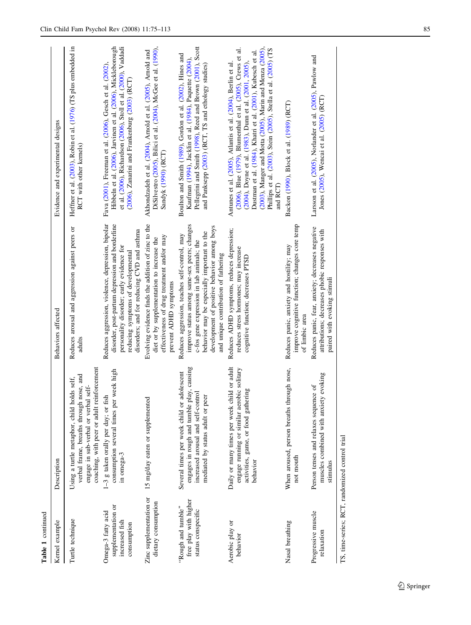| Table 1 continued                                                         |                                                                                                                                                                                |                                                                                                                                                                                                                                                                                  |                                                                                                                                                                                                                                                                                                                                                                                                |
|---------------------------------------------------------------------------|--------------------------------------------------------------------------------------------------------------------------------------------------------------------------------|----------------------------------------------------------------------------------------------------------------------------------------------------------------------------------------------------------------------------------------------------------------------------------|------------------------------------------------------------------------------------------------------------------------------------------------------------------------------------------------------------------------------------------------------------------------------------------------------------------------------------------------------------------------------------------------|
| Kernel example                                                            | Description                                                                                                                                                                    | Behaviors affected                                                                                                                                                                                                                                                               | Evidence and experimental designs                                                                                                                                                                                                                                                                                                                                                              |
| Turtle technique                                                          | coaching, with peer or adult reinforcement<br>verbal frame, breaths through nose, and<br>Using a turtle metaphor, child holds self,<br>self-<br>engage in sub-verbal or verbal | Reduces arousal and aggression against peers or<br>adults                                                                                                                                                                                                                        | Heffner et al. (2003), Robin et al. (1976) (TS plus embedded in<br>RCT with other kernels)                                                                                                                                                                                                                                                                                                     |
| supplementation or<br>Omega-3 fatty acid<br>increased fish<br>consumption | week high<br>1-3 g taken orally per day; or fish<br>consumption several times per<br>in omega-3                                                                                | Reduces aggression, violence, depression, bipolar<br>disorder, post-partum depression and borderline<br>disorders; and for reducing CVD and asthma<br>personality disorder; early evidence for<br>reducing symptoms of developmental                                             | Hibbeln et al. (2006), Jarvinen et al. (2006), Mickleborough<br>et al. (2006), Richardson (2006), Stoll et al. (2000), Vaddadi<br>Fava (2001), Freeman et al. (2006), Gesch et al. (2002),<br>(2006), Zanarini and Frankenburg (2003) (RCT)                                                                                                                                                    |
| Zinc supplementation or<br>dietary consumption                            | 15 mg/day eaten or supplemented                                                                                                                                                | Evolving evidence finds the addition of zinc to the<br>effectiveness of drug treatment and/or may<br>diet or by supplementation to increase the<br>prevent ADHD symptoms                                                                                                         | DiSilvestro (2005), Bilici et al. (2004), McGee et al. (1990),<br>Akhondzadeh et al. (2004), Arnold et al. (2005), Arnold and<br>Sandyk (1990) (RCT)                                                                                                                                                                                                                                           |
| free play with higher<br>"Rough and tumble"<br>status conspecific         | engages in rough and tumble play, causing<br>Several times per week child or adolescent<br>increased arousal and self-control<br>mediated by status adult or peer              | improve status among same-sex peers; changes<br>development of positive behavior among boys<br>behavior may be especially important to the<br>Reduces aggression, teaches self-control, may<br>c-fos gene expression in lab animals; the<br>and unique contribution of fathering | Pellegrini and Smith (1998), Reed and Brown (2001), Scott<br>Boulton and Smith (1989), Gordon et al. (2002), Hines and<br>Kaufman (1994), Jacklin et al. (1984), Paquette (2004),<br>and Panksepp (2003) (RCT, TS and ethology studies)                                                                                                                                                        |
| Aerobic play or<br>behavior                                               | Daily or many times per week child or adult<br>engage running or similar aerobic solitary<br>activities, game, or food gathering<br>behavior                                   | Reduces ADHD symptoms, reduces depression;<br>reduces stress hormones; may increase<br>cognitive function; decreases PTSD                                                                                                                                                        | (2003), Manger and Motta (2005), Marin and Menza (2005),<br>(2006), Blue (1979), Blumenthal et al. (2005), Crews et al.<br>Phillips et al. (2003), Stein (2005), Stella et al. (2005) (TS<br>Dustman et al. (1984), Khatri et al. (2001), Kubesch et al.<br>(2004), Doyne et al. (1983), Dunn et al. (2001, 2005),<br>Antunes et al. (2005), Atlantis et al. (2004), Berlin et al.<br>and RCT) |
| Nasal breathing                                                           | When aroused, person breaths through nose,<br>not mouth                                                                                                                        | improve cognitive function; changes core temp<br>Reduces panic, anxiety and hostility; may<br>of limbic area                                                                                                                                                                     | Backon (1990), Block et al. (1989) (RCT)                                                                                                                                                                                                                                                                                                                                                       |
| Progressive muscle<br>relaxation                                          | evoking<br>Person tenses and relaxes sequence of<br>muscles combined with anxiety<br>stimulus                                                                                  | Reduces panic, fear, anxiety; decreases negative<br>attributions; decreases phobic responses with<br>paired with evoking stimuli                                                                                                                                                 | Larsson et al. (2005), Norlander et al. (2005), Pawlow and<br>Jones (2005), Wencai et al. (2005) (RCT)                                                                                                                                                                                                                                                                                         |
| TS, time-series; RCT, randomized control trial                            |                                                                                                                                                                                |                                                                                                                                                                                                                                                                                  |                                                                                                                                                                                                                                                                                                                                                                                                |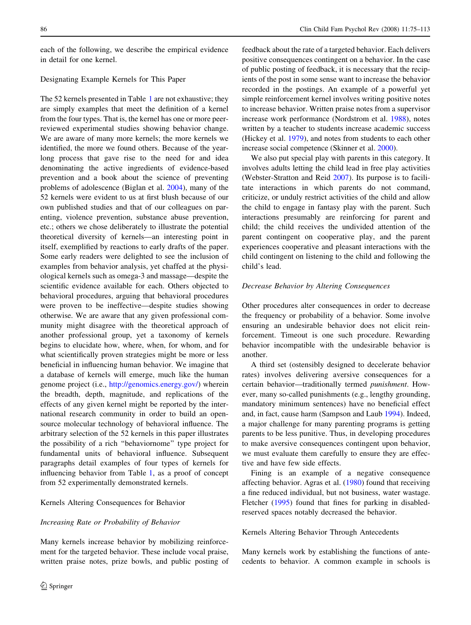each of the following, we describe the empirical evidence in detail for one kernel.

# Designating Example Kernels for This Paper

The 52 kernels presented in Table [1](#page-5-0) are not exhaustive; they are simply examples that meet the definition of a kernel from the four types. That is, the kernel has one or more peerreviewed experimental studies showing behavior change. We are aware of many more kernels; the more kernels we identified, the more we found others. Because of the yearlong process that gave rise to the need for and idea denominating the active ingredients of evidence-based prevention and a book about the science of preventing problems of adolescence (Biglan et al. [2004](#page-22-0)), many of the 52 kernels were evident to us at first blush because of our own published studies and that of our colleagues on parenting, violence prevention, substance abuse prevention, etc.; others we chose deliberately to illustrate the potential theoretical diversity of kernels—an interesting point in itself, exemplified by reactions to early drafts of the paper. Some early readers were delighted to see the inclusion of examples from behavior analysis, yet chaffed at the physiological kernels such as omega-3 and massage—despite the scientific evidence available for each. Others objected to behavioral procedures, arguing that behavioral procedures were proven to be ineffective—despite studies showing otherwise. We are aware that any given professional community might disagree with the theoretical approach of another professional group, yet a taxonomy of kernels begins to elucidate how, where, when, for whom, and for what scientifically proven strategies might be more or less beneficial in influencing human behavior. We imagine that a database of kernels will emerge, much like the human genome project (i.e., <http://genomics.energy.gov/>) wherein the breadth, depth, magnitude, and replications of the effects of any given kernel might be reported by the international research community in order to build an opensource molecular technology of behavioral influence. The arbitrary selection of the 52 kernels in this paper illustrates the possibility of a rich ''behaviornome'' type project for fundamental units of behavioral influence. Subsequent paragraphs detail examples of four types of kernels for influencing behavior from Table [1](#page-5-0), as a proof of concept from 52 experimentally demonstrated kernels.

# Kernels Altering Consequences for Behavior

## Increasing Rate or Probability of Behavior

Many kernels increase behavior by mobilizing reinforcement for the targeted behavior. These include vocal praise, written praise notes, prize bowls, and public posting of

feedback about the rate of a targeted behavior. Each delivers positive consequences contingent on a behavior. In the case of public posting of feedback, it is necessary that the recipients of the post in some sense want to increase the behavior recorded in the postings. An example of a powerful yet simple reinforcement kernel involves writing positive notes to increase behavior. Written praise notes from a supervisor increase work performance (Nordstrom et al. [1988\)](#page-32-0), notes written by a teacher to students increase academic success (Hickey et al. [1979](#page-28-0)), and notes from students to each other increase social competence (Skinner et al. [2000](#page-35-0)).

We also put special play with parents in this category. It involves adults letting the child lead in free play activities (Webster-Stratton and Reid [2007](#page-37-0)). Its purpose is to facilitate interactions in which parents do not command, criticize, or unduly restrict activities of the child and allow the child to engage in fantasy play with the parent. Such interactions presumably are reinforcing for parent and child; the child receives the undivided attention of the parent contingent on cooperative play, and the parent experiences cooperative and pleasant interactions with the child contingent on listening to the child and following the child's lead.

## Decrease Behavior by Altering Consequences

Other procedures alter consequences in order to decrease the frequency or probability of a behavior. Some involve ensuring an undesirable behavior does not elicit reinforcement. Timeout is one such procedure. Rewarding behavior incompatible with the undesirable behavior is another.

A third set (ostensibly designed to decelerate behavior rates) involves delivering aversive consequences for a certain behavior—traditionally termed punishment. However, many so-called punishments (e.g., lengthy grounding, mandatory minimum sentences) have no beneficial effect and, in fact, cause harm (Sampson and Laub [1994](#page-34-0)). Indeed, a major challenge for many parenting programs is getting parents to be less punitive. Thus, in developing procedures to make aversive consequences contingent upon behavior, we must evaluate them carefully to ensure they are effective and have few side effects.

Fining is an example of a negative consequence affecting behavior. Agras et al. [\(1980](#page-21-0)) found that receiving a fine reduced individual, but not business, water wastage. Fletcher ([1995\)](#page-26-0) found that fines for parking in disabledreserved spaces notably decreased the behavior.

Kernels Altering Behavior Through Antecedents

Many kernels work by establishing the functions of antecedents to behavior. A common example in schools is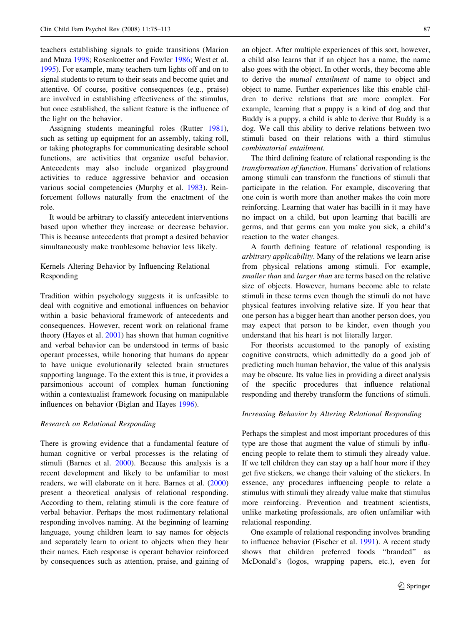teachers establishing signals to guide transitions (Marion and Muza [1998;](#page-31-0) Rosenkoetter and Fowler [1986;](#page-34-0) West et al. [1995\)](#page-37-0). For example, many teachers turn lights off and on to signal students to return to their seats and become quiet and attentive. Of course, positive consequences (e.g., praise) are involved in establishing effectiveness of the stimulus, but once established, the salient feature is the influence of the light on the behavior.

Assigning students meaningful roles (Rutter [1981](#page-34-0)), such as setting up equipment for an assembly, taking roll, or taking photographs for communicating desirable school functions, are activities that organize useful behavior. Antecedents may also include organized playground activities to reduce aggressive behavior and occasion various social competencies (Murphy et al. [1983\)](#page-32-0). Reinforcement follows naturally from the enactment of the role.

It would be arbitrary to classify antecedent interventions based upon whether they increase or decrease behavior. This is because antecedents that prompt a desired behavior simultaneously make troublesome behavior less likely.

# Kernels Altering Behavior by Influencing Relational Responding

Tradition within psychology suggests it is unfeasible to deal with cognitive and emotional influences on behavior within a basic behavioral framework of antecedents and consequences. However, recent work on relational frame theory (Hayes et al. [2001](#page-27-0)) has shown that human cognitive and verbal behavior can be understood in terms of basic operant processes, while honoring that humans do appear to have unique evolutionarily selected brain structures supporting language. To the extent this is true, it provides a parsimonious account of complex human functioning within a contextualist framework focusing on manipulable influences on behavior (Biglan and Hayes [1996\)](#page-22-0).

## Research on Relational Responding

There is growing evidence that a fundamental feature of human cognitive or verbal processes is the relating of stimuli (Barnes et al. [2000\)](#page-22-0). Because this analysis is a recent development and likely to be unfamiliar to most readers, we will elaborate on it here. Barnes et al. ([2000\)](#page-22-0) present a theoretical analysis of relational responding. According to them, relating stimuli is the core feature of verbal behavior. Perhaps the most rudimentary relational responding involves naming. At the beginning of learning language, young children learn to say names for objects and separately learn to orient to objects when they hear their names. Each response is operant behavior reinforced by consequences such as attention, praise, and gaining of an object. After multiple experiences of this sort, however, a child also learns that if an object has a name, the name also goes with the object. In other words, they become able to derive the mutual entailment of name to object and object to name. Further experiences like this enable children to derive relations that are more complex. For example, learning that a puppy is a kind of dog and that Buddy is a puppy, a child is able to derive that Buddy is a dog. We call this ability to derive relations between two stimuli based on their relations with a third stimulus combinatorial entailment.

The third defining feature of relational responding is the transformation of function. Humans' derivation of relations among stimuli can transform the functions of stimuli that participate in the relation. For example, discovering that one coin is worth more than another makes the coin more reinforcing. Learning that water has bacilli in it may have no impact on a child, but upon learning that bacilli are germs, and that germs can you make you sick, a child's reaction to the water changes.

A fourth defining feature of relational responding is arbitrary applicability. Many of the relations we learn arise from physical relations among stimuli. For example, smaller than and larger than are terms based on the relative size of objects. However, humans become able to relate stimuli in these terms even though the stimuli do not have physical features involving relative size. If you hear that one person has a bigger heart than another person does, you may expect that person to be kinder, even though you understand that his heart is not literally larger.

For theorists accustomed to the panoply of existing cognitive constructs, which admittedly do a good job of predicting much human behavior, the value of this analysis may be obscure. Its value lies in providing a direct analysis of the specific procedures that influence relational responding and thereby transform the functions of stimuli.

## Increasing Behavior by Altering Relational Responding

Perhaps the simplest and most important procedures of this type are those that augment the value of stimuli by influencing people to relate them to stimuli they already value. If we tell children they can stay up a half hour more if they get five stickers, we change their valuing of the stickers. In essence, any procedures influencing people to relate a stimulus with stimuli they already value make that stimulus more reinforcing. Prevention and treatment scientists, unlike marketing professionals, are often unfamiliar with relational responding.

One example of relational responding involves branding to influence behavior (Fischer et al. [1991](#page-26-0)). A recent study shows that children preferred foods ''branded'' as McDonald's (logos, wrapping papers, etc.), even for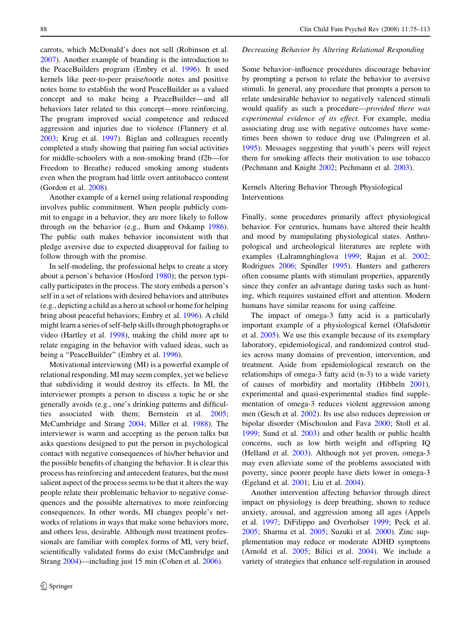carrots, which McDonald's does not sell (Robinson et al. [2007\)](#page-34-0). Another example of branding is the introduction to the PeaceBuilders program (Embry et al. [1996](#page-25-0)). It used kernels like peer-to-peer praise/tootle notes and positive notes home to establish the word PeaceBuilder as a valued concept and to make being a PeaceBuilder—and all behaviors later related to this concept—more reinforcing. The program improved social competence and reduced aggression and injuries due to violence (Flannery et al. [2003;](#page-26-0) Krug et al. [1997\)](#page-29-0). Biglan and colleagues recently completed a study showing that pairing fun social activities for middle-schoolers with a non-smoking brand (f2b—for Freedom to Breathe) reduced smoking among students even when the program had little overt antitobacco content (Gordon et al. [2008\)](#page-27-0).

Another example of a kernel using relational responding involves public commitment. When people publicly commit to engage in a behavior, they are more likely to follow through on the behavior (e.g., Burn and Oskamp [1986](#page-23-0)). The public oath makes behavior inconsistent with that pledge aversive due to expected disapproval for failing to follow through with the promise.

In self-modeling, the professional helps to create a story about a person's behavior (Hosford [1980\)](#page-28-0); the person typically participates in the process. The story embeds a person's self in a set of relations with desired behaviors and attributes (e.g., depicting a child as a hero at school or home for helping bring about peaceful behaviors; Embry et al. [1996](#page-25-0)). A child might learn a series of self-help skills through photographs or video (Hartley et al. [1998](#page-27-0)), making the child more apt to relate engaging in the behavior with valued ideas, such as being a "PeaceBuilder" (Embry et al. [1996\)](#page-25-0).

Motivational interviewing (MI) is a powerful example of relational responding. MI may seem complex, yet we believe that subdividing it would destroy its effects. In MI, the interviewer prompts a person to discuss a topic he or she generally avoids (e.g., one's drinking patterns and difficulties associated with them; Bernstein et al. [2005](#page-22-0); McCambridge and Strang [2004](#page-31-0); Miller et al. [1988](#page-32-0)). The interviewer is warm and accepting as the person talks but asks questions designed to put the person in psychological contact with negative consequences of his/her behavior and the possible benefits of changing the behavior. It is clear this process has reinforcing and antecedent features, but the most salient aspect of the process seems to be that it alters the way people relate their problematic behavior to negative consequences and the possible alternatives to more reinforcing consequences. In other words, MI changes people's networks of relations in ways that make some behaviors more, and others less, desirable. Although most treatment professionals are familiar with complex forms of MI, very brief, scientifically validated forms do exist (McCambridge and Strang [2004\)](#page-31-0)—including just 15 min (Cohen et al. [2006](#page-24-0)).

#### Decreasing Behavior by Altering Relational Responding

Some behavior–influence procedures discourage behavior by prompting a person to relate the behavior to aversive stimuli. In general, any procedure that prompts a person to relate undesirable behavior to negatively valenced stimuli would qualify as such a procedure—provided there was experimental evidence of its effect. For example, media associating drug use with negative outcomes have sometimes been shown to reduce drug use (Palmgreen et al. [1995](#page-32-0)). Messages suggesting that youth's peers will reject them for smoking affects their motivation to use tobacco (Pechmann and Knight [2002](#page-33-0); Pechmann et al. [2003](#page-33-0)).

Kernels Altering Behavior Through Physiological Interventions

Finally, some procedures primarily affect physiological behavior. For centuries, humans have altered their health and mood by manipulating physiological states. Anthropological and archeological literatures are replete with examples (Lalramnghinglova [1999;](#page-30-0) Rajan et al. [2002](#page-34-0); Rodrigues [2006](#page-34-0); Spindler [1995\)](#page-36-0). Hunters and gatherers often consume plants with stimulant properties, apparently since they confer an advantage during tasks such as hunting, which requires sustained effort and attention. Modern humans have similar reasons for using caffeine.

The impact of omega-3 fatty acid is a particularly important example of a physiological kernel (Olafsdottir et al. [2005](#page-32-0)). We use this example because of its exemplary laboratory, epidemiological, and randomized control studies across many domains of prevention, intervention, and treatment. Aside from epidemiological research on the relationships of omega-3 fatty acid (n-3) to a wide variety of causes of morbidity and mortality (Hibbeln [2001](#page-28-0)), experimental and quasi-experimental studies find supplementation of omega-3 reduces violent aggression among men (Gesch et al. [2002](#page-27-0)). Its use also reduces depression or bipolar disorder (Mischoulon and Fava [2000;](#page-32-0) Stoll et al. [1999](#page-36-0); Sund et al. [2003\)](#page-36-0) and other health or public health concerns, such as low birth weight and offspring IQ (Helland et al. [2003\)](#page-27-0). Although not yet proven, omega-3 may even alleviate some of the problems associated with poverty, since poorer people have diets lower in omega-3 (Egeland et al. [2001](#page-25-0); Liu et al. [2004](#page-30-0)).

Another intervention affecting behavior through direct impact on physiology is deep breathing, shown to reduce anxiety, arousal, and aggression among all ages (Appels et al. [1997](#page-22-0); DiFilippo and Overholser [1999;](#page-25-0) Peck et al. [2005](#page-33-0); Sharma et al. [2005;](#page-35-0) Suzuki et al. [2000\)](#page-36-0). Zinc supplementation may reduce or moderate ADHD symptoms (Arnold et al. [2005;](#page-22-0) Bilici et al. [2004\)](#page-22-0). We include a variety of strategies that enhance self-regulation in aroused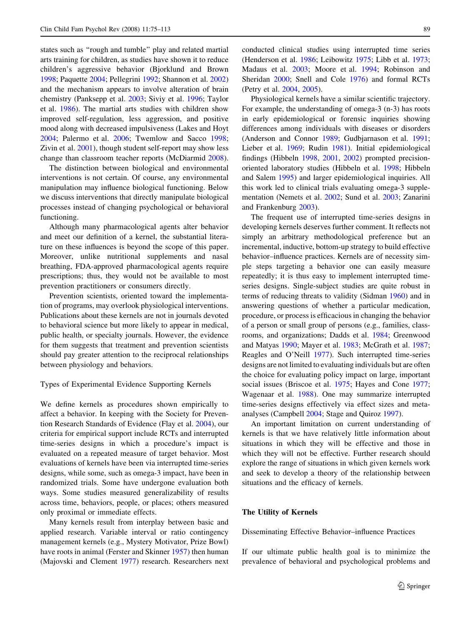states such as ''rough and tumble'' play and related martial arts training for children, as studies have shown it to reduce children's aggressive behavior (Bjorklund and Brown [1998;](#page-22-0) Paquette [2004](#page-32-0); Pellegrini [1992](#page-33-0); Shannon et al. [2002\)](#page-35-0) and the mechanism appears to involve alteration of brain chemistry (Panksepp et al. [2003](#page-32-0); Siviy et al. [1996](#page-35-0); Taylor et al. [1986\)](#page-36-0). The martial arts studies with children show improved self-regulation, less aggression, and positive mood along with decreased impulsiveness (Lakes and Hoyt [2004;](#page-29-0) Palermo et al. [2006](#page-32-0); Twemlow and Sacco [1998](#page-37-0); Zivin et al. [2001\)](#page-38-0), though student self-report may show less change than classroom teacher reports (McDiarmid [2008](#page-31-0)).

The distinction between biological and environmental interventions is not certain. Of course, any environmental manipulation may influence biological functioning. Below we discuss interventions that directly manipulate biological processes instead of changing psychological or behavioral functioning.

Although many pharmacological agents alter behavior and meet our definition of a kernel, the substantial literature on these influences is beyond the scope of this paper. Moreover, unlike nutritional supplements and nasal breathing, FDA-approved pharmacological agents require prescriptions; thus, they would not be available to most prevention practitioners or consumers directly.

Prevention scientists, oriented toward the implementation of programs, may overlook physiological interventions. Publications about these kernels are not in journals devoted to behavioral science but more likely to appear in medical, public health, or specialty journals. However, the evidence for them suggests that treatment and prevention scientists should pay greater attention to the reciprocal relationships between physiology and behaviors.

#### Types of Experimental Evidence Supporting Kernels

We define kernels as procedures shown empirically to affect a behavior. In keeping with the Society for Prevention Research Standards of Evidence (Flay et al. [2004](#page-26-0)), our criteria for empirical support include RCTs and interrupted time-series designs in which a procedure's impact is evaluated on a repeated measure of target behavior. Most evaluations of kernels have been via interrupted time-series designs, while some, such as omega-3 impact, have been in randomized trials. Some have undergone evaluation both ways. Some studies measured generalizability of results across time, behaviors, people, or places; others measured only proximal or immediate effects.

Many kernels result from interplay between basic and applied research. Variable interval or ratio contingency management kernels (e.g., Mystery Motivator, Prize Bowl) have roots in animal (Ferster and Skinner [1957\)](#page-26-0) then human (Majovski and Clement [1977](#page-30-0)) research. Researchers next conducted clinical studies using interrupted time series (Henderson et al. [1986;](#page-28-0) Leibowitz [1975;](#page-30-0) Libb et al. [1973](#page-30-0); Madaus et al. [2003;](#page-30-0) Moore et al. [1994](#page-32-0); Robinson and Sheridan [2000](#page-34-0); Snell and Cole [1976](#page-36-0)) and formal RCTs (Petry et al. [2004,](#page-33-0) [2005](#page-33-0)).

Physiological kernels have a similar scientific trajectory. For example, the understanding of omega-3 (n-3) has roots in early epidemiological or forensic inquiries showing differences among individuals with diseases or disorders (Anderson and Connor [1989](#page-22-0); Gudbjarnason et al. [1991](#page-27-0); Lieber et al. [1969;](#page-30-0) Rudin [1981\)](#page-34-0). Initial epidemiological findings (Hibbeln [1998,](#page-28-0) [2001](#page-28-0), [2002\)](#page-28-0) prompted precisionoriented laboratory studies (Hibbeln et al. [1998;](#page-28-0) Hibbeln and Salem [1995](#page-28-0)) and larger epidemiological inquiries. All this work led to clinical trials evaluating omega-3 supplementation (Nemets et al. [2002](#page-32-0); Sund et al. [2003](#page-36-0); Zanarini and Frankenburg [2003](#page-38-0)).

The frequent use of interrupted time-series designs in developing kernels deserves further comment. It reflects not simply an arbitrary methodological preference but an incremental, inductive, bottom-up strategy to build effective behavior–influence practices. Kernels are of necessity simple steps targeting a behavior one can easily measure repeatedly; it is thus easy to implement interrupted timeseries designs. Single-subject studies are quite robust in terms of reducing threats to validity (Sidman [1960\)](#page-35-0) and in answering questions of whether a particular medication, procedure, or process is efficacious in changing the behavior of a person or small group of persons (e.g., families, classrooms, and organizations; Dadds et al. [1984;](#page-24-0) Greenwood and Matyas [1990;](#page-27-0) Mayer et al. [1983;](#page-31-0) McGrath et al. [1987](#page-31-0); Reagles and O'Neill [1977\)](#page-34-0). Such interrupted time-series designs are not limited to evaluating individuals but are often the choice for evaluating policy impact on large, important social issues (Briscoe et al. [1975;](#page-23-0) Hayes and Cone [1977](#page-27-0); Wagenaar et al. [1988\)](#page-37-0). One may summarize interrupted time-series designs effectively via effect sizes and metaanalyses (Campbell [2004](#page-23-0); Stage and Quiroz [1997\)](#page-36-0).

An important limitation on current understanding of kernels is that we have relatively little information about situations in which they will be effective and those in which they will not be effective. Further research should explore the range of situations in which given kernels work and seek to develop a theory of the relationship between situations and the efficacy of kernels.

# The Utility of Kernels

Disseminating Effective Behavior–influence Practices

If our ultimate public health goal is to minimize the prevalence of behavioral and psychological problems and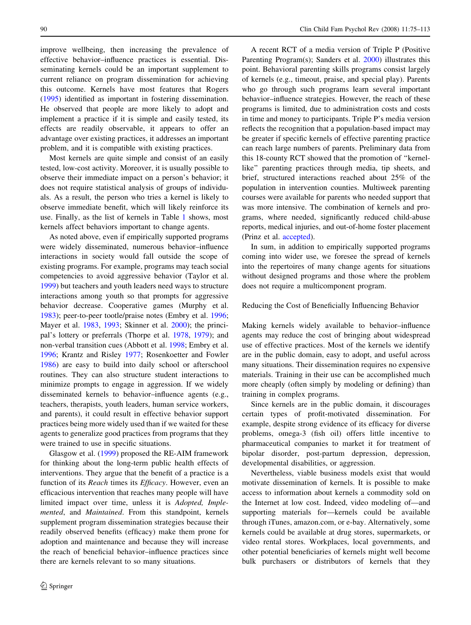improve wellbeing, then increasing the prevalence of effective behavior–influence practices is essential. Disseminating kernels could be an important supplement to current reliance on program dissemination for achieving this outcome. Kernels have most features that Rogers [\(1995](#page-34-0)) identified as important in fostering dissemination. He observed that people are more likely to adopt and implement a practice if it is simple and easily tested, its effects are readily observable, it appears to offer an advantage over existing practices, it addresses an important problem, and it is compatible with existing practices.

Most kernels are quite simple and consist of an easily tested, low-cost activity. Moreover, it is usually possible to observe their immediate impact on a person's behavior; it does not require statistical analysis of groups of individuals. As a result, the person who tries a kernel is likely to observe immediate benefit, which will likely reinforce its use. Finally, as the list of kernels in Table [1](#page-5-0) shows, most kernels affect behaviors important to change agents.

As noted above, even if empirically supported programs were widely disseminated, numerous behavior–influence interactions in society would fall outside the scope of existing programs. For example, programs may teach social competencies to avoid aggressive behavior (Taylor et al. [1999\)](#page-36-0) but teachers and youth leaders need ways to structure interactions among youth so that prompts for aggressive behavior decrease. Cooperative games (Murphy et al. [1983\)](#page-32-0); peer-to-peer tootle/praise notes (Embry et al. [1996](#page-25-0); Mayer et al. [1983,](#page-31-0) [1993](#page-31-0); Skinner et al. [2000\)](#page-35-0); the principal's lottery or preferrals (Thorpe et al. [1978,](#page-37-0) [1979\)](#page-37-0); and non-verbal transition cues (Abbott et al. [1998;](#page-21-0) Embry et al. [1996;](#page-25-0) Krantz and Risley [1977](#page-29-0); Rosenkoetter and Fowler [1986\)](#page-34-0) are easy to build into daily school or afterschool routines. They can also structure student interactions to minimize prompts to engage in aggression. If we widely disseminated kernels to behavior–influence agents (e.g., teachers, therapists, youth leaders, human service workers, and parents), it could result in effective behavior support practices being more widely used than if we waited for these agents to generalize good practices from programs that they were trained to use in specific situations.

Glasgow et al. ([1999\)](#page-27-0) proposed the RE-AIM framework for thinking about the long-term public health effects of interventions. They argue that the benefit of a practice is a function of its Reach times its Efficacy. However, even an efficacious intervention that reaches many people will have limited impact over time, unless it is Adopted, Implemented, and Maintained. From this standpoint, kernels supplement program dissemination strategies because their readily observed benefits (efficacy) make them prone for adoption and maintenance and because they will increase the reach of beneficial behavior–influence practices since there are kernels relevant to so many situations.

A recent RCT of a media version of Triple P (Positive Parenting Program(s); Sanders et al. [2000\)](#page-35-0) illustrates this point. Behavioral parenting skills programs consist largely of kernels (e.g., timeout, praise, and special play). Parents who go through such programs learn several important behavior–influence strategies. However, the reach of these programs is limited, due to administration costs and costs in time and money to participants. Triple P's media version reflects the recognition that a population-based impact may be greater if specific kernels of effective parenting practice can reach large numbers of parents. Preliminary data from this 18-county RCT showed that the promotion of ''kernellike'' parenting practices through media, tip sheets, and brief, structured interactions reached about 25% of the population in intervention counties. Multiweek parenting courses were available for parents who needed support that was more intensive. The combination of kernels and programs, where needed, significantly reduced child-abuse reports, medical injuries, and out-of-home foster placement (Prinz et al. [accepted\)](#page-33-0).

In sum, in addition to empirically supported programs coming into wider use, we foresee the spread of kernels into the repertoires of many change agents for situations without designed programs and those where the problem does not require a multicomponent program.

# Reducing the Cost of Beneficially Influencing Behavior

Making kernels widely available to behavior–influence agents may reduce the cost of bringing about widespread use of effective practices. Most of the kernels we identify are in the public domain, easy to adopt, and useful across many situations. Their dissemination requires no expensive materials. Training in their use can be accomplished much more cheaply (often simply by modeling or defining) than training in complex programs.

Since kernels are in the public domain, it discourages certain types of profit-motivated dissemination. For example, despite strong evidence of its efficacy for diverse problems, omega-3 (fish oil) offers little incentive to pharmaceutical companies to market it for treatment of bipolar disorder, post-partum depression, depression, developmental disabilities, or aggression.

Nevertheless, viable business models exist that would motivate dissemination of kernels. It is possible to make access to information about kernels a commodity sold on the Internet at low cost. Indeed, video modeling of—and supporting materials for—kernels could be available through iTunes, amazon.com, or e-bay. Alternatively, some kernels could be available at drug stores, supermarkets, or video rental stores. Workplaces, local governments, and other potential beneficiaries of kernels might well become bulk purchasers or distributors of kernels that they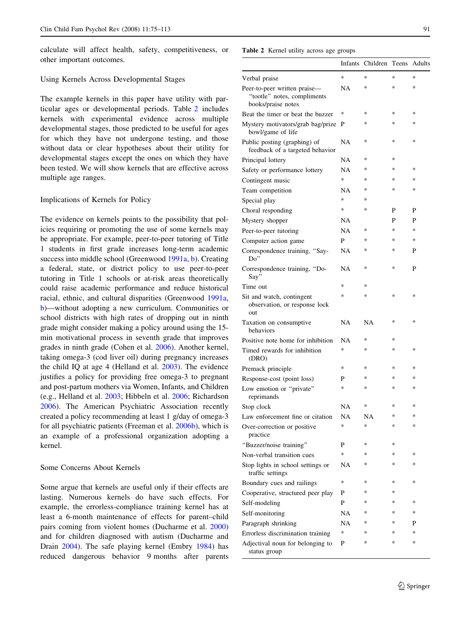calculate will affect health, safety, competitiveness, or other important outcomes.

## Using Kernels Across Developmental Stages

The example kernels in this paper have utility with particular ages or developmental periods. Table 2 includes kernels with experimental evidence across multiple developmental stages, those predicted to be useful for ages for which they have not undergone testing, and those without data or clear hypotheses about their utility for developmental stages except the ones on which they have been tested. We will show kernels that are effective across multiple age ranges.

### Implications of Kernels for Policy

The evidence on kernels points to the possibility that policies requiring or promoting the use of some kernels may be appropriate. For example, peer-to-peer tutoring of Title 1 students in first grade increases long-term academic success into middle school (Greenwood [1991a,](#page-27-0) [b](#page-27-0)). Creating a federal, state, or district policy to use peer-to-peer tutoring in Title 1 schools or at-risk areas theoretically could raise academic performance and reduce historical racial, ethnic, and cultural disparities (Greenwood [1991a,](#page-27-0) [b](#page-27-0))—without adopting a new curriculum. Communities or school districts with high rates of dropping out in ninth grade might consider making a policy around using the 15 min motivational process in seventh grade that improves grades in ninth grade (Cohen et al. [2006\)](#page-24-0). Another kernel, taking omega-3 (cod liver oil) during pregnancy increases the child IQ at age 4 (Helland et al. [2003\)](#page-27-0). The evidence justifies a policy for providing free omega-3 to pregnant and post-partum mothers via Women, Infants, and Children (e.g., Helland et al. [2003;](#page-27-0) Hibbeln et al. [2006;](#page-28-0) Richardson [2006\)](#page-34-0). The American Psychiatric Association recently created a policy recommending at least 1 g/day of omega-3 for all psychiatric patients (Freeman et al. [2006b](#page-26-0)), which is an example of a professional organization adopting a kernel.

# Some Concerns About Kernels

Some argue that kernels are useful only if their effects are lasting. Numerous kernels do have such effects. For example, the errorless-compliance training kernel has at least a 6-month maintenance of effects for parent–child pairs coming from violent homes (Ducharme et al. [2000\)](#page-25-0) and for children diagnosed with autism (Ducharme and Drain [2004](#page-25-0)). The safe playing kernel (Embry [1984](#page-25-0)) has reduced dangerous behavior 9 months after parents

|                                                                                   |           | Infants Children Teens |        | Adults |
|-----------------------------------------------------------------------------------|-----------|------------------------|--------|--------|
| Verbal praise                                                                     | *         | $\ast$                 | *      | *      |
| Peer-to-peer written praise—<br>"tootle" notes, compliments<br>books/praise notes | <b>NA</b> | $\ast$                 | *      | $\ast$ |
| Beat the timer or beat the buzzer                                                 | $\ast$    | $\ast$                 | *      | $\ast$ |
| Mystery motivators/grab bag/prize<br>bowl/game of life                            | P         | $\ast$                 | *      | $\ast$ |
| Public posting (graphing) of<br>feedback of a targeted behavior                   | NA        | *                      | *      | $\ast$ |
| Principal lottery                                                                 | NΑ        | ∗                      | ∗      |        |
| Safety or performance lottery                                                     | NA        | *                      | *      | $\ast$ |
| Contingent music                                                                  | $\ast$    | ∗                      | *      | ∗      |
| Team competition                                                                  | <b>NA</b> | $\ast$                 | *      | $\ast$ |
| Special play                                                                      | $\ast$    | ∗                      |        |        |
| Choral responding                                                                 | $\ast$    | $\ast$                 | P      | P      |
| Mystery shopper                                                                   | NΑ        |                        | P      | P      |
| Peer-to-peer tutoring                                                             | NA        | ∗                      | *      | $\ast$ |
| Computer action game                                                              | P         | ∗                      | *      | *      |
| Correspondence training, "Say-<br>Do''                                            | NA        | *                      | *      | P      |
| Correspondence training, "Do-<br>Say"                                             | <b>NA</b> | ∗                      | $\ast$ | P      |
| Time out                                                                          | $\ast$    | $\ast$                 |        |        |
| Sit and watch, contingent<br>observation, or response lock<br>out                 | $\ast$    | $\ast$                 | $\ast$ | *      |
| Taxation on consumptive<br>behaviors                                              | NA        | NA                     | ∗      | ∗      |
| Positive note home for inhibition                                                 | NA        | $\ast$                 | ∗      |        |
| Timed rewards for inhibition<br>(DRO)                                             | $\ast$    | *                      | *      | $\ast$ |
| Premack principle                                                                 | $\ast$    | *                      | ∗      | $\ast$ |
| Response-cost (point loss)                                                        | P         | ∗                      | ∗      | ∗      |
| Low emotion or "private"<br>reprimands                                            | *         | ∗                      | ∗      | ∗      |
| Stop clock                                                                        | NA        | ∗                      | *      | $\ast$ |
| Law enforcement fine or citation                                                  | NA        | NA                     | *      | $\ast$ |
| Over-correction or positive<br>practice                                           | $\ast$    | *                      | *      | $\ast$ |
| "Buzzer/noise training"                                                           | P         | $\ast$                 | *      |        |
| Non-verbal transition cues                                                        | $\ast$    | *                      | *      | *      |
| Stop lights in school settings or<br>traffic settings                             | NA        | $\ast$                 | *      | $\ast$ |
| Boundary cues and railings                                                        | $\ast$    | $\ast$                 | *      | *      |
| Cooperative, structured peer play                                                 | P         | *                      | $\ast$ |        |
| Self-modeling                                                                     | P         | $\ast$                 | *      | *      |
| Self-monitoring                                                                   | NΑ        | ∗                      | ×      | *      |
| Paragraph shrinking                                                               | <b>NA</b> | $\ast$                 | ∗      | P      |
| Errorless discrimination training                                                 | $\ast$    | *                      | *      | $\ast$ |
| Adjectival noun for belonging to<br>status group                                  | P         | ∗                      | ∗      | ∗      |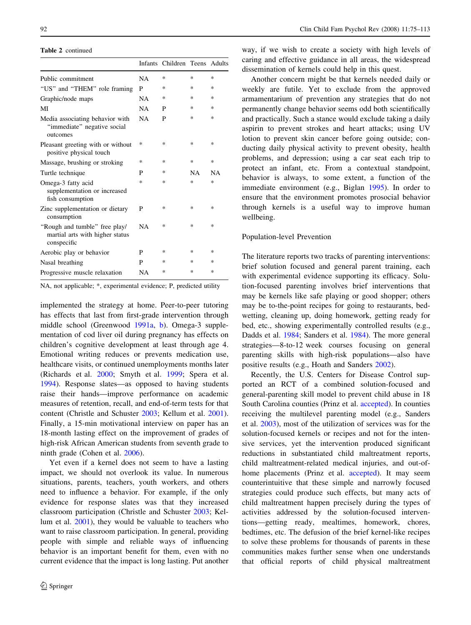Table 2 continued

|                                                                                 |           | Infants Children Teens Adults |           |        |
|---------------------------------------------------------------------------------|-----------|-------------------------------|-----------|--------|
| Public commitment                                                               | <b>NA</b> | *                             | *         | *      |
| "US" and "THEM" role framing                                                    | P         | *                             | *         | *      |
| Graphic/node maps                                                               | NA.       | *                             | *         | *      |
| MI                                                                              | <b>NA</b> | P                             | *         | *      |
| Media associating behavior with<br>"immediate" negative social<br>outcomes      | <b>NA</b> | P                             | *         | *      |
| Pleasant greeting with or without<br>positive physical touch                    | *         | *                             | *         | *      |
| Massage, brushing or stroking                                                   | *         | *                             | *         | $\ast$ |
| Turtle technique                                                                | P         | *                             | <b>NA</b> | NA     |
| Omega-3 fatty acid<br>supplementation or increased<br>fish consumption          | *         | *                             | $\ast$    | $\ast$ |
| Zinc supplementation or dietary<br>consumption                                  | P         | *                             | *         | *      |
| "Rough and tumble" free play/<br>martial arts with higher status<br>conspecific | <b>NA</b> | *                             | *         | *      |
| Aerobic play or behavior                                                        | P         | *                             | *         | ∗      |
| Nasal breathing                                                                 | P         | *                             | *         | $\ast$ |
| Progressive muscle relaxation                                                   | NA        | *                             | *         | *      |

NA, not applicable; \*, experimental evidence; P, predicted utility

implemented the strategy at home. Peer-to-peer tutoring has effects that last from first-grade intervention through middle school (Greenwood [1991a](#page-27-0), [b\)](#page-27-0). Omega-3 supplementation of cod liver oil during pregnancy has effects on children's cognitive development at least through age 4. Emotional writing reduces or prevents medication use, healthcare visits, or continued unemployments months later (Richards et al. [2000;](#page-34-0) Smyth et al. [1999;](#page-35-0) Spera et al. [1994\)](#page-36-0). Response slates—as opposed to having students raise their hands—improve performance on academic measures of retention, recall, and end-of-term tests for that content (Christle and Schuster [2003](#page-23-0); Kellum et al. [2001](#page-29-0)). Finally, a 15-min motivational interview on paper has an 18-month lasting effect on the improvement of grades of high-risk African American students from seventh grade to ninth grade (Cohen et al. [2006\)](#page-24-0).

Yet even if a kernel does not seem to have a lasting impact, we should not overlook its value. In numerous situations, parents, teachers, youth workers, and others need to influence a behavior. For example, if the only evidence for response slates was that they increased classroom participation (Christle and Schuster [2003;](#page-23-0) Kellum et al. [2001](#page-29-0)), they would be valuable to teachers who want to raise classroom participation. In general, providing people with simple and reliable ways of influencing behavior is an important benefit for them, even with no current evidence that the impact is long lasting. Put another

way, if we wish to create a society with high levels of caring and effective guidance in all areas, the widespread dissemination of kernels could help in this quest.

Another concern might be that kernels needed daily or weekly are futile. Yet to exclude from the approved armamentarium of prevention any strategies that do not permanently change behavior seems odd both scientifically and practically. Such a stance would exclude taking a daily aspirin to prevent strokes and heart attacks; using UV lotion to prevent skin cancer before going outside; conducting daily physical activity to prevent obesity, health problems, and depression; using a car seat each trip to protect an infant, etc. From a contextual standpoint, behavior is always, to some extent, a function of the immediate environment (e.g., Biglan [1995](#page-22-0)). In order to ensure that the environment promotes prosocial behavior through kernels is a useful way to improve human wellbeing.

#### Population-level Prevention

The literature reports two tracks of parenting interventions: brief solution focused and general parent training, each with experimental evidence supporting its efficacy. Solution-focused parenting involves brief interventions that may be kernels like safe playing or good shopper; others may be to-the-point recipes for going to restaurants, bedwetting, cleaning up, doing homework, getting ready for bed, etc., showing experimentally controlled results (e.g., Dadds et al. [1984](#page-24-0); Sanders et al. [1984\)](#page-34-0). The more general strategies—8-to-12 week courses focusing on general parenting skills with high-risk populations—also have positive results (e.g., Hoath and Sanders [2002\)](#page-28-0).

Recently, the U.S. Centers for Disease Control supported an RCT of a combined solution-focused and general-parenting skill model to prevent child abuse in 18 South Carolina counties (Prinz et al. [accepted](#page-33-0)). In counties receiving the multilevel parenting model (e.g., Sanders et al. [2003\)](#page-34-0), most of the utilization of services was for the solution-focused kernels or recipes and not for the intensive services, yet the intervention produced significant reductions in substantiated child maltreatment reports, child maltreatment-related medical injuries, and out-ofhome placements (Prinz et al. [accepted\)](#page-33-0). It may seem counterintuitive that these simple and narrowly focused strategies could produce such effects, but many acts of child maltreatment happen precisely during the types of activities addressed by the solution-focused interventions—getting ready, mealtimes, homework, chores, bedtimes, etc. The defusion of the brief kernel-like recipes to solve these problems for thousands of parents in these communities makes further sense when one understands that official reports of child physical maltreatment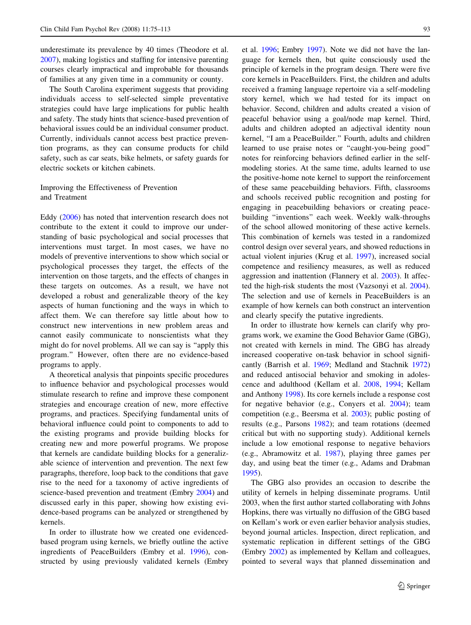underestimate its prevalence by 40 times (Theodore et al. [2007\)](#page-37-0), making logistics and staffing for intensive parenting courses clearly impractical and improbable for thousands of families at any given time in a community or county.

The South Carolina experiment suggests that providing individuals access to self-selected simple preventative strategies could have large implications for public health and safety. The study hints that science-based prevention of behavioral issues could be an individual consumer product. Currently, individuals cannot access best practice prevention programs, as they can consume products for child safety, such as car seats, bike helmets, or safety guards for electric sockets or kitchen cabinets.

# Improving the Effectiveness of Prevention and Treatment

Eddy ([2006\)](#page-25-0) has noted that intervention research does not contribute to the extent it could to improve our understanding of basic psychological and social processes that interventions must target. In most cases, we have no models of preventive interventions to show which social or psychological processes they target, the effects of the intervention on those targets, and the effects of changes in these targets on outcomes. As a result, we have not developed a robust and generalizable theory of the key aspects of human functioning and the ways in which to affect them. We can therefore say little about how to construct new interventions in new problem areas and cannot easily communicate to nonscientists what they might do for novel problems. All we can say is ''apply this program.'' However, often there are no evidence-based programs to apply.

A theoretical analysis that pinpoints specific procedures to influence behavior and psychological processes would stimulate research to refine and improve these component strategies and encourage creation of new, more effective programs, and practices. Specifying fundamental units of behavioral influence could point to components to add to the existing programs and provide building blocks for creating new and more powerful programs. We propose that kernels are candidate building blocks for a generalizable science of intervention and prevention. The next few paragraphs, therefore, loop back to the conditions that gave rise to the need for a taxonomy of active ingredients of science-based prevention and treatment (Embry [2004](#page-25-0)) and discussed early in this paper, showing how existing evidence-based programs can be analyzed or strengthened by kernels.

In order to illustrate how we created one evidencedbased program using kernels, we briefly outline the active ingredients of PeaceBuilders (Embry et al. [1996\)](#page-25-0), constructed by using previously validated kernels (Embry et al. [1996](#page-25-0); Embry [1997](#page-25-0)). Note we did not have the language for kernels then, but quite consciously used the principle of kernels in the program design. There were five core kernels in PeaceBuilders. First, the children and adults received a framing language repertoire via a self-modeling story kernel, which we had tested for its impact on behavior. Second, children and adults created a vision of peaceful behavior using a goal/node map kernel. Third, adults and children adopted an adjectival identity noun kernel, "I am a PeaceBuilder." Fourth, adults and children learned to use praise notes or ''caught-you-being good'' notes for reinforcing behaviors defined earlier in the selfmodeling stories. At the same time, adults learned to use the positive-home note kernel to support the reinforcement of these same peacebuilding behaviors. Fifth, classrooms and schools received public recognition and posting for engaging in peacebuilding behaviors or creating peacebuilding ''inventions'' each week. Weekly walk-throughs of the school allowed monitoring of these active kernels. This combination of kernels was tested in a randomized control design over several years, and showed reductions in actual violent injuries (Krug et al. [1997](#page-29-0)), increased social competence and resiliency measures, as well as reduced aggression and inattention (Flannery et al. [2003](#page-26-0)). It affected the high-risk students the most (Vazsonyi et al. [2004](#page-37-0)). The selection and use of kernels in PeaceBuilders is an example of how kernels can both construct an intervention and clearly specify the putative ingredients.

In order to illustrate how kernels can clarify why programs work, we examine the Good Behavior Game (GBG), not created with kernels in mind. The GBG has already increased cooperative on-task behavior in school significantly (Barrish et al. [1969](#page-22-0); Medland and Stachnik [1972\)](#page-31-0) and reduced antisocial behavior and smoking in adolescence and adulthood (Kellam et al. [2008](#page-29-0), [1994](#page-29-0); Kellam and Anthony [1998](#page-29-0)). Its core kernels include a response cost for negative behavior (e.g., Conyers et al. [2004](#page-24-0)); team competition (e.g., Beersma et al. [2003](#page-22-0)); public posting of results (e.g., Parsons [1982\)](#page-33-0); and team rotations (deemed critical but with no supporting study). Additional kernels include a low emotional response to negative behaviors (e.g., Abramowitz et al. [1987\)](#page-21-0), playing three games per day, and using beat the timer (e.g., Adams and Drabman [1995](#page-21-0)).

The GBG also provides an occasion to describe the utility of kernels in helping disseminate programs. Until 2003, when the first author started collaborating with Johns Hopkins, there was virtually no diffusion of the GBG based on Kellam's work or even earlier behavior analysis studies, beyond journal articles. Inspection, direct replication, and systematic replication in different settings of the GBG (Embry [2002](#page-25-0)) as implemented by Kellam and colleagues, pointed to several ways that planned dissemination and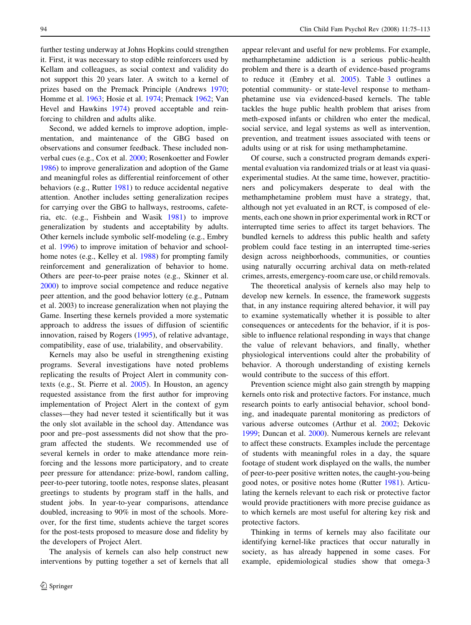further testing underway at Johns Hopkins could strengthen it. First, it was necessary to stop edible reinforcers used by Kellam and colleagues, as social context and validity do not support this 20 years later. A switch to a kernel of prizes based on the Premack Principle (Andrews [1970](#page-22-0); Homme et al. [1963](#page-28-0); Hosie et al. [1974;](#page-28-0) Premack [1962;](#page-33-0) Van Hevel and Hawkins [1974\)](#page-37-0) proved acceptable and reinforcing to children and adults alike.

Second, we added kernels to improve adoption, implementation, and maintenance of the GBG based on observations and consumer feedback. These included nonverbal cues (e.g., Cox et al. [2000](#page-24-0); Rosenkoetter and Fowler [1986\)](#page-34-0) to improve generalization and adoption of the Game and meaningful roles as differential reinforcement of other behaviors (e.g., Rutter [1981](#page-34-0)) to reduce accidental negative attention. Another includes setting generalization recipes for carrying over the GBG to hallways, restrooms, cafeteria, etc. (e.g., Fishbein and Wasik [1981\)](#page-26-0) to improve generalization by students and acceptability by adults. Other kernels include symbolic self-modeling (e.g., Embry et al. [1996](#page-25-0)) to improve imitation of behavior and schoolhome notes (e.g., Kelley et al. [1988](#page-29-0)) for prompting family reinforcement and generalization of behavior to home. Others are peer-to-peer praise notes (e.g., Skinner et al. [2000\)](#page-35-0) to improve social competence and reduce negative peer attention, and the good behavior lottery (e.g., Putnam et al. 2003) to increase generalization when not playing the Game. Inserting these kernels provided a more systematic approach to address the issues of diffusion of scientific innovation, raised by Rogers [\(1995](#page-34-0)), of relative advantage, compatibility, ease of use, trialability, and observability.

Kernels may also be useful in strengthening existing programs. Several investigations have noted problems replicating the results of Project Alert in community contexts (e.g., St. Pierre et al. [2005](#page-36-0)). In Houston, an agency requested assistance from the first author for improving implementation of Project Alert in the context of gym classes—they had never tested it scientifically but it was the only slot available in the school day. Attendance was poor and pre–post assessments did not show that the program affected the students. We recommended use of several kernels in order to make attendance more reinforcing and the lessons more participatory, and to create peer pressure for attendance: prize-bowl, random calling, peer-to-peer tutoring, tootle notes, response slates, pleasant greetings to students by program staff in the halls, and student jobs. In year-to-year comparisons, attendance doubled, increasing to 90% in most of the schools. Moreover, for the first time, students achieve the target scores for the post-tests proposed to measure dose and fidelity by the developers of Project Alert.

The analysis of kernels can also help construct new interventions by putting together a set of kernels that all appear relevant and useful for new problems. For example, methamphetamine addiction is a serious public-health problem and there is a dearth of evidence-based programs to reduce it (Embry et al. [2005\)](#page-25-0). Table [3](#page-20-0) outlines a potential community- or state-level response to methamphetamine use via evidenced-based kernels. The table tackles the huge public health problem that arises from meth-exposed infants or children who enter the medical, social service, and legal systems as well as intervention, prevention, and treatment issues associated with teens or adults using or at risk for using methamphetamine.

Of course, such a constructed program demands experimental evaluation via randomized trials or at least via quasiexperimental studies. At the same time, however, practitioners and policymakers desperate to deal with the methamphetamine problem must have a strategy, that, although not yet evaluated in an RCT, is composed of elements, each one shown in prior experimental work in RCT or interrupted time series to affect its target behaviors. The bundled kernels to address this public health and safety problem could face testing in an interrupted time-series design across neighborhoods, communities, or counties using naturally occurring archival data on meth-related crimes, arrests, emergency-room care use, or child removals.

The theoretical analysis of kernels also may help to develop new kernels. In essence, the framework suggests that, in any instance requiring altered behavior, it will pay to examine systematically whether it is possible to alter consequences or antecedents for the behavior, if it is possible to influence relational responding in ways that change the value of relevant behaviors, and finally, whether physiological interventions could alter the probability of behavior. A thorough understanding of existing kernels would contribute to the success of this effort.

Prevention science might also gain strength by mapping kernels onto risk and protective factors. For instance, much research points to early antisocial behavior, school bonding, and inadequate parental monitoring as predictors of various adverse outcomes (Arthur et al. [2002](#page-22-0); Dekovic [1999](#page-24-0); Duncan et al. [2000](#page-25-0)). Numerous kernels are relevant to affect these constructs. Examples include the percentage of students with meaningful roles in a day, the square footage of student work displayed on the walls, the number of peer-to-peer positive written notes, the caught-you-being good notes, or positive notes home (Rutter [1981](#page-34-0)). Articulating the kernels relevant to each risk or protective factor would provide practitioners with more precise guidance as to which kernels are most useful for altering key risk and protective factors.

Thinking in terms of kernels may also facilitate our identifying kernel-like practices that occur naturally in society, as has already happened in some cases. For example, epidemiological studies show that omega-3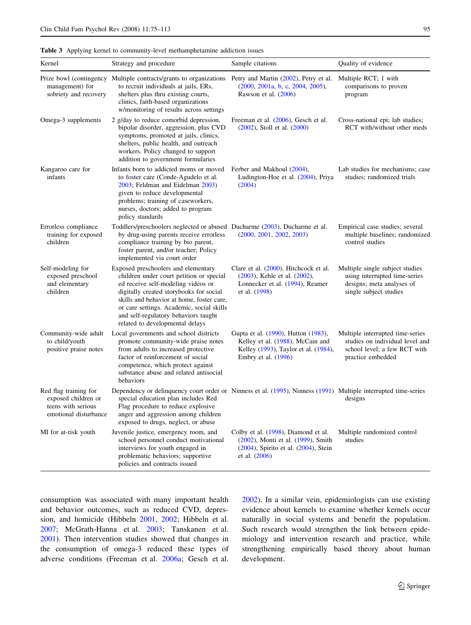<span id="page-20-0"></span>Table 3 Applying kernel to community-level methamphetamine addiction issues

| Kernel                                                                                      | Strategy and procedure                                                                                                                                                                                                                                                                                                                | Sample citations                                                                                                                           | Quality of evidence                                                                                                      |
|---------------------------------------------------------------------------------------------|---------------------------------------------------------------------------------------------------------------------------------------------------------------------------------------------------------------------------------------------------------------------------------------------------------------------------------------|--------------------------------------------------------------------------------------------------------------------------------------------|--------------------------------------------------------------------------------------------------------------------------|
| management) for<br>sobriety and recovery                                                    | Prize bowl (contingency Multiple contracts/grants to organizations)<br>to recruit individuals at jails, ERs,<br>shelters plus thru existing courts,<br>clinics, faith-based organizations<br>w/monitoring of results across settings                                                                                                  | Petry and Martin (2002), Petry et al.<br>(2000, 2001a, b, c, 2004, 2005),<br>Rawson et al. $(2006)$                                        | Multiple RCT; 1 with<br>comparisons to proven<br>program                                                                 |
| Omega-3 supplements                                                                         | 2 g/day to reduce comorbid depression,<br>bipolar disorder, aggression, plus CVD<br>symptoms, promoted at jails, clinics,<br>shelters, public health, and outreach<br>workers. Policy changed to support<br>addition to government formularies                                                                                        | Freeman et al. (2006), Gesch et al.<br>$(2002)$ , Stoll et al. $(2000)$                                                                    | Cross-national epi; lab studies;<br>RCT with/without other meds                                                          |
| Kangaroo care for<br>infants                                                                | Infants born to addicted moms or moved<br>to foster care (Conde-Agudelo et al.<br>2003; Feldman and Eidelman 2003)<br>given to reduce developmental<br>problems; training of caseworkers,<br>nurses, doctors; added to program<br>policy standards                                                                                    | Ferber and Makhoul (2004),<br>Ludington-Hoe et al. (2004), Priya<br>(2004)                                                                 | Lab studies for mechanisms; case<br>studies; randomized trials                                                           |
| Errorless compliance<br>training for exposed<br>children                                    | Toddlers/preschoolers neglected or abused Ducharme (2003), Ducharme et al.<br>by drug-using parents receive errorless<br>compliance training by bio parent,<br>foster parent, and/or teacher; Policy<br>implemented via court order                                                                                                   | (2000, 2001, 2002, 2003)                                                                                                                   | Empirical case studies; several<br>multiple baselines; randomized<br>control studies                                     |
| Self-modeling for<br>exposed preschool<br>and elementary<br>children                        | Exposed preschoolers and elementary<br>children under court petition or special<br>ed receive self-modeling videos or<br>digitally created storybooks for social<br>skills and behavior at home, foster care,<br>or care settings. Academic, social skills<br>and self-regulatory behaviors taught<br>related to developmental delays | Clare et al. (2000), Hitchcock et al.<br>(2003), Kehle et al. (2002),<br>Lonnecker et al. (1994), Reamer<br>et al. (1998)                  | Multiple single subject studies<br>using interrupted time-series<br>designs; meta analyses of<br>single subject studies  |
| Community-wide adult<br>to child/youth<br>positive praise notes                             | Local governments and school districts<br>promote community-wide praise notes<br>from adults to increased protective<br>factor of reinforcement of social<br>competence, which protect against<br>substance abuse and related antisocial<br>behaviors                                                                                 | Gupta et al. (1990), Hutton (1983),<br>Kelley et al. (1988), McCain and<br>Kelley (1993), Taylor et al. (1984),<br>Embry et al. $(1996)$   | Multiple interrupted time-series<br>studies on individual level and<br>school level; a few RCT with<br>practice embedded |
| Red flag training for<br>exposed children or<br>teens with serious<br>emotional disturbance | Dependency or delinquency court order or Ninness et al. (1995), Ninness (1991) Multiple interrupted time-series<br>special education plan includes Red<br>Flag procedure to reduce explosive<br>anger and aggression among children<br>exposed to drugs, neglect, or abuse                                                            |                                                                                                                                            | designs                                                                                                                  |
| MI for at-risk youth                                                                        | Juvenile justice, emergency room, and<br>school personnel conduct motivational<br>interviews for youth engaged in<br>problematic behaviors; supportive<br>policies and contracts issued                                                                                                                                               | Colby et al. (1998), Diamond et al.<br>(2002), Monti et al. (1999), Smith<br>$(2004)$ , Spirito et al. $(2004)$ , Stein<br>et al. $(2006)$ | Multiple randomized control<br>studies                                                                                   |

consumption was associated with many important health and behavior outcomes, such as reduced CVD, depression, and homicide (Hibbeln [2001,](#page-28-0) [2002](#page-28-0); Hibbeln et al. [2007;](#page-28-0) McGrath-Hanna et al. [2003](#page-31-0); Tanskanen et al. [2001\)](#page-36-0). Then intervention studies showed that changes in the consumption of omega-3 reduced these types of adverse conditions (Freeman et al. [2006a](#page-26-0); Gesch et al. [2002](#page-27-0)). In a similar vein, epidemiologists can use existing evidence about kernels to examine whether kernels occur naturally in social systems and benefit the population. Such research would strengthen the link between epidemiology and intervention research and practice, while strengthening empirically based theory about human development.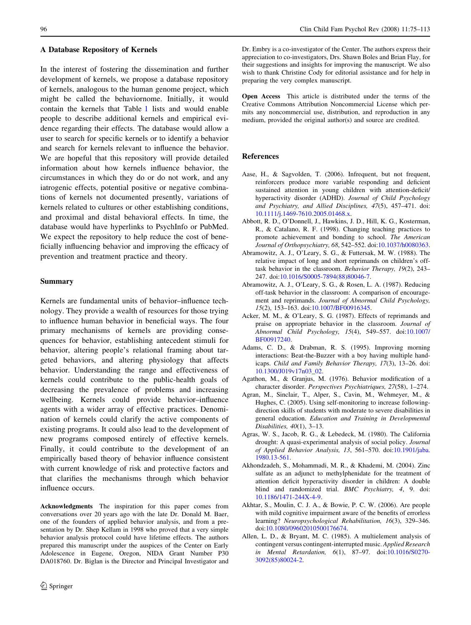#### <span id="page-21-0"></span>A Database Repository of Kernels

In the interest of fostering the dissemination and further development of kernels, we propose a database repository of kernels, analogous to the human genome project, which might be called the behaviornome. Initially, it would contain the kernels that Table [1](#page-5-0) lists and would enable people to describe additional kernels and empirical evidence regarding their effects. The database would allow a user to search for specific kernels or to identify a behavior and search for kernels relevant to influence the behavior. We are hopeful that this repository will provide detailed information about how kernels influence behavior, the circumstances in which they do or do not work, and any iatrogenic effects, potential positive or negative combinations of kernels not documented presently, variations of kernels related to cultures or other establishing conditions, and proximal and distal behavioral effects. In time, the database would have hyperlinks to PsychInfo or PubMed. We expect the repository to help reduce the cost of beneficially influencing behavior and improving the efficacy of prevention and treatment practice and theory.

# Summary

Kernels are fundamental units of behavior–influence technology. They provide a wealth of resources for those trying to influence human behavior in beneficial ways. The four primary mechanisms of kernels are providing consequences for behavior, establishing antecedent stimuli for behavior, altering people's relational framing about targeted behaviors, and altering physiology that affects behavior. Understanding the range and effectiveness of kernels could contribute to the public-health goals of decreasing the prevalence of problems and increasing wellbeing. Kernels could provide behavior–influence agents with a wider array of effective practices. Denomination of kernels could clarify the active components of existing programs. It could also lead to the development of new programs composed entirely of effective kernels. Finally, it could contribute to the development of an empirically based theory of behavior influence consistent with current knowledge of risk and protective factors and that clarifies the mechanisms through which behavior influence occurs.

Acknowledgments The inspiration for this paper comes from conversations over 20 years ago with the late Dr. Donald M. Baer, one of the founders of applied behavior analysis, and from a presentation by Dr. Shep Kellam in 1998 who proved that a very simple behavior analysis protocol could have lifetime effects. The authors prepared this manuscript under the auspices of the Center on Early Adolescence in Eugene, Oregon, NIDA Grant Number P30 DA018760. Dr. Biglan is the Director and Principal Investigator and Dr. Embry is a co-investigator of the Center. The authors express their appreciation to co-investigators, Drs. Shawn Boles and Brian Flay, for their suggestions and insights for improving the manuscript. We also wish to thank Christine Cody for editorial assistance and for help in preparing the very complex manuscript.

Open Access This article is distributed under the terms of the Creative Commons Attribution Noncommercial License which permits any noncommercial use, distribution, and reproduction in any medium, provided the original author(s) and source are credited.

# References

- Aase, H., & Sagvolden, T. (2006). Infrequent, but not frequent, reinforcers produce more variable responding and deficient sustained attention in young children with attention-deficit/ hyperactivity disorder (ADHD). Journal of Child Psychology and Psychiatry, and Allied Disciplines, 47(5), 457–471. doi: [10.1111/j.1469-7610.2005.01468.x.](http://dx.doi.org/10.1111/j.1469-7610.2005.01468.x)
- Abbott, R. D., O'Donnell, J., Hawkins, J. D., Hill, K. G., Kosterman, R., & Catalano, R. F. (1998). Changing teaching practices to promote achievement and bonding to school. The American Journal of Orthopsychiatry, 68, 542–552. doi[:10.1037/h0080363](http://dx.doi.org/10.1037/h0080363).
- Abramowitz, A. J., O'Leary, S. G., & Futtersak, M. W. (1988). The relative impact of long and short reprimands on children's offtask behavior in the classroom. Behavior Therapy, 19(2), 243– 247. doi[:10.1016/S0005-7894\(88\)80046-7.](http://dx.doi.org/10.1016/S0005-7894(88)80046-7)
- Abramowitz, A. J., O'Leary, S. G., & Rosen, L. A. (1987). Reducing off-task behavior in the classroom: A comparison of encouragement and reprimands. Journal of Abnormal Child Psychology, 15(2), 153–163. doi[:10.1007/BF00916345](http://dx.doi.org/10.1007/BF00916345).
- Acker, M. M., & O'Leary, S. G. (1987). Effects of reprimands and praise on appropriate behavior in the classroom. Journal of Abnormal Child Psychology, 15(4), 549–557. doi[:10.1007/](http://dx.doi.org/10.1007/BF00917240) [BF00917240](http://dx.doi.org/10.1007/BF00917240).
- Adams, C. D., & Drabman, R. S. (1995). Improving morning interactions: Beat-the-Buzzer with a boy having multiple handicaps. Child and Family Behavior Therapy, 17(3), 13–26. doi: [10.1300/J019v17n03\\_02](http://dx.doi.org/10.1300/J019v17n03_02).
- Agathon, M., & Granjus, M. (1976). Behavior modification of a character disorder. Perspectives Psychiatriques, 27(58), 1–274.
- Agran, M., Sinclair, T., Alper, S., Cavin, M., Wehmeyer, M., & Hughes, C. (2005). Using self-monitoring to increase followingdirection skills of students with moderate to severe disabilities in general education. Education and Training in Developmental Disabilities, 40(1), 3–13.
- Agras, W. S., Jacob, R. G., & Lebedeck, M. (1980). The California drought: A quasi-experimental analysis of social policy. Journal of Applied Behavior Analysis, 13, 561–570. doi[:10.1901/jaba.](http://dx.doi.org/10.1901/jaba.1980.13-561) [1980.13-561](http://dx.doi.org/10.1901/jaba.1980.13-561).
- Akhondzadeh, S., Mohammadi, M. R., & Khademi, M. (2004). Zinc sulfate as an adjunct to methylphenidate for the treatment of attention deficit hyperactivity disorder in children: A double blind and randomized trial. BMC Psychiatry, 4, 9. doi: [10.1186/1471-244X-4-9.](http://dx.doi.org/10.1186/1471-244X-4-9)
- Akhtar, S., Moulin, C. J. A., & Bowie, P. C. W. (2006). Are people with mild cognitive impairment aware of the benefits of errorless learning? Neuropsychological Rehabilitation, 16(3), 329–346. doi[:10.1080/09602010500176674](http://dx.doi.org/10.1080/09602010500176674).
- Allen, L. D., & Bryant, M. C. (1985). A multielement analysis of contingent versus contingent-interrupted music. Applied Research in Mental Retardation, 6(1), 87–97. doi:[10.1016/S0270-](http://dx.doi.org/10.1016/S0270-3092(85)80024-2) [3092\(85\)80024-2](http://dx.doi.org/10.1016/S0270-3092(85)80024-2).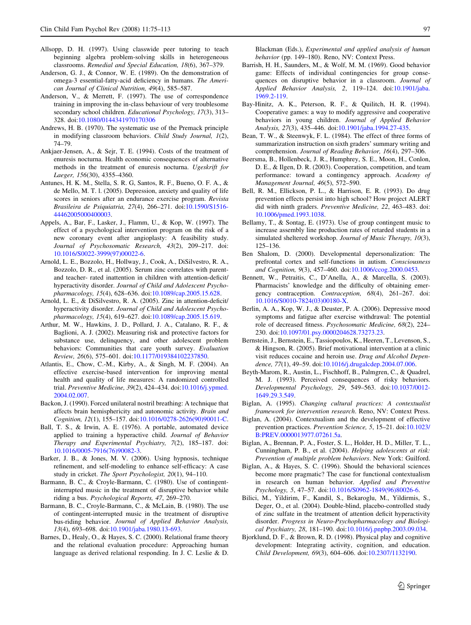- <span id="page-22-0"></span>Allsopp, D. H. (1997). Using classwide peer tutoring to teach beginning algebra problem-solving skills in heterogeneous classrooms. Remedial and Special Education, 18(6), 367–379.
- Anderson, G. J., & Connor, W. E. (1989). On the demonstration of omega-3 essential-fatty-acid deficiency in humans. The American Journal of Clinical Nutrition, 49(4), 585–587.
- Anderson, V., & Merrett, F. (1997). The use of correspondence training in improving the in-class behaviour of very troublesome secondary school children. Educational Psychology, 17(3), 313-328. doi:[10.1080/0144341970170306](http://dx.doi.org/10.1080/0144341970170306)
- Andrews, H. B. (1970). The systematic use of the Premack principle in modifying classroom behaviors. Child Study Journal, 1(2), 74–79.
- Ankjaer-Jensen, A., & Sejr, T. E. (1994). Costs of the treatment of enuresis nocturna. Health economic consequences of alternative methods in the treatment of enuresis nocturna. Ugeskrift for Laeger, 156(30), 4355–4360.
- Antunes, H. K. M., Stella, S. R. G, Santos, R. F., Bueno, O. F. A., & de Mello, M. T. l. (2005). Depression, anxiety and quality of life scores in seniors after an endurance exercise program. Revista Brasileira de Psiquiatria, 27(4), 266–271. doi:[10.1590/S1516-](http://dx.doi.org/10.1590/S1516-44462005000400003) [44462005000400003](http://dx.doi.org/10.1590/S1516-44462005000400003).
- Appels, A., Bar, F., Lasker, J., Flamm, U., & Kop, W. (1997). The effect of a psychological intervention program on the risk of a new coronary event after angioplasty: A feasibility study. Journal of Psychosomatic Research, 43(2), 209–217. doi: [10.1016/S0022-3999\(97\)00022-6.](http://dx.doi.org/10.1016/S0022-3999(97)00022-6)
- Arnold, L. E., Bozzolo, H., Hollway, J., Cook, A., DiSilvestro, R. A., Bozzolo, D. R., et al. (2005). Serum zinc correlates with parentand teacher- rated inattention in children with attention-deficit/ hyperactivity disorder. Journal of Child and Adolescent Psychopharmacology, 15(4), 628–636. doi[:10.1089/cap.2005.15.628](http://dx.doi.org/10.1089/cap.2005.15.628).
- Arnold, L. E., & DiSilvestro, R. A. (2005). Zinc in attention-deficit/ hyperactivity disorder. Journal of Child and Adolescent Psychopharmacology, 15(4), 619–627. doi[:10.1089/cap.2005.15.619](http://dx.doi.org/10.1089/cap.2005.15.619).
- Arthur, M. W., Hawkins, J. D., Pollard, J. A., Catalano, R. F., & Baglioni, A. J. (2002). Measuring risk and protective factors for substance use, delinquency, and other adolescent problem behaviors: Communities that care youth survey. Evaluation Review, 26(6), 575–601. doi:[10.1177/019384102237850](http://dx.doi.org/10.1177/019384102237850).
- Atlantis, E., Chow, C.-M., Kirby, A., & Singh, M. F. (2004). An effective exercise-based intervention for improving mental health and quality of life measures: A randomized controlled trial. Preventive Medicine, 39(2), 424–434. doi[:10.1016/j.ypmed.](http://dx.doi.org/10.1016/j.ypmed.2004.02.007) [2004.02.007](http://dx.doi.org/10.1016/j.ypmed.2004.02.007).
- Backon, J. (1990). Forced unilateral nostril breathing: A technique that affects brain hemisphericity and autonomic activity. Brain and Cognition, 12(1), 155–157. doi:[10.1016/0278-2626\(90\)90011-C](http://dx.doi.org/10.1016/0278-2626(90)90011-C).
- Ball, T. S., & Irwin, A. E. (1976). A portable, automated device applied to training a hyperactive child. Journal of Behavior Therapy and Experimental Psychiatry, 7(2), 185–187. doi: [10.1016/0005-7916\(76\)90082-3.](http://dx.doi.org/10.1016/0005-7916(76)90082-3)
- Barker, J. B., & Jones, M. V. (2006). Using hypnosis, technique refinement, and self-modeling to enhance self-efficacy: A case study in cricket. The Sport Psychologist, 20(1), 94–110.
- Barmann, B. C., & Croyle-Barmann, C. (1980). Use of contingentinterrupted music in the treatment of disruptive behavior while riding a bus. Psychological Reports, 47, 269–270.
- Barmann, B. C., Croyle-Barmann, C., & McLain, B. (1980). The use of contingent-interrupted music in the treatment of disruptive bus-riding behavior. Journal of Applied Behavior Analysis, 13(4), 693–698. doi[:10.1901/jaba.1980.13-693](http://dx.doi.org/10.1901/jaba.1980.13-693).
- Barnes, D., Healy, O., & Hayes, S. C. (2000). Relational frame theory and the relational evaluation procedure: Approaching human language as derived relational responding. In J. C. Leslie & D.

Blackman (Eds.), Experimental and applied analysis of human behavior (pp. 149–180). Reno, NV: Context Press.

- Barrish, H. H., Saunders, M., & Wolf, M. M. (1969). Good behavior game: Effects of individual contingencies for group consequences on disruptive behavior in a classroom. Journal of Applied Behavior Analysis, 2, 119–124. doi[:10.1901/jaba.](http://dx.doi.org/10.1901/jaba.1969.2-119) [1969.2-119.](http://dx.doi.org/10.1901/jaba.1969.2-119)
- Bay-Hinitz, A. K., Peterson, R. F., & Quilitch, H. R. (1994). Cooperative games: a way to modify aggressive and cooperative behaviors in young children. Journal of Applied Behavior Analysis, 27(3), 435–446. doi:[10.1901/jaba.1994.27-435](http://dx.doi.org/10.1901/jaba.1994.27-435).
- Bean, T. W., & Steenwyk, F. L. (1984). The effect of three forms of summarization instruction on sixth graders' summary writing and comprehension. Journal of Reading Behavior, 16(4), 297–306.
- Beersma, B., Hollenbeck, J. R., Humphrey, S. E., Moon, H., Conlon, D. E., & Ilgen, D. R. (2003). Cooperation, competition, and team performance: toward a contingency approach. Academy of Management Journal, 46(5), 572–590.
- Bell, R. M., Ellickson, P. L., & Harrison, E. R. (1993). Do drug prevention effects persist into high school? How project ALERT did with ninth graders. Preventive Medicine, 22, 463–483. doi: [10.1006/pmed.1993.1038](http://dx.doi.org/10.1006/pmed.1993.1038).
- Bellamy, T., & Sontag, E. (1973). Use of group contingent music to increase assembly line production rates of retarded students in a simulated sheltered workshop. Journal of Music Therapy, 10(3), 125–136.
- Ben Shalom, D. (2000). Developmental depersonalization: The prefrontal cortex and self-functions in autism. Consciousness and Cognition, 9(3), 457–460. doi[:10.1006/ccog.2000.0453.](http://dx.doi.org/10.1006/ccog.2000.0453)
- Bennett, W., Petraitis, C., D'Anella, A., & Marcella, S. (2003). Pharmacists' knowledge and the difficulty of obtaining emergency contraception. Contraception, 68(4), 261–267. doi: [10.1016/S0010-7824\(03\)00180-X.](http://dx.doi.org/10.1016/S0010-7824(03)00180-X)
- Berlin, A. A., Kop, W. J., & Deuster, P. A. (2006). Depressive mood symptoms and fatigue after exercise withdrawal: The potential role of decreased fitness. Psychosomatic Medicine, 68(2), 224– 230. doi[:10.1097/01.psy.0000204628.73273.23.](http://dx.doi.org/10.1097/01.psy.0000204628.73273.23)
- Bernstein, J., Bernstein, E., Tassiopoulos, K., Heeren, T., Levenson, S., & Hingson, R. (2005). Brief motivational intervention at a clinic visit reduces cocaine and heroin use. Drug and Alcohol Dependence, 77(1), 49–59. doi[:10.1016/j.drugalcdep.2004.07.006](http://dx.doi.org/10.1016/j.drugalcdep.2004.07.006).
- Beyth-Marom, R., Austin, L., Fischhoff, B., Palmgren, C., & Quadrel, M. J. (1993). Perceived consequences of risky behaviors. Developmental Psychology, 29, 549–563. doi:[10.1037/0012-](http://dx.doi.org/10.1037/0012-1649.29.3.549) [1649.29.3.549.](http://dx.doi.org/10.1037/0012-1649.29.3.549)
- Biglan, A. (1995). Changing cultural practices: A contextualist framework for intervention research. Reno, NV: Context Press.
- Biglan, A. (2004). Contextualism and the development of effective prevention practices. Prevention Science, 5, 15–21. doi[:10.1023/](http://dx.doi.org/10.1023/B:PREV.0000013977.07261.5a) [B:PREV.0000013977.07261.5a.](http://dx.doi.org/10.1023/B:PREV.0000013977.07261.5a)
- Biglan, A., Brennan, P. A., Foster, S. L., Holder, H. D., Miller, T. L., Cunningham, P. B., et al. (2004). Helping adolescents at risk: Prevention of multiple problem behaviors. New York: Guilford.
- Biglan, A., & Hayes, S. C. (1996). Should the behavioral sciences become more pragmatic? The case for functional contextualism in research on human behavior. Applied and Preventive Psychology, 5, 47–57. doi:[10.1016/S0962-1849\(96\)80026-6](http://dx.doi.org/10.1016/S0962-1849(96)80026-6).
- Bilici, M., Yildirim, F., Kandil, S., Bekaroglu, M., Yildirmis, S., Deger, O., et al. (2004). Double-blind, placebo-controlled study of zinc sulfate in the treatment of attention deficit hyperactivity disorder. Progress in Neuro-Psychopharmacology and Biological Psychiatry, 28, 181–190. doi:[10.1016/j.pnpbp.2003.09.034.](http://dx.doi.org/10.1016/j.pnpbp.2003.09.034)
- Bjorklund, D. F., & Brown, R. D. (1998). Physical play and cognitive development: Integrating activity, cognition, and education. Child Development, 69(3), 604–606. doi:[10.2307/1132190](http://dx.doi.org/10.2307/1132190).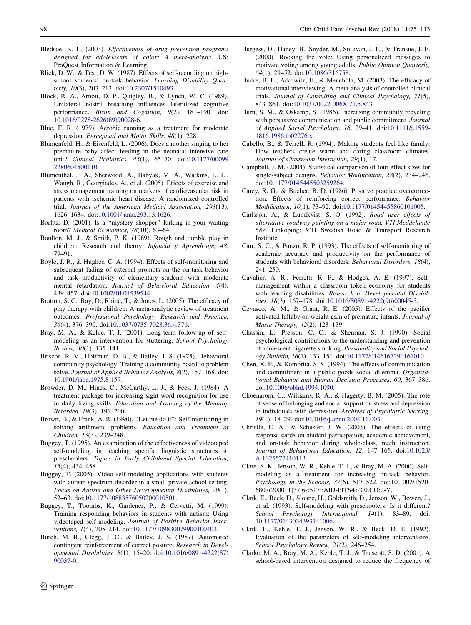- <span id="page-23-0"></span>Bledsoe, K. L. (2003). Effectiveness of drug prevention programs designed for adolescents of color: A meta-analysis. US: ProQuest Information & Learning.
- Blick, D. W., & Test, D. W. (1987). Effects of self-recording on highschool students' on-task behavior. Learning Disability Quarterly, 10(3), 203–213. doi:[10.2307/1510493](http://dx.doi.org/10.2307/1510493).
- Block, R. A., Arnott, D. P., Quigley, B., & Lynch, W. C. (1989). Unilateral nostril breathing influences lateralized cognitive performance. *Brain and Cognition*, 9(2), 181-190. doi: [10.1016/0278-2626\(89\)90028-6.](http://dx.doi.org/10.1016/0278-2626(89)90028-6)
- Blue, F. R. (1979). Aerobic running as a treatment for moderate depression. Perceptual and Motor Skills, 48(1), 228.
- Blumenfeld, H., & Eisenfeld, L. (2006). Does a mother singing to her premature baby affect feeding in the neonatal intensive care unit? Clinical Pediatrics, 45(1), 65–70. doi[:10.1177/00099](http://dx.doi.org/10.1177/000992280604500110) [2280604500110](http://dx.doi.org/10.1177/000992280604500110).
- Blumenthal, J. A., Sherwood, A., Babyak, M. A., Watkins, L. L., Waugh, R., Georgiades, A., et al. (2005). Effects of exercise and stress management training on markers of cardiovascular risk in patients with ischemic heart disease: A randomized controlled trial. Journal of the American Medical Association, 293(13), 1626–1634. doi[:10.1001/jama.293.13.1626](http://dx.doi.org/10.1001/jama.293.13.1626).
- Borfitz, D. (2001). Is a ''mystery shopper'' lurking in your waiting room? Medical Economics, 78(10), 63–64.
- Boulton, M. J., & Smith, P. K. (1989). Rough and tumble play in children: Research and theory. Infancia y Aprendizaje, 48, 79–91.
- Boyle, J. R., & Hughes, C. A. (1994). Effects of self-monitoring and subsequent fading of external prompts on the on-task behavior and task productivity of elementary students with moderate mental retardation. Journal of Behavioral Education, 4(4), 439–457. doi:[10.1007/BF01539544.](http://dx.doi.org/10.1007/BF01539544)
- Bratton, S. C., Ray, D., Rhine, T., & Jones, L. (2005). The efficacy of play therapy with children: A meta-analytic review of treatment outcomes. Professional Psychology, Research and Practice, 36(4), 376–390. doi[:10.1037/0735-7028.36.4.376.](http://dx.doi.org/10.1037/0735-7028.36.4.376)
- Bray, M. A., & Kehle, T. J. (2001). Long-term follow-up of selfmodeling as an intervention for stuttering. School Psychology Review, 30(1), 135–141.
- Briscoe, R. V., Hoffman, D. B., & Bailey, J. S. (1975). Behavioral community psychology: Training a community board to problem solve. Journal of Applied Behavior Analysis, 8(2), 157–168. doi: [10.1901/jaba.1975.8-157](http://dx.doi.org/10.1901/jaba.1975.8-157).
- Browder, D. M., Hines, C., McCarthy, L. J., & Fees, J. (1984). A treatment package for increasing sight word recognition for use in daily living skills. Education and Training of the Mentally Retarded, 19(3), 191–200.
- Brown, D., & Frank, A. R. (1990). ''Let me do it'': Self-monitoring in solving arithmetic problems. Education and Treatment of Children, 13(3), 239–248.
- Buggey, T. (1995). An examination of the effectiveness of videotaped self-modeling in teaching specific linguistic structures to preschoolers. Topics in Early Childhood Special Education, 15(4), 434–458.
- Buggey, T. (2005). Video self-modeling applications with students with autism spectrum disorder in a small private school setting. Focus on Autism and Other Developmental Disabilities, 20(1), 52–63. doi[:10.1177/10883576050200010501](http://dx.doi.org/10.1177/10883576050200010501).
- Buggey, T., Toombs, K., Gardener, P., & Cervetti, M. (1999). Training responding behaviors in students with autism: Using videotaped self-modeling. Journal of Positive Behavior Interventions, 1(4), 205–214. doi[:10.1177/109830079900100403](http://dx.doi.org/10.1177/109830079900100403).
- Burch, M. R., Clegg, J. C., & Bailey, J. S. (1987). Automated contingent reinforcement of correct posture. Research in Developmental Disabilities, 8(1), 15–20. doi[:10.1016/0891-4222\(87\)](http://dx.doi.org/10.1016/0891-4222(87)90037-0) [90037-0](http://dx.doi.org/10.1016/0891-4222(87)90037-0).
- Burgess, D., Haney, B., Snyder, M., Sullivan, J. L., & Transue, J. E. (2000). Rocking the vote: Using personalized messages to motivate voting among young adults. Public Opinion Quarterly, 64(1), 29–52. doi:[10.1086/316758](http://dx.doi.org/10.1086/316758).
- Burke, B. L., Arkowitz, H., & Menchola, M. (2003). The efficacy of motivational interviewing: A meta-analysis of controlled clinical trials. Journal of Consulting and Clinical Psychology, 71(5), 843–861. doi:[10.1037/0022-006X.71.5.843](http://dx.doi.org/10.1037/0022-006X.71.5.843).
- Burn, S. M., & Oskamp, S. (1986). Increasing community recycling with persuasive communication and public commitment. Journal of Applied Social Psychology, 16, 29–41. doi[:10.1111/j.1559-](http://dx.doi.org/10.1111/j.1559-1816.1986.tb02276.x) [1816.1986.tb02276.x](http://dx.doi.org/10.1111/j.1559-1816.1986.tb02276.x).
- Cabello, B., & Terrell, R. (1994). Making students feel like family: How teachers create warm and caring classroom climates. Journal of Classroom Interaction, 29(1), 17.
- Campbell, J. M. (2004). Statistical comparison of four effect sizes for single-subject designs. Behavior Modification, 28(2), 234–246. doi[:10.1177/0145445503259264](http://dx.doi.org/10.1177/0145445503259264).
- Carey, R. G., & Bucher, B. D. (1986). Positive practice overcorrection. Effects of reinforcing correct performance. Behavior Modification, 10(1), 73–92. doi[:10.1177/01454455860101005](http://dx.doi.org/10.1177/01454455860101005).
- Carlsson, A., & Lundkvist, S. O. (1992). Road user effects of alternative roadway painting on a major road. VTI Meddelande 687. Linkoping: VTI Swedish Road & Transport Research Institute.
- Carr, S. C., & Punzo, R. P. (1993). The effects of self-monitoring of academic accuracy and productivity on the performance of students with behavioral disorders. Behavioral Disorders, 18(4), 241–250.
- Cavalier, A. R., Ferretti, R. P., & Hodges, A. E. (1997). Selfmanagement within a classroom token economy for students with learning disabilities. Research in Developmental Disabilities, 18(3), 167–178. doi[:10.1016/S0891-4222\(96\)00045-5](http://dx.doi.org/10.1016/S0891-4222(96)00045-5).
- Cevasco, A. M., & Grant, R. E. (2005). Effects of the pacifier activated lullaby on weight gain of premature infants. Journal of Music Therapy, 42(2), 123–139.
- Chassin, L., Presson, C. C., & Sherman, S. J. (1990). Social psychological contributions to the understanding and prevention of adolescent cigarette smoking. Personality and Social Psychology Bulletin, 16(1), 133–151. doi[:10.1177/0146167290161010](http://dx.doi.org/10.1177/0146167290161010).
- Chen, X. P., & Komorita, S. S. (1994). The effects of communication and commitment in a public goods social dilemma. Organizational Behavior and Human Decision Processes, 60, 367–386. doi[:10.1006/obhd.1994.1090](http://dx.doi.org/10.1006/obhd.1994.1090).
- Choenarom, C., Williams, R. A., & Hagerty, B. M. (2005). The role of sense of belonging and social support on stress and depression in individuals with depression. Archives of Psychiatric Nursing, 19(1), 18–29. doi:[10.1016/j.apnu.2004.11.003](http://dx.doi.org/10.1016/j.apnu.2004.11.003).
- Christle, C. A., & Schuster, J. W. (2003). The effects of using response cards on student participation, academic achievement, and on-task behavior during whole-class, math instruction. Journal of Behavioral Education, 12, 147–165. doi[:10.1023/](http://dx.doi.org/10.1023/A:1025577410113) [A:1025577410113.](http://dx.doi.org/10.1023/A:1025577410113)
- Clare, S. K., Jenson, W. R., Kehle, T. J., & Bray, M. A. (2000). Selfmodeling as a treatment for increasing on-task behavior. Psychology in the Schools, 37(6), 517–522. doi:10.1002/1520- 6807(200011)37:6<517::AID-PITS4>3.0.CO;2-Y.
- Clark, E., Beck, D., Sloane, H., Goldsmith, D., Jenson, W., Bowen, J., et al. (1993). Self-modeling with preschoolers: Is it different? School Psychology International, 14(1), 83-89. doi: [10.1177/0143034393141006.](http://dx.doi.org/10.1177/0143034393141006)
- Clark, E., Kehle, T. J., Jenson, W. R., & Beck, D. E. (1992). Evaluation of the parameters of self-modeling interventions. School Psychology Review, 21(2), 246–254.
- Clarke, M. A., Bray, M. A., Kehle, T. J., & Truscott, S. D. (2001). A school-based intervention designed to reduce the frequency of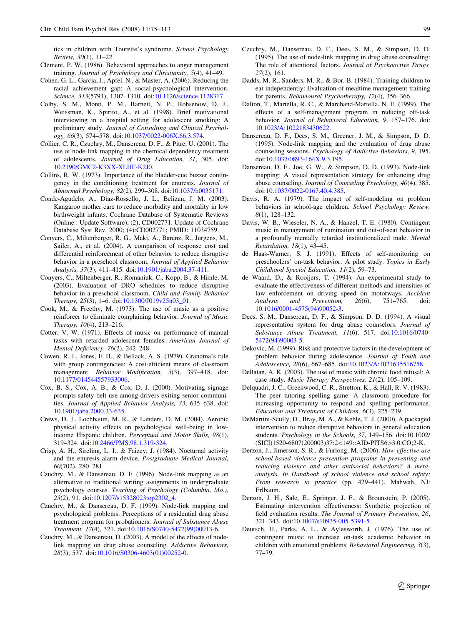<span id="page-24-0"></span>tics in children with Tourette's syndrome. School Psychology Review, 30(1), 11–22.

- Clement, P. W. (1986). Behavioral approaches to anger management training. Journal of Psychology and Christianity, 5(4), 41–49.
- Cohen, G. L., Garcia, J., Apfel, N., & Master, A. (2006). Reducing the racial achievement gap: A social-psychological intervention. Science, 313(5791), 1307–1310. doi:[10.1126/science.1128317](http://dx.doi.org/10.1126/science.1128317).
- Colby, S. M., Monti, P. M., Barnett, N. P., Rohsenow, D. J., Weissman, K., Spirito, A., et al. (1998). Brief motivational interviewing in a hospital setting for adolescent smoking: A preliminary study. Journal of Consulting and Clinical Psychology, 66(3), 574–578. doi[:10.1037/0022-006X.66.3.574.](http://dx.doi.org/10.1037/0022-006X.66.3.574)
- Collier, C. R., Czuchry, M., Dansereau, D. F., & Pitre, U. (2001). The use of node-link mapping in the chemical dependency treatment of adolescents. Journal of Drug Education, 31, 305. doi: [10.2190/GMC2-K3XX-XLHF-K2J0](http://dx.doi.org/10.2190/GMC2-K3XX-XLHF-K2J0).
- Collins, R. W. (1973). Importance of the bladder-cue buzzer contingency in the conditioning treatment for enuresis. Journal of Abnormal Psychology, 82(2), 299–308. doi[:10.1037/h0035171.](http://dx.doi.org/10.1037/h0035171)
- Conde-Agudelo, A., Diaz-Rossello, J. L., Belizan, J. M. (2003). Kangaroo mother care to reduce morbidity and mortality in low birthweight infants. Cochrane Database of Systematic Reviews (Online : Update Software), (2), CD002771. Update of Cochrane Database Syst Rev. 2000; (4):CD002771; PMID: 11034759.
- Conyers, C., Miltenberger, R. G., Maki, A., Barenz, R., Jurgens, M., Sailer, A., et al. (2004). A comparison of response cost and differential reinforcement of other behavior to reduce disruptive behavior in a preschool classroom. Journal of Applied Behavior Analysis, 37(3), 411–415. doi:[10.1901/jaba.2004.37-411](http://dx.doi.org/10.1901/jaba.2004.37-411).
- Conyers, C., Miltenberger, R., Romaniuk, C., Kopp, B., & Himle, M. (2003). Evaluation of DRO schedules to reduce disruptive behavior in a preschool classroom. Child and Family Behavior Therapy, 25(3), 1–6. doi[:10.1300/J019v25n03\\_01](http://dx.doi.org/10.1300/J019v25n03_01).
- Cook, M., & Freethy, M. (1973). The use of music as a positive reinforcer to eliminate complaining behavior. Journal of Music Therapy, 10(4), 213–216.
- Cotter, V. W. (1971). Effects of music on performance of manual tasks with retarded adolescent females. American Journal of Mental Deficiency, 76(2), 242–248.
- Cowen, R. J., Jones, F. H., & Bellack, A. S. (1979). Grandma's rule with group contingencies: A cost-efficient means of classroom management. *Behavior Modification*, 3(3), 397–418. doi: [10.1177/014544557933006](http://dx.doi.org/10.1177/014544557933006).
- Cox, B. S., Cox, A. B., & Cox, D. J. (2000). Motivating signage prompts safety belt use among drivers exiting senior communities. Journal of Applied Behavior Analysis, 33, 635–638. doi: [10.1901/jaba.2000.33-635](http://dx.doi.org/10.1901/jaba.2000.33-635).
- Crews, D. J., Lochbaum, M. R., & Landers, D. M. (2004). Aerobic physical activity effects on psychological well-being in lowincome Hispanic children. Perceptual and Motor Skills, 98(1), 319–324. doi:[10.2466/PMS.98.1.319-324.](http://dx.doi.org/10.2466/PMS.98.1.319-324)
- Crisp, A. H., Sireling, L. I., & Faizey, J. (1984). Nocturnal activity and the enuresis alarm device. Postgraduate Medical Journal, 60(702), 280–281.
- Czuchry, M., & Dansereau, D. F. (1996). Node-link mapping as an alternative to traditional writing assignments in undergraduate psychology courses. Teaching of Psychology (Columbia, Mo.), 23(2), 91. doi:[10.1207/s15328023top2302\\_4](http://dx.doi.org/10.1207/s15328023top2302_4).
- Czuchry, M., & Dansereau, D. F. (1999). Node-link mapping and psychological problems: Perceptions of a residential drug abuse treatment program for probationers. Journal of Substance Abuse Treatment, 17(4), 321. doi:[10.1016/S0740-5472\(99\)00013-6.](http://dx.doi.org/10.1016/S0740-5472(99)00013-6)
- Czuchry, M., & Dansereau, D. (2003). A model of the effects of nodelink mapping on drug abuse counseling. Addictive Behaviors, 28(3), 537. doi[:10.1016/S0306-4603\(01\)00252-0.](http://dx.doi.org/10.1016/S0306-4603(01)00252-0)
- Czuchry, M., Dansereau, D. F., Dees, S. M., & Simpson, D. D. (1995). The use of node-link mapping in drug abuse counseling: The role of attentional factors. Journal of Psychoactive Drugs, 27(2), 161.
- Dadds, M. R., Sanders, M. R., & Bor, B. (1984). Training children to eat independently: Evaluation of mealtime management training for parents. Behavioural Psychotherapy, 12(4), 356–366.
- Dalton, T., Martella, R. C., & Marchand-Martella, N. E. (1999). The effects of a self-management program in reducing off-task behavior. Journal of Behavioral Education, 9, 157–176. doi: [10.1023/A:1022183430622.](http://dx.doi.org/10.1023/A:1022183430622)
- Dansereau, D. F., Dees, S. M., Greener, J. M., & Simpson, D. D. (1995). Node-link mapping and the evaluation of drug abuse counseling sessions. Psychology of Addictive Behaviors, 9, 195. doi[:10.1037/0893-164X.9.3.195](http://dx.doi.org/10.1037/0893-164X.9.3.195).
- Dansereau, D. F., Joe, G. W., & Simpson, D. D. (1993). Node-link mapping: A visual representation strategy for enhancing drug abuse counseling. Journal of Counseling Psychology, 40(4), 385. doi[:10.1037/0022-0167.40.4.385.](http://dx.doi.org/10.1037/0022-0167.40.4.385)
- Davis, R. A. (1979). The impact of self-modeling on problem behaviors in school-age children. School Psychology Review, 8(1), 128–132.
- Davis, W. B., Wieseler, N. A., & Hanzel, T. E. (1980). Contingent music in management of rumination and out-of-seat behavior in a profoundly mentally retarded institutionalized male. Mental Retardation, 18(1), 43–45.
- de Haas-Warner, S. J. (1991). Effects of self-monitoring on preschoolers' on-task behavior: A pilot study. Topics in Early Childhood Special Education, 11(2), 59–73.
- de Waard, D., & Rooijers, T. (1994). An experimental study to evaluate the effectiveness of different methods and intensities of law enforcement on driving speed on motorways. Accident Analysis and Prevention, 26(6), 751–765. doi: [10.1016/0001-4575\(94\)90052-3](http://dx.doi.org/10.1016/0001-4575(94)90052-3).
- Dees, S. M., Dansereau, D. F., & Simpson, D. D. (1994). A visual representation system for drug abuse counselors. Journal of Substance Abuse Treatment, 11(6), 517. doi:[10.1016/0740-](http://dx.doi.org/10.1016/0740-5472(94)90003-5) [5472\(94\)90003-5](http://dx.doi.org/10.1016/0740-5472(94)90003-5).
- Dekovic, M. (1999). Risk and protective factors in the development of problem behavior during adolescence. Journal of Youth and Adolescence, 28(6), 667–685. doi:[10.1023/A:1021635516758](http://dx.doi.org/10.1023/A:1021635516758).
- Dellatan, A. K. (2003). The use of music with chronic food refusal: A case study. Music Therapy Perspectives, 21(2), 105–109.
- Delquadri, J. C., Greenwood, C. R., Stretton, K., & Hall, R. V. (1983). The peer tutoring spelling game: A classroom procedure for increasing opportunity to respond and spelling performance. Education and Treatment of Children, 6(3), 225–239.
- DeMartini-Scully, D., Bray, M. A., & Kehle, T. J. (2000). A packaged intervention to reduce disruptive behaviors in general education students. Psychology in the Schools, 37, 149–156. doi:10.1002/ (SICI)1520-6807(200003)37:2<149::AID-PITS6>3.0.CO;2-K.
- Derzon, J., Jimerson, S. R., & Furlong, M. (2006). How effective are school-based violence prevention programs in preventing and reducing violence and other antisocial behaviors? A metaanalysis. In Handbook of school violence and school safety: From research to practice (pp. 429–441). Mahwah, NJ: Erlbaum.
- Derzon, J. H., Sale, E., Springer, J. F., & Brounstein, P. (2005). Estimating intervention effectiveness: Synthetic projection of field evaluation results. The Journal of Primary Prevention, 26, 321–343. doi:[10.1007/s10935-005-5391-5.](http://dx.doi.org/10.1007/s10935-005-5391-5)
- Deutsch, H., Parks, A. L., & Aylesworth, J. (1976). The use of contingent music to increase on-task academic behavior in children with emotional problems. Behavioral Engineering, 3(3), 77–79.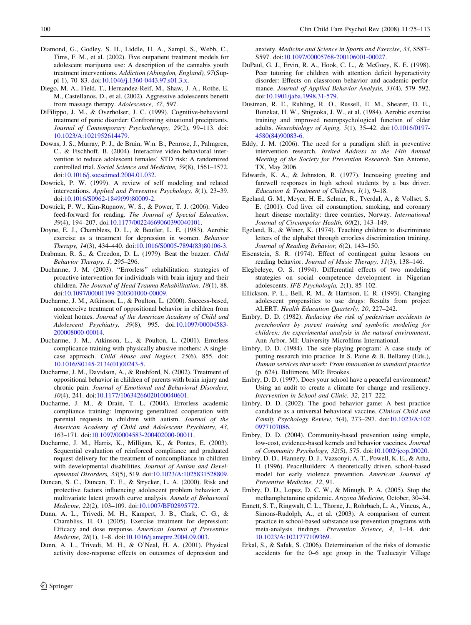- <span id="page-25-0"></span>Diamond, G., Godley, S. H., Liddle, H. A., Sampl, S., Webb, C., Tims, F. M., et al. (2002). Five outpatient treatment models for adolescent marijuana use: A description of the cannabis youth treatment interventions. Addiction (Abingdon, England), 97(Suppl 1), 70–83. doi:[10.1046/j.1360-0443.97.s01.3.x](http://dx.doi.org/10.1046/j.1360-0443.97.s01.3.x).
- Diego, M. A., Field, T., Hernandez-Reif, M., Shaw, J. A., Rothe, E. M., Castellanos, D., et al. (2002). Aggressive adolescents benefit from massage therapy. Adolescence, 37, 597.
- DiFilippo, J. M., & Overholser, J. C. (1999). Cognitive-behavioral treatment of panic disorder: Confronting situational precipitants. Journal of Contemporary Psychotherapy, 29(2), 99–113. doi: [10.1023/A:1021952614479](http://dx.doi.org/10.1023/A:1021952614479).
- Downs, J. S., Murray, P. J., de Bruin, W.n. B., Penrose, J., Palmgren, C., & Fischhoff, B. (2004). Interactive video behavioral intervention to reduce adolescent females' STD risk: A randomized controlled trial. Social Science and Medicine, 59(8), 1561–1572. doi[:10.1016/j.socscimed.2004.01.032.](http://dx.doi.org/10.1016/j.socscimed.2004.01.032)
- Dowrick, P. W. (1999). A review of self modeling and related interventions. Applied and Preventive Psychology, 8(1), 23–39. doi[:10.1016/S0962-1849\(99\)80009-2.](http://dx.doi.org/10.1016/S0962-1849(99)80009-2)
- Dowrick, P. W., Kim-Rupnow, W. S., & Power, T. J. (2006). Video feed-forward for reading. The Journal of Special Education, 39(4), 194–207. doi[:10.1177/00224669060390040101.](http://dx.doi.org/10.1177/00224669060390040101)
- Doyne, E. J., Chambless, D. L., & Beutler, L. E. (1983). Aerobic exercise as a treatment for depression in women. Behavior Therapy, 14(3), 434–440. doi[:10.1016/S0005-7894\(83\)80106-3.](http://dx.doi.org/10.1016/S0005-7894(83)80106-3)
- Drabman, R. S., & Creedon, D. L. (1979). Beat the buzzer. Child Behavior Therapy, 1, 295–296.
- Ducharme, J. M. (2003). ''Errorless'' rehabilitation: strategies of proactive intervention for individuals with brain injury and their children. The Journal of Head Trauma Rehabilitation, 18(1), 88. doi[:10.1097/00001199-200301000-00009.](http://dx.doi.org/10.1097/00001199-200301000-00009)
- Ducharme, J. M., Atkinson, L., & Poulton, L. (2000). Success-based, noncoercive treatment of oppositional behavior in children from violent homes. Journal of the American Academy of Child and Adolescent Psychiatry, 39(8), 995. doi:[10.1097/00004583-](http://dx.doi.org/10.1097/00004583-200008000-00014) [200008000-00014](http://dx.doi.org/10.1097/00004583-200008000-00014).
- Ducharme, J. M., Atkinson, L., & Poulton, L. (2001). Errorless complicance training with physically abusive mothers: A singlecase approach. Child Abuse and Neglect, 25(6), 855. doi: [10.1016/S0145-2134\(01\)00243-5.](http://dx.doi.org/10.1016/S0145-2134(01)00243-5)
- Ducharme, J. M., Davidson, A., & Rushford, N. (2002). Treatment of oppositional behavior in children of parents with brain injury and chronic pain. Journal of Emotional and Behavioral Disorders, 10(4), 241. doi[:10.1177/10634266020100040601.](http://dx.doi.org/10.1177/10634266020100040601)
- Ducharme, J. M., & Drain, T. L. (2004). Errorless academic compliance training: Improving generalized cooperation with parental requests in children with autism. Journal of the American Academy of Child and Adolescent Psychiatry, 43, 163–171. doi:[10.1097/00004583-200402000-00011.](http://dx.doi.org/10.1097/00004583-200402000-00011)
- Ducharme, J. M., Harris, K., Milligan, K., & Pontes, E. (2003). Sequential evaluation of reinforced compliance and graduated request delivery for the treatment of noncompliance in children with developmental disabilities. Journal of Autism and Developmental Disorders, 33(5), 519. doi:[10.1023/A:1025831528809](http://dx.doi.org/10.1023/A:1025831528809).
- Duncan, S. C., Duncan, T. E., & Strycker, L. A. (2000). Risk and protective factors influencing adolescent problem behavior: A multivariate latent growth curve analysis. Annals of Behavioral Medicine, 22(2), 103–109. doi:[10.1007/BF02895772.](http://dx.doi.org/10.1007/BF02895772)
- Dunn, A. L., Trivedi, M. H., Kampert, J. B., Clark, C. G., & Chambliss, H. O. (2005). Exercise treatment for depression: Efficacy and dose response. American Journal of Preventive Medicine, 28(1), 1–8. doi:[10.1016/j.amepre.2004.09.003.](http://dx.doi.org/10.1016/j.amepre.2004.09.003)
- Dunn, A. L., Trivedi, M. H., & O'Neal, H. A. (2001). Physical activity dose-response effects on outcomes of depression and

anxiety. Medicine and Science in Sports and Exercise, 33, S587– S597. doi:[10.1097/00005768-200106001-00027](http://dx.doi.org/10.1097/00005768-200106001-00027).

- DuPaul, G. J., Ervin, R. A., Hook, C. L., & McGoey, K. E. (1998). Peer tutoring for children with attention deficit hyperactivity disorder: Effects on classroom behavior and academic performance. Journal of Applied Behavior Analysis, 31(4), 579–592. doi[:10.1901/jaba.1998.31-579.](http://dx.doi.org/10.1901/jaba.1998.31-579)
- Dustman, R. E., Ruhling, R. O., Russell, E. M., Shearer, D. E., Bonekat, H. W., Shigeoka, J. W., et al. (1984). Aerobic exercise training and improved neuropsychological function of older adults. Neurobiology of Aging, 5(1), 35–42. doi:[10.1016/0197-](http://dx.doi.org/10.1016/0197-4580(84)90083-6) [4580\(84\)90083-6](http://dx.doi.org/10.1016/0197-4580(84)90083-6).
- Eddy, J. M. (2006). The need for a paradigm shift in preventive intervention research. Invited Address to the 14th Annual Meeting of the Society for Prevention Research. San Antonio, TX, May 2006.
- Edwards, K. A., & Johnston, R. (1977). Increasing greeting and farewell responses in high school students by a bus driver. Education & Treatment of Children, 1(1), 9–18.
- Egeland, G. M., Meyer, H. E., Selmer, R., Tverdal, A., & Vollset, S. E. (2001). Cod liver oil consumption, smoking, and coronary heart disease mortality: three counties, Norway. International Journal of Circumpolar Health, 60(2), 143–149.
- Egeland, B., & Winer, K. (1974). Teaching children to discriminate letters of the alphabet through errorless discrimination training. Journal of Reading Behavior, 6(2), 143–150.
- Eisenstein, S. R. (1974). Effect of contingent guitar lessons on reading behavior. Journal of Music Therapy, 11(3), 138–146.
- Elegbeleye, O. S. (1994). Differential effects of two modeling strategies on social competence development in Nigerian adolescents. IFE Psychologia, 2(1), 85–102.
- Ellickson, P. L., Bell, R. M., & Harrison, E. R. (1993). Changing adolescent propensities to use drugs: Results from project ALERT. Health Education Quarterly, 20, 227–242.
- Embry, D. D. (1982). Reducing the risk of pedestrian accidents to preschoolers by parent training and symbolic modeling for children: An experimental analysis in the natural environment. Ann Arbor, MI: University Microfilms International.
- Embry, D. D. (1984). The safe-playing program: A case study of putting research into practice. In S. Paine & B. Bellamy (Eds.), Human services that work: From innovation to standard practice (p. 624). Baltimore, MD: Brookes.
- Embry, D. D. (1997). Does your school have a peaceful environment? Using an audit to create a climate for change and resiliency. Intervention in School and Clinic, 32, 217–222.
- Embry, D. D. (2002). The good behavior game: A best practice candidate as a universal behavioral vaccine. Clinical Child and Family Psychology Review, 5(4), 273–297. doi[:10.1023/A:102](http://dx.doi.org/10.1023/A:1020977107086) [0977107086](http://dx.doi.org/10.1023/A:1020977107086).
- Embry, D. D. (2004). Community-based prevention using simple, low-cost, evidence-based kernels and behavior vaccines. Journal of Community Psychology, 32(5), 575. doi:[10.1002/jcop.20020.](http://dx.doi.org/10.1002/jcop.20020)
- Embry, D. D., Flannery, D. J., Vazsonyi, A. T., Powell, K. E., & Atha, H. (1996). PeaceBuilders: A theoretically driven, school-based model for early violence prevention. American Journal of Preventive Medicine, 12, 91.
- Embry, D. D., Lopez, D. C. W., & Minugh, P. A. (2005). Stop the methamphetamine epidemic. Arizona Medicine, October, 30–34.
- Ennett, S. T., Ringwalt, C. L., Thorne, J., Rohrbach, L. A., Vincus, A., Simons-Rudolph, A., et al. (2003). A comparison of current practice in school-based substance use prevention programs with meta-analysis findings. Prevention Science, 4, 1–14. doi: [10.1023/A:1021777109369.](http://dx.doi.org/10.1023/A:1021777109369)
- Erkal, S., & Safak, S. (2006). Determination of the risks of domestic accidents for the 0–6 age group in the Tuzlucayir Village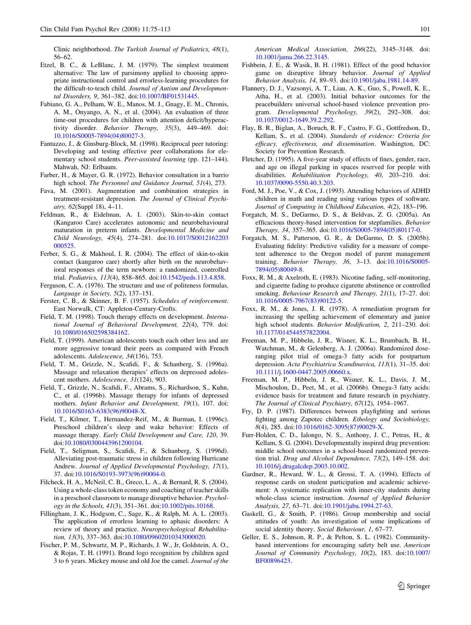<span id="page-26-0"></span>Clinic neighborhood. The Turkish Journal of Pediatrics, 48(1), 56–62.

- Etzel, B. C., & LeBlanc, J. M. (1979). The simplest treatment alternative: The law of parsimony applied to choosing appropriate instructional control and errorless-learning procedures for the difficult-to-teach child. Journal of Autism and Developmental Disorders, 9, 361–382. doi:[10.1007/BF01531445.](http://dx.doi.org/10.1007/BF01531445)
- Fabiano, G. A., Pelham, W. E., Manos, M. J., Gnagy, E. M., Chronis, A. M., Onyango, A. N., et al. (2004). An evaluation of three time-out procedures for children with attention deficit/hyperactivity disorder. Behavior Therapy, 35(3), 449–469. doi: [10.1016/S0005-7894\(04\)80027-3.](http://dx.doi.org/10.1016/S0005-7894(04)80027-3)
- Fantuzzo, J., & Ginsburg-Block, M. (1998). Reciprocal peer tutoring: Developing and testing effective peer collaborations for elementary school students. Peer-assisted learning (pp. 121–144). Mahwah, NJ: Erlbaum.
- Farber, H., & Mayer, G. R. (1972). Behavior consultation in a barrio high school. The Personnel and Guidance Journal, 51(4), 273.
- Fava, M. (2001). Augmentation and combination strategies in treatment-resistant depression. The Journal of Clinical Psychiatry, 62(Suppl 18), 4–11.
- Feldman, R., & Eidelman, A. I. (2003). Skin-to-skin contact (Kangaroo Care) accelerates autonomic and neurobehavioural maturation in preterm infants. Developmental Medicine and Child Neurology, 45(4), 274–281. doi[:10.1017/S0012162203](http://dx.doi.org/10.1017/S0012162203000525) [000525](http://dx.doi.org/10.1017/S0012162203000525).
- Ferber, S. G., & Makhoul, I. R. (2004). The effect of skin-to-skin contact (kangaroo care) shortly after birth on the neurobehavioral responses of the term newborn: a randomized, controlled trial. Pediatrics, 113(4), 858–865. doi:[10.1542/peds.113.4.858](http://dx.doi.org/10.1542/peds.113.4.858).
- Ferguson, C. A. (1976). The structure and use of politeness formulas. Language in Society, 5(2), 137–151.
- Ferster, C. B., & Skinner, B. F. (1957). Schedules of reinforcement. East Norwalk, CT: Appleton-Century-Crofts.
- Field, T. M. (1998). Touch therapy effects on development. International Journal of Behavioral Development, 22(4), 779. doi: [10.1080/016502598384162](http://dx.doi.org/10.1080/016502598384162).
- Field, T. (1999). American adolescents touch each other less and are more aggressive toward their peers as compared with French adolescents. Adolescence, 34(136), 753.
- Field, T. M., Grizzle, N., Scafidi, F., & Schanberg, S. (1996a). Massage and relaxation therapies' effects on depressed adolescent mothers. Adolescence, 31(124), 903.
- Field, T., Grizzle, N., Scafidi, F., Abrams, S., Richardson, S., Kuhn, C., et al. (1996b). Massage therapy for infants of depressed mothers. Infant Behavior and Development, 19(1), 107. doi: [10.1016/S0163-6383\(96\)90048-X.](http://dx.doi.org/10.1016/S0163-6383(96)90048-X)
- Field, T., Kilmer, T., Hernandez-Reif, M., & Burman, I. (1996c). Preschool children's sleep and wake behavior: Effects of massage therapy. Early Child Development and Care, 120, 39. doi[:10.1080/0300443961200104.](http://dx.doi.org/10.1080/0300443961200104)
- Field, T., Seligman, S., Scafidi, F., & Schanberg, S. (1996d). Alleviating post-traumatic stress in children following Hurricane Andrew. Journal of Applied Developmental Psychology, 17(1), 37. doi:[10.1016/S0193-3973\(96\)90004-0](http://dx.doi.org/10.1016/S0193-3973(96)90004-0).
- Filcheck, H. A., McNeil, C. B., Greco, L. A., & Bernard, R. S. (2004). Using a whole-class token economy and coaching of teacher skills in a preschool classroom to manage disruptive behavior. Psychology in the Schools, 41(3), 351–361. doi:[10.1002/pits.10168](http://dx.doi.org/10.1002/pits.10168).
- Fillingham, J. K., Hodgson, C., Sage, K., & Ralph, M. A. L. (2003). The application of errorless learning to aphasic disorders: A review of theory and practice. Neuropsychological Rehabilitation, 13(3), 337–363. doi[:10.1080/09602010343000020](http://dx.doi.org/10.1080/09602010343000020).
- Fischer, P. M., Schwartz, M. P., Richards, J. W., Jr, Goldstein, A. O., & Rojas, T. H. (1991). Brand logo recognition by children aged 3 to 6 years. Mickey mouse and old Joe the camel. Journal of the

American Medical Association, 266(22), 3145–3148. doi: [10.1001/jama.266.22.3145](http://dx.doi.org/10.1001/jama.266.22.3145).

- Fishbein, J. E., & Wasik, B. H. (1981). Effect of the good behavior game on disruptive library behavior. Journal of Applied Behavior Analysis, 14, 89–93. doi:[10.1901/jaba.1981.14-89.](http://dx.doi.org/10.1901/jaba.1981.14-89)
- Flannery, D. J., Vazsonyi, A. T., Liau, A. K., Guo, S., Powell, K. E., Atha, H., et al. (2003). Initial behavior outcomes for the peacebuilders universal school-based violence prevention program. Developmental Psychology, 39(2), 292–308. doi: [10.1037/0012-1649.39.2.292.](http://dx.doi.org/10.1037/0012-1649.39.2.292)
- Flay, B. R., Biglan, A., Boruch, R. F., Castro, F. G., Gottfredson, D., Kellam, S., et al. (2004). Standards of evidence: Criteria for efficacy, effectiveness, and dissemination. Washington, DC: Society for Prevention Research.
- Fletcher, D. (1995). A five-year study of effects of fines, gender, race, and age on illegal parking in spaces reserved for people with disabilities. Rehabilitation Psychology, 40, 203–210. doi: [10.1037/0090-5550.40.3.203.](http://dx.doi.org/10.1037/0090-5550.40.3.203)
- Ford, M. J., Poe, V., & Cox, J. (1993). Attending behaviors of ADHD children in math and reading using various types of software. Journal of Computing in Childhood Education, 4(2), 183–196.
- Forgatch, M. S., DeGarmo, D. S., & Beldvas, Z. G. (2005a). An efficacious theory-based intervention for stepfamilies. Behavior Therapy, 34, 357–365. doi:[10.1016/S0005-7894\(05\)80117-0](http://dx.doi.org/10.1016/S0005-7894(05)80117-0).
- Forgatch, M. S., Patterson, G. R., & DeGarmo, D. S. (2005b). Evaluating fidelity: Predictive validity for a measure of competent adherence to the Oregon model of parent management training. Behavior Therapy, 36, 3–13. doi:[10.1016/S0005-](http://dx.doi.org/10.1016/S0005-7894(05)80049-8) [7894\(05\)80049-8](http://dx.doi.org/10.1016/S0005-7894(05)80049-8).
- Foxx, R. M., & Axelroth, E. (1983). Nicotine fading, self-monitoring, and cigarette fading to produce cigarette abstinence or controlled smoking. Behaviour Research and Therapy, 21(1), 17–27. doi: [10.1016/0005-7967\(83\)90122-5](http://dx.doi.org/10.1016/0005-7967(83)90122-5).
- Foxx, R. M., & Jones, J. R. (1978). A remediation program for increasing the spelling achievement of elementary and junior high school students. *Behavior Modification*, 2, 211–230. doi: [10.1177/014544557822004.](http://dx.doi.org/10.1177/014544557822004)
- Freeman, M. P., Hibbeln, J. R., Wisner, K. L., Brumbach, B. H., Watchman, M., & Gelenberg, A. J. (2006a). Randomized doseranging pilot trial of omega-3 fatty acids for postpartum depression. Acta Psychiatrica Scandinavica, 113(1), 31–35. doi: [10.1111/j.1600-0447.2005.00660.x.](http://dx.doi.org/10.1111/j.1600-0447.2005.00660.x)
- Freeman, M. P., Hibbeln, J. R., Wisner, K. L., Davis, J. M., Mischoulon, D., Peet, M., et al. (2006b). Omega-3 fatty acids: evidence basis for treatment and future research in psychiatry. The Journal of Clinical Psychiatry, 67(12), 1954–1967.
- Fry, D. P. (1987). Differences between playfighting and serious fighting among Zapotec children. Ethology and Sociobiology, 8(4), 285. doi[:10.1016/0162-3095\(87\)90029-X.](http://dx.doi.org/10.1016/0162-3095(87)90029-X)
- Furr-Holden, C. D., Ialongo, N. S., Anthony, J. C., Petras, H., & Kellam, S. G. (2004). Developmentally inspired drug prevention: middle school outcomes in a school-based randomized prevention trial. Drug and Alcohol Dependence, 73(2), 149–158. doi: [10.1016/j.drugalcdep.2003.10.002.](http://dx.doi.org/10.1016/j.drugalcdep.2003.10.002)
- Gardner, R., Heward, W. L., & Grossi, T. A. (1994). Effects of response cards on student participation and academic achievement: A systematic replication with inner-city students during whole-class science instruction. Journal of Applied Behavior Analysis, 27, 63–71. doi:[10.1901/jaba.1994.27-63.](http://dx.doi.org/10.1901/jaba.1994.27-63)
- Gaskell, G., & Smith, P. (1986). Group membership and social attitudes of youth: An investigation of some implications of social identity theory. Social Behaviour, 1, 67-77.
- Geller, E. S., Johnson, R. P., & Pelton, S. L. (1982). Communitybased interventions for encouraging safety belt use. American Journal of Community Psychology, 10(2), 183. doi[:10.1007/](http://dx.doi.org/10.1007/BF00896423) [BF00896423](http://dx.doi.org/10.1007/BF00896423).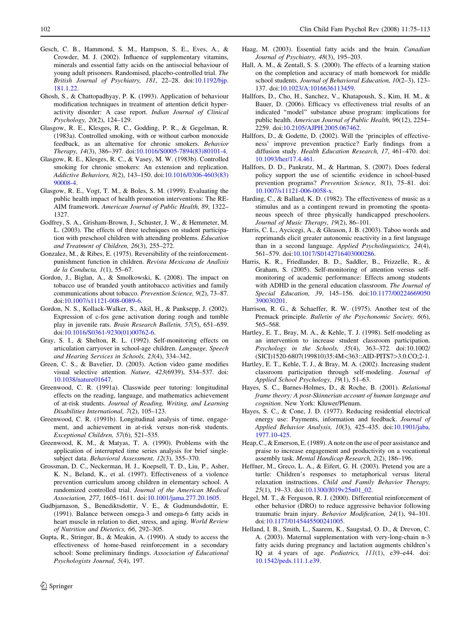- <span id="page-27-0"></span>Gesch, C. B., Hammond, S. M., Hampson, S. E., Eves, A., & Crowder, M. J. (2002). Influence of supplementary vitamins, minerals and essential fatty acids on the antisocial behaviour of young adult prisoners. Randomised, placebo-controlled trial. The British Journal of Psychiatry, 181, 22–28. doi[:10.1192/bjp.](http://dx.doi.org/10.1192/bjp.181.1.22) [181.1.22.](http://dx.doi.org/10.1192/bjp.181.1.22)
- Ghosh, S., & Chattopadhyay, P. K. (1993). Application of behaviour modification techniques in treatment of attention deficit hyperactivity disorder: A case report. Indian Journal of Clinical Psychology, 20(2), 124–129.
- Glasgow, R. E., Klesges, R. C., Godding, P. R., & Gegelman, R. (1983a). Controlled smoking, with or without carbon monoxide feedback, as an alternative for chronic smokers. Behavior Therapy, 14(3), 386–397. doi[:10.1016/S0005-7894\(83\)80101-4.](http://dx.doi.org/10.1016/S0005-7894(83)80101-4)
- Glasgow, R. E., Klesges, R. C., & Vasey, M. W. (1983b). Controlled smoking for chronic smokers: An extension and replication. Addictive Behaviors, 8(2), 143–150. doi[:10.1016/0306-4603\(83\)](http://dx.doi.org/10.1016/0306-4603(83)90008-4) [90008-4](http://dx.doi.org/10.1016/0306-4603(83)90008-4).
- Glasgow, R. E., Vogt, T. M., & Boles, S. M. (1999). Evaluating the public health impact of health promotion interventions: The RE-AIM framework. American Journal of Public Health, 89, 1322– 1327.
- Godfrey, S. A., Grisham-Brown, J., Schuster, J. W., & Hemmeter, M. L. (2003). The effects of three techniques on student participation with preschool children with attending problems. Education and Treatment of Children, 26(3), 255–272.
- Gonzalez, M., & Ribes, E. (1975). Reversibility of the reinforcementpunishment function in children. Revista Mexicana de Anaîlisis de la Conducta, 1(1), 55–67.
- Gordon, J., Biglan, A., & Smolkowski, K. (2008). The impact on tobacco use of branded youth antitobacco activities and family communications about tobacco. Prevention Science, 9(2), 73–87. doi[:10.1007/s11121-008-0089-6.](http://dx.doi.org/10.1007/s11121-008-0089-6)
- Gordon, N. S., Kollack-Walker, S., Akil, H., & Panksepp, J. (2002). Expression of c-fos gene activation during rough and tumble play in juvenile rats. Brain Research Bulletin, 57(5), 651–659. doi[:10.1016/S0361-9230\(01\)00762-6.](http://dx.doi.org/10.1016/S0361-9230(01)00762-6)
- Gray, S. I., & Shelton, R. L. (1992). Self-monitoring effects on articulation carryover in school-age children. Language, Speech and Hearing Services in Schools, 23(4), 334–342.
- Green, C. S., & Bavelier, D. (2003). Action video game modifies visual selective attention. Nature, 423(6939), 534–537. doi: [10.1038/nature01647](http://dx.doi.org/10.1038/nature01647).
- Greenwood, C. R. (1991a). Classwide peer tutoring: longitudinal effects on the reading, language, and mathematics achievement of at-risk students. Journal of Reading, Writing, and Learning Disabilities International, 7(2), 105–123.
- Greenwood, C. R. (1991b). Longitudinal analysis of time, engagement, and achievement in at-risk versus non-risk students. Exceptional Children, 57(6), 521–535.
- Greenwood, K. M., & Matyas, T. A. (1990). Problems with the application of interrupted time series analysis for brief singlesubject data. Behavioral Assessment, 12(3), 355–370.
- Grossman, D. C., Neckerman, H. J., Koepsell, T. D., Liu, P., Asher, K. N., Beland, K., et al. (1997). Effectiveness of a violence prevention curriculum among children in elementary school. A randomized controlled trial. Journal of the American Medical Association, 277, 1605–1611. doi:[10.1001/jama.277.20.1605](http://dx.doi.org/10.1001/jama.277.20.1605).
- Gudbjarnason, S., Benediktsdottir, V. E., & Gudmundsdottir, E. (1991). Balance between omega-3 and omega-6 fatty acids in heart muscle in relation to diet, stress, and aging. World Review of Nutrition and Dietetics, 66, 292–305.
- Gupta, R., Stringer, B., & Meakin, A. (1990). A study to access the effectiveness of home-based reinforcement in a secondary school: Some preliminary findings. Association of Educational Psychologists Journal, 5(4), 197.
- Haag, M. (2003). Essential fatty acids and the brain. Canadian Journal of Psychiatry, 48(3), 195–203.
- Hall, A. M., & Zentall, S. S. (2000). The effects of a learning station on the completion and accuracy of math homework for middle school students. Journal of Behavioral Education, 10(2–3), 123– 137. doi[:10.1023/A:1016636113459](http://dx.doi.org/10.1023/A:1016636113459).
- Hallfors, D., Cho, H., Sanchez, V., Khatapoush, S., Kim, H. M., & Bauer, D. (2006). Efficacy vs effectiveness trial results of an indicated ''model'' substance abuse program: implications for public health. American Journal of Public Health, 96(12), 2254– 2259. doi[:10.2105/AJPH.2005.067462.](http://dx.doi.org/10.2105/AJPH.2005.067462)
- Hallfors, D., & Godette, D. (2002). Will the 'principles of effectiveness' improve prevention practice? Early findings from a diffusion study. Health Education Research, 17, 461–470. doi: [10.1093/her/17.4.461.](http://dx.doi.org/10.1093/her/17.4.461)
- Hallfors, D. D., Pankratz, M., & Hartman, S. (2007). Does federal policy support the use of scientific evidence in school-based prevention programs? Prevention Science, 8(1), 75–81. doi: [10.1007/s11121-006-0058-x.](http://dx.doi.org/10.1007/s11121-006-0058-x)
- Harding, C., & Ballard, K. D. (1982). The effectiveness of music as a stimulus and as a contingent reward in promoting the spontaneous speech of three physically handicapped preschoolers. Journal of Music Therapy, 19(2), 86–101.
- Harris, C. L., Aycicegi, A., & Gleason, J. B. (2003). Taboo words and reprimands elicit greater autonomic reactivity in a first language than in a second language. Applied Psycholinguistics, 24(4), 561–579. doi:[10.1017/S0142716403000286](http://dx.doi.org/10.1017/S0142716403000286).
- Harris, K. R., Friedlander, B. D., Saddler, B., Frizzelle, R., & Graham, S. (2005). Self-monitoring of attention versus selfmonitoring of academic performance: Effects among students with ADHD in the general education classroom. The Journal of Special Education, 39, 145–156. doi:[10.1177/00224669050](http://dx.doi.org/10.1177/00224669050390030201) [390030201](http://dx.doi.org/10.1177/00224669050390030201).
- Harrison, R. G., & Schaeffer, R. W. (1975). Another test of the Premack principle. Bulletin of the Psychonomic Society, 6(6), 565–568.
- Hartley, E. T., Bray, M. A., & Kehle, T. J. (1998). Self-modeling as an intervention to increase student classroom participation. Psychology in the Schools, 35(4), 363–372. doi:10.1002/ (SICI)1520-6807(199810)35:4M<363::AID-PITS7>3.0.CO;2-1.
- Hartley, E. T., Kehle, T. J., & Bray, M. A. (2002). Increasing student classroom participation through self-modeling. Journal of Applied School Psychology, 19(1), 51–63.
- Hayes, S. C., Barnes-Holmes, D., & Roche, B. (2001). Relational frame theory: A post-Skinnerian account of human language and cognition. New York: Kluwer/Plenum.
- Hayes, S. C., & Cone, J. D. (1977). Reducing residential electrical energy use: Payments, information and feedback. Journal of Applied Behavior Analysis, 10(3), 425–435. doi[:10.1901/jaba.](http://dx.doi.org/10.1901/jaba.1977.10-425) [1977.10-425](http://dx.doi.org/10.1901/jaba.1977.10-425).
- Heap, C., & Emerson, E. (1989). A note on the use of peer assistance and praise to increase engagement and productivity on a vocational assembly task. Mental Handicap Research, 2(2), 186–196.
- Heffner, M., Greco, L. A., & Eifert, G. H. (2003). Pretend you are a turtle: Children's responses to metaphorical versus literal relaxation instructions. Child and Family Behavior Therapy, 25(1), 19–33. doi:[10.1300/J019v25n01\\_02.](http://dx.doi.org/10.1300/J019v25n01_02)
- Hegel, M. T., & Ferguson, R. J. (2000). Differential reinforcement of other behavior (DRO) to reduce aggressive behavior following traumatic brain injury. Behavior Modification, 24(1), 94–101. doi[:10.1177/0145445500241005](http://dx.doi.org/10.1177/0145445500241005).
- Helland, I. B., Smith, L., Saarem, K., Saugstad, O. D., & Drevon, C. A. (2003). Maternal supplementation with very-long-chain n-3 fatty acids during pregnancy and lactation augments children's IQ at 4 years of age. Pediatrics, 111(1), e39–e44. doi: [10.1542/peds.111.1.e39](http://dx.doi.org/10.1542/peds.111.1.e39).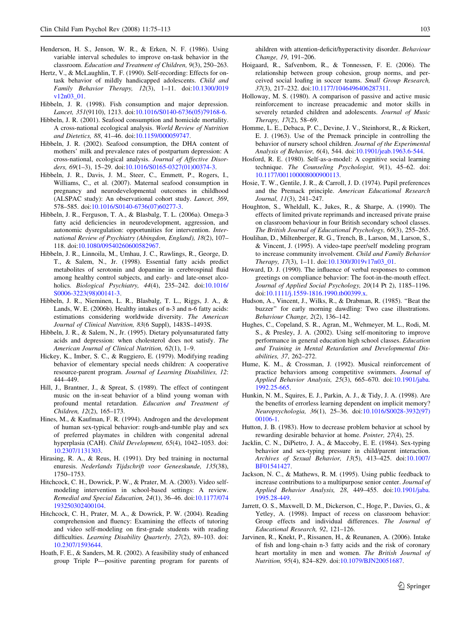- <span id="page-28-0"></span>Henderson, H. S., Jenson, W. R., & Erken, N. F. (1986). Using variable interval schedules to improve on-task behavior in the classroom. Education and Treatment of Children, 9(3), 250–263.
- Hertz, V., & McLaughlin, T. F. (1990). Self-recording: Effects for ontask behavior of mildly handicapped adolescents. Child and Family Behavior Therapy, 12(3), 1–11. doi[:10.1300/J019](http://dx.doi.org/10.1300/J019v12n03_01) [v12n03\\_01](http://dx.doi.org/10.1300/J019v12n03_01).
- Hibbeln, J. R. (1998). Fish consumption and major depression. Lancet, 351(9110), 1213. doi[:10.1016/S0140-6736\(05\)79168-6](http://dx.doi.org/10.1016/S0140-6736(05)79168-6).
- Hibbeln, J. R. (2001). Seafood consumption and homicide mortality. A cross-national ecological analysis. World Review of Nutrition and Dietetics, 88, 41–46. doi[:10.1159/000059747.](http://dx.doi.org/10.1159/000059747)
- Hibbeln, J. R. (2002). Seafood consumption, the DHA content of mothers' milk and prevalence rates of postpartum depression: A cross-national, ecological analysis. Journal of Affective Disorders, 69(1–3), 15–29. doi:[10.1016/S0165-0327\(01\)00374-3](http://dx.doi.org/10.1016/S0165-0327(01)00374-3).
- Hibbeln, J. R., Davis, J. M., Steer, C., Emmett, P., Rogers, I., Williams, C., et al. (2007). Maternal seafood consumption in pregnancy and neurodevelopmental outcomes in childhood (ALSPAC study): An observational cohort study. Lancet, 369, 578–585. doi:[10.1016/S0140-6736\(07\)60277-3](http://dx.doi.org/10.1016/S0140-6736(07)60277-3).
- Hibbeln, J. R., Ferguson, T. A., & Blasbalg, T. L. (2006a). Omega-3 fatty acid deficiencies in neurodevelopment, aggression, and autonomic dysregulation: opportunities for intervention. International Review of Psychiatry (Abingdon, England), 18(2), 107– 118. doi:[10.1080/09540260600582967.](http://dx.doi.org/10.1080/09540260600582967)
- Hibbeln, J. R., Linnoila, M., Umhau, J. C., Rawlings, R., George, D. T., & Salem, N., Jr. (1998). Essential fatty acids predict metabolites of serotonin and dopamine in cerebrospinal fluid among healthy control subjects, and early- and late-onset alcoholics. Biological Psychiatry, 44(4), 235–242. doi[:10.1016/](http://dx.doi.org/10.1016/S0006-3223(98)00141-3) [S0006-3223\(98\)00141-3.](http://dx.doi.org/10.1016/S0006-3223(98)00141-3)
- Hibbeln, J. R., Nieminen, L. R., Blasbalg, T. L., Riggs, J. A., & Lands, W. E. (2006b). Healthy intakes of n-3 and n-6 fatty acids: estimations considering worldwide diversity. The American Journal of Clinical Nutrition, 83(6 Suppl), 1483S–1493S.
- Hibbeln, J. R., & Salem, N., Jr. (1995). Dietary polyunsaturated fatty acids and depression: when cholesterol does not satisfy. The American Journal of Clinical Nutrition, 62(1), 1–9.
- Hickey, K., Imber, S. C., & Ruggiero, E. (1979). Modifying reading behavior of elementary special needs children: A cooperative resource-parent program. Journal of Learning Disabilities, 12: 444–449.
- Hill, J., Brantner, J., & Spreat, S. (1989). The effect of contingent music on the in-seat behavior of a blind young woman with profound mental retardation. Education and Treatment of Children, 12(2), 165–173.
- Hines, M., & Kaufman, F. R. (1994). Androgen and the development of human sex-typical behavior: rough-and-tumble play and sex of preferred playmates in children with congenital adrenal hyperplasia (CAH). Child Development, 65(4), 1042–1053. doi: [10.2307/1131303.](http://dx.doi.org/10.2307/1131303)
- Hirasing, R. A., & Reus, H. (1991). Dry bed training in nocturnal enuresis. Nederlands Tijdschrift voor Geneeskunde, 135(38), 1750–1753.
- Hitchcock, C. H., Dowrick, P. W., & Prater, M. A. (2003). Video selfmodeling intervention in school-based settings: A review. Remedial and Special Education, 24(1), 36–46. doi:[10.1177/074](http://dx.doi.org/10.1177/074193250302400104) [193250302400104.](http://dx.doi.org/10.1177/074193250302400104)
- Hitchcock, C. H., Prater, M. A., & Dowrick, P. W. (2004). Reading comprehension and fluency: Examining the effects of tutoring and video self-modeling on first-grade students with reading difficulties. Learning Disability Quarterly, 27(2), 89–103. doi: [10.2307/1593644.](http://dx.doi.org/10.2307/1593644)
- Hoath, F. E., & Sanders, M. R. (2002). A feasibility study of enhanced group Triple P—positive parenting program for parents of

ahildren with attention-deficit/hyperactivity disorder. Behaviour Change, 19, 191–206.

- Hoigaard, R., Safvenbom, R., & Tonnessen, F. E. (2006). The relationship between group cohesion, group norms, and perceived social loafing in soccer teams. Small Group Research, 37(3), 217–232. doi[:10.1177/1046496406287311.](http://dx.doi.org/10.1177/1046496406287311)
- Holloway, M. S. (1980). A comparison of passive and active music reinforcement to increase preacademic and motor skills in severely retarded children and adolescents. Journal of Music Therapy, 17(2), 58–69.
- Homme, L. E., Debaca, P. C., Devine, J. V., Steinhorst, R., & Rickert, E. J. (1963). Use of the Premack principle in controlling the behavior of nursery school children. Journal of the Experimental Analysis of Behavior, 6(4), 544. doi[:10.1901/jeab.1963.6-544](http://dx.doi.org/10.1901/jeab.1963.6-544).
- Hosford, R. E. (1980). Self-as-a-model: A cognitive social learning technique. The Counseling Psychologist, 9(1), 45–62. doi: [10.1177/001100008000900113](http://dx.doi.org/10.1177/001100008000900113).
- Hosie, T. W., Gentile, J. R., & Carroll, J. D. (1974). Pupil preferences and the Premack principle. American Educational Research Journal, 11(3), 241–247.
- Houghton, S., Wheldall, K., Jukes, R., & Sharpe, A. (1990). The effects of limited private reprimands and increased private praise on classroom behaviour in four British secondary school classes. The British Journal of Educational Psychology, 60(3), 255–265.
- Houlihan, D., Miltenberger, R. G., Trench, B., Larson, M., Larson, S., & Vincent, J. (1995). A video-tape peer/self modeling program to increase community involvement. Child and Family Behavior Therapy, 17(3), 1–11. doi:[10.1300/J019v17n03\\_01.](http://dx.doi.org/10.1300/J019v17n03_01)
- Howard, D. J. (1990). The influence of verbal responses to common greetings on compliance behavior: The foot-in-the-mouth effect. Journal of Applied Social Psychology, 20(14 Pt 2), 1185–1196. doi[:10.1111/j.1559-1816.1990.tb00399.x.](http://dx.doi.org/10.1111/j.1559-1816.1990.tb00399.x)
- Hudson, A., Vincent, J., Wilks, R., & Drabman, R. (1985). ''Beat the buzzer'' for early morning dawdling: Two case illustrations. Behaviour Change, 2(2), 136–142.
- Hughes, C., Copeland, S. R., Agran, M., Wehmeyer, M. L., Rodi, M. S., & Presley, J. A. (2002). Using self-monitoring to improve performance in general education high school classes. Education and Training in Mental Retardation and Developmental Disabilities, 37, 262–272.
- Hume, K. M., & Crossman, J. (1992). Musical reinforcement of practice behaviors among competitive swimmers. Journal of Applied Behavior Analysis, 25(3), 665–670. doi[:10.1901/jaba.](http://dx.doi.org/10.1901/jaba.1992.25-665) [1992.25-665](http://dx.doi.org/10.1901/jaba.1992.25-665).
- Hunkin, N. M., Squires, E. J., Parkin, A. J., & Tidy, J. A. (1998). Are the benefits of errorless learning dependent on implicit memory? Neuropsychologia, 36(1), 25–36. doi:[10.1016/S0028-3932\(97\)](http://dx.doi.org/10.1016/S0028-3932(97)00106-1) [00106-1](http://dx.doi.org/10.1016/S0028-3932(97)00106-1).
- Hutton, J. B. (1983). How to decrease problem behavior at school by rewarding desirable behavior at home. Pointer, 27(4), 25.
- Jacklin, C. N., DiPietro, J. A., & Maccoby, E. E. (1984). Sex-typing behavior and sex-typing pressure in child/parent interaction. Archives of Sexual Behavior, 13(5), 413–425. doi[:10.1007/](http://dx.doi.org/10.1007/BF01541427) [BF01541427](http://dx.doi.org/10.1007/BF01541427).
- Jackson, N. C., & Mathews, R. M. (1995). Using public feedback to increase contributions to a multipurpose senior center. Journal of Applied Behavior Analysis, 28, 449–455. doi[:10.1901/jaba.](http://dx.doi.org/10.1901/jaba.1995.28-449) [1995.28-449](http://dx.doi.org/10.1901/jaba.1995.28-449).
- Jarrett, O. S., Maxwell, D. M., Dickerson, C., Hoge, P., Davies, G., & Yetley, A. (1998). Impact of recess on classroom behavior: Group effects and individual differences. The Journal of Educational Research, 92, 121–126.
- Jarvinen, R., Knekt, P., Rissanen, H., & Reunanen, A. (2006). Intake of fish and long-chain n-3 fatty acids and the risk of coronary heart mortality in men and women. The British Journal of Nutrition, 95(4), 824–829. doi[:10.1079/BJN20051687](http://dx.doi.org/10.1079/BJN20051687).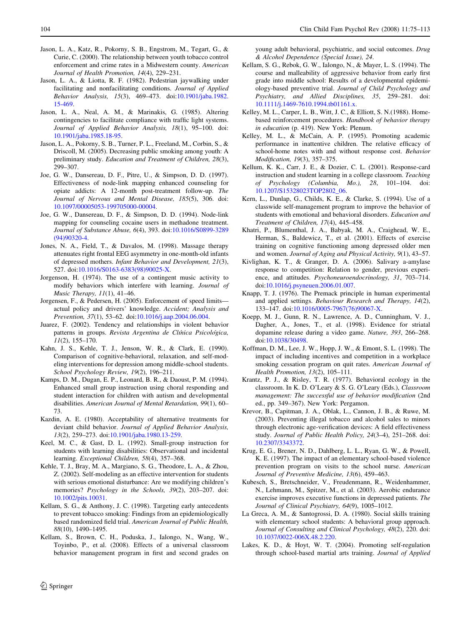- <span id="page-29-0"></span>Jason, L. A., Katz, R., Pokorny, S. B., Engstrom, M., Tegart, G., & Curie, C. (2000). The relationship between youth tobacco control enforcement and crime rates in a Midwestern county. American Journal of Health Promotion, 14(4), 229–231.
- Jason, L. A., & Liotta, R. F. (1982). Pedestrian jaywalking under facilitating and nonfacilitating conditions. Journal of Applied Behavior Analysis, 15(3), 469–473. doi:[10.1901/jaba.1982.](http://dx.doi.org/10.1901/jaba.1982.15-469) [15-469](http://dx.doi.org/10.1901/jaba.1982.15-469).
- Jason, L. A., Neal, A. M., & Marinakis, G. (1985). Altering contingencies to facilitate compliance with traffic light systems. Journal of Applied Behavior Analysis, 18(1), 95–100. doi: [10.1901/jaba.1985.18-95](http://dx.doi.org/10.1901/jaba.1985.18-95).
- Jason, L. A., Pokorny, S. B., Turner, P. L., Freeland, M., Corbin, S., & Driscoll, M. (2005). Decreasing public smoking among youth: A preliminary study. Education and Treatment of Children, 28(3), 299–307.
- Joe, G. W., Dansereau, D. F., Pitre, U., & Simpson, D. D. (1997). Effectiveness of node-link mapping enhanced counseling for opiate addicts: A 12-month post-treatment follow-up. The Journal of Nervous and Mental Disease, 185(5), 306. doi: [10.1097/00005053-199705000-00004.](http://dx.doi.org/10.1097/00005053-199705000-00004)
- Joe, G. W., Dansereau, D. F., & Simpson, D. D. (1994). Node-link mapping for counseling cocaine users in methadone treatment. Journal of Substance Abuse, 6(4), 393. doi:[10.1016/S0899-3289](http://dx.doi.org/10.1016/S0899-3289(94)90320-4) [\(94\)90320-4](http://dx.doi.org/10.1016/S0899-3289(94)90320-4).
- Jones, N. A., Field, T., & Davalos, M. (1998). Massage therapy attenuates right frontal EEG asymmetry in one-month-old infants of depressed mothers. Infant Behavior and Development, 21(3), 527. doi:[10.1016/S0163-6383\(98\)90025-X](http://dx.doi.org/10.1016/S0163-6383(98)90025-X).
- Jorgenson, H. (1974). The use of a contingent music activity to modify behaviors which interfere with learning. Journal of Music Therapy, 11(1), 41–46.
- Jorgensen, F., & Pedersen, H. (2005). Enforcement of speed limits actual policy and drivers' knowledge. Accident; Analysis and Prevention, 37(1), 53–62. doi:[10.1016/j.aap.2004.06.004.](http://dx.doi.org/10.1016/j.aap.2004.06.004)
- Juarez, F. (2002). Tendency and relationships in violent behavior patterns in groups. Revista Argentina de Clínica Psicológica, 11(2), 155–170.
- Kahn, J. S., Kehle, T. J., Jenson, W. R., & Clark, E. (1990). Comparison of cognitive-behavioral, relaxation, and self-modeling interventions for depression among middle-school students. School Psychology Review, 19(2), 196–211.
- Kamps, D. M., Dugan, E. P., Leonard, B. R., & Daoust, P. M. (1994). Enhanced small group instruction using choral responding and student interaction for children with autism and developmental disabilities. American Journal of Mental Retardation, 99(1), 60– 73.
- Kazdin, A. E. (1980). Acceptability of alternative treatments for deviant child behavior. Journal of Applied Behavior Analysis, 13(2), 259–273. doi[:10.1901/jaba.1980.13-259](http://dx.doi.org/10.1901/jaba.1980.13-259).
- Keel, M. C., & Gast, D. L. (1992). Small-group instruction for students with learning disabilities: Observational and incidental learning. Exceptional Children, 58(4), 357–368.
- Kehle, T. J., Bray, M. A., Margiano, S. G., Theodore, L. A., & Zhou, Z. (2002). Self-modeling as an effective intervention for students with serious emotional disturbance: Are we modifying children's memories? Psychology in the Schools, 39(2), 203–207. doi: [10.1002/pits.10031.](http://dx.doi.org/10.1002/pits.10031)
- Kellam, S. G., & Anthony, J. C. (1998). Targeting early antecedents to prevent tobacco smoking: Findings from an epidemiologically based randomized field trial. American Journal of Public Health, 88(10), 1490–1495.
- Kellam, S., Brown, C. H., Poduska, J., Ialongo, N., Wang, W., Toyinbo, P., et al. (2008). Effects of a universal classroom behavior management program in first and second grades on

young adult behavioral, psychiatric, and social outcomes. Drug & Alcohol Dependence (Special Issue), 24.

- Kellam, S. G., Rebok, G. W., Ialongo, N., & Mayer, L. S. (1994). The course and malleability of aggressive behavior from early first grade into middle school: Results of a developmental epidemiology-based preventive trial. Journal of Child Psychology and Psychiatry, and Allied Disciplines, 35, 259–281. doi: [10.1111/j.1469-7610.1994.tb01161.x.](http://dx.doi.org/10.1111/j.1469-7610.1994.tb01161.x)
- Kelley, M. L., Carper, L. B., Witt, J. C., & Elliott, S. N.(1988). Homebased reinforcement procedures. Handbook of behavior therapy in education (p. 419). New York: Plenum.
- Kelley, M. L., & McCain, A. P. (1995). Promoting academic performance in inattentive children. The relative efficacy of school-home notes with and without response cost. Behavior Modification, 19(3), 357–375.
- Kellum, K. K., Carr, J. E., & Dozier, C. L. (2001). Response-card instruction and student learning in a college classroom. Teaching of Psychology (Columbia, Mo.), 28, 101–104. doi: [10.1207/S15328023TOP2802\\_06](http://dx.doi.org/10.1207/S15328023TOP2802_06).
- Kern, L., Dunlap, G., Childs, K. E., & Clarke, S. (1994). Use of a classwide self-management program to improve the behavior of students with emotional and behavioral disorders. Education and Treatment of Children, 17(4), 445–458.
- Khatri, P., Blumenthal, J. A., Babyak, M. A., Craighead, W. E., Herman, S., Baldewicz, T., et al. (2001). Effects of exercise training on cognitive functioning among depressed older men and women. Journal of Aging and Physical Activity, 9(1), 43–57.
- Kivlighan, K. T., & Granger, D. A. (2006). Salivary a-amylase response to competition: Relation to gender, previous experience, and attitudes. Psychoneuroendocrinology, 31, 703–714. doi[:10.1016/j.psyneuen.2006.01.007](http://dx.doi.org/10.1016/j.psyneuen.2006.01.007).
- Knapp, T. J. (1976). The Premack principle in human experimental and applied settings. Behaviour Research and Therapy, 14(2), 133–147. doi:[10.1016/0005-7967\(76\)90067-X.](http://dx.doi.org/10.1016/0005-7967(76)90067-X)
- Koepp, M. J., Gunn, R. N., Lawrence, A. D., Cunningham, V. J., Dagher, A., Jones, T., et al. (1998). Evidence for striatal dopamine release during a video game. Nature, 393, 266–268. doi[:10.1038/30498](http://dx.doi.org/10.1038/30498).
- Koffman, D. M., Lee, J. W., Hopp, J. W., & Emont, S. L. (1998). The impact of including incentives and competition in a workplace smoking cessation program on quit rates. American Journal of Health Promotion, 13(2), 105–111.
- Krantz, P. J., & Risley, T. R. (1977). Behavioral ecology in the classroom. In K. D. O'Leary & S. G. O'Leary (Eds.), Classroom management: The successful use of behavior modification (2nd ed., pp. 349–367). New York: Pergamon.
- Krevor, B., Capitman, J. A., Oblak, L., Cannon, J. B., & Ruwe, M. (2003). Preventing illegal tobacco and alcohol sales to minors through electronic age-verification devices: A field effectiveness study. Journal of Public Health Policy, 24(3–4), 251–268. doi: [10.2307/3343372.](http://dx.doi.org/10.2307/3343372)
- Krug, E. G., Brener, N. D., Dahlberg, L. L., Ryan, G. W., & Powell, K. E. (1997). The impact of an elementary school-based violence prevention program on visits to the school nurse. American Journal of Preventive Medicine, 13(6), 459–463.
- Kubesch, S., Bretschneider, V., Freudenmann, R., Weidenhammer, N., Lehmann, M., Spitzer, M., et al. (2003). Aerobic endurance exercise improves executive functions in depressed patients. The Journal of Clinical Psychiatry, 64(9), 1005–1012.
- La Greca, A. M., & Santogrossi, D. A. (1980). Social skills training with elementary school students: A behavioral group approach. Journal of Consulting and Clinical Psychology, 48(2), 220. doi: [10.1037/0022-006X.48.2.220](http://dx.doi.org/10.1037/0022-006X.48.2.220).
- Lakes, K. D., & Hoyt, W. T. (2004). Promoting self-regulation through school-based martial arts training. Journal of Applied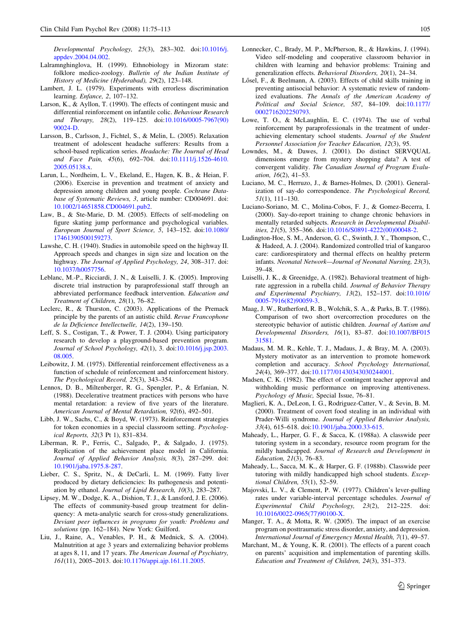<span id="page-30-0"></span>Developmental Psychology, 25(3), 283–302. doi:[10.1016/j.](http://dx.doi.org/10.1016/j.appdev.2004.04.002) [appdev.2004.04.002](http://dx.doi.org/10.1016/j.appdev.2004.04.002).

- Lalramnghinglova, H. (1999). Ethnobiology in Mizoram state: folklore medico-zoology. Bulletin of the Indian Institute of History of Medicine (Hyderabad), 29(2), 123–148.
- Lambert, J. L. (1979). Experiments with errorless discrimination learning. Enfance, 2, 107–132.
- Larson, K., & Ayllon, T. (1990). The effects of contingent music and differential reinforcement on infantile colic. Behaviour Research and Therapy, 28(2), 119–125. doi[:10.1016/0005-7967\(90\)](http://dx.doi.org/10.1016/0005-7967(90)90024-D) [90024-D](http://dx.doi.org/10.1016/0005-7967(90)90024-D).
- Larsson, B., Carlsson, J., Fichtel, S., & Melin, L. (2005). Relaxation treatment of adolescent headache sufferers: Results from a school-based replication series. Headache: The Journal of Head and Face Pain, 45(6), 692–704. doi:[10.1111/j.1526-4610.](http://dx.doi.org/10.1111/j.1526-4610.2005.05138.x) [2005.05138.x.](http://dx.doi.org/10.1111/j.1526-4610.2005.05138.x)
- Larun, L., Nordheim, L. V., Ekeland, E., Hagen, K. B., & Heian, F. (2006). Exercise in prevention and treatment of anxiety and depression among children and young people. Cochrane Database of Systematic Reviews, 3, article number: CD004691. doi: [10.1002/14651858.CD004691.pub2](http://dx.doi.org/10.1002/14651858.CD004691.pub2).
- Law, B., & Ste-Marie, D. M. (2005). Effects of self-modeling on figure skating jump performance and psychological variables. European Journal of Sport Science, 5, 143–152. doi[:10.1080/](http://dx.doi.org/10.1080/17461390500159273) [17461390500159273](http://dx.doi.org/10.1080/17461390500159273).
- Lawshe, C. H. (1940). Studies in automobile speed on the highway II. Approach speeds and changes in sign size and location on the highway. The Journal of Applied Psychology, 24, 308–317. doi: [10.1037/h0057756.](http://dx.doi.org/10.1037/h0057756)
- Leblanc, M.-P., Ricciardi, J. N., & Luiselli, J. K. (2005). Improving discrete trial instruction by paraprofessional staff through an abbreviated performance feedback intervention. Education and Treatment of Children, 28(1), 76–82.
- Leclerc, R., & Thurston, C. (2003). Applications of the Premack principle by the parents of an autistic child. Revue Francophone de la De´ficience Intellectuelle, 14(2), 139–150.
- Leff, S. S., Costigan, T., & Power, T. J. (2004). Using participatory research to develop a playground-based prevention program. Journal of School Psychology, 42(1), 3. doi:[10.1016/j.jsp.2003.](http://dx.doi.org/10.1016/j.jsp.2003.08.005) [08.005](http://dx.doi.org/10.1016/j.jsp.2003.08.005).
- Leibowitz, J. M. (1975). Differential reinforcement effectiveness as a function of schedule of reinforcement and reinforcement history. The Psychological Record, 25(3), 343–354.
- Lennox, D. B., Miltenberger, R. G., Spengler, P., & Erfanian, N. (1988). Decelerative treatment practices with persons who have mental retardation: a review of five years of the literature. American Journal of Mental Retardation, 92(6), 492–501.
- Libb, J. W., Sachs, C., & Boyd, W. (1973). Reinforcement strategies for token economies in a special classroom setting. Psychological Reports, 32(3 Pt 1), 831–834.
- Liberman, R. P., Ferris, C., Salgado, P., & Salgado, J. (1975). Replication of the achievement place model in California. Journal of Applied Behavior Analysis, 8(3), 287–299. doi: [10.1901/jaba.1975.8-287](http://dx.doi.org/10.1901/jaba.1975.8-287).
- Lieber, C. S., Spritz, N., & DeCarli, L. M. (1969). Fatty liver produced by dietary deficiencies: Its pathogenesis and potentiation by ethanol. Journal of Lipid Research, 10(3), 283–287.
- Lipsey, M. W., Dodge, K. A., Dishion, T. J., & Lansford, J. E. (2006). The effects of community-based group treatment for delinquency: A meta-analytic search for cross-study generalizations. Deviant peer influences in programs for youth: Problems and solutions (pp. 162–184). New York: Guilford.
- Liu, J., Raine, A., Venables, P. H., & Mednick, S. A. (2004). Malnutrition at age 3 years and externalizing behavior problems at ages 8, 11, and 17 years. The American Journal of Psychiatry, 161(11), 2005–2013. doi[:10.1176/appi.ajp.161.11.2005.](http://dx.doi.org/10.1176/appi.ajp.161.11.2005)
- Lonnecker, C., Brady, M. P., McPherson, R., & Hawkins, J. (1994). Video self-modeling and cooperative classroom behavior in children with learning and behavior problems: Training and generalization effects. Behavioral Disorders, 20(1), 24–34.
- Lősel, F., & Beelmann, A. (2003). Effects of child skills training in preventing antisocial behavior: A systematic review of randomized evaluations. The Annals of the American Academy of Political and Social Science, 587, 84–109. doi[:10.1177/](http://dx.doi.org/10.1177/0002716202250793) [0002716202250793.](http://dx.doi.org/10.1177/0002716202250793)
- Lowe, T. O., & McLaughlin, E. C. (1974). The use of verbal reinforcement by paraprofessionals in the treatment of underachieving elementary school students. Journal of the Student Personnel Association for Teacher Education, 12(3), 95.
- Lowndes, M., & Dawes, J. (2001). Do distinct SERVQUAL dimensions emerge from mystery shopping data? A test of convergent validity. The Canadian Journal of Program Evaluation, 16(2), 41–53.
- Luciano, M. C., Herruzo, J., & Barnes-Holmes, D. (2001). Generalization of say-do correspondence. The Psychological Record, 51(1), 111–130.
- Luciano-Soriano, M. C., Molina-Cobos, F. J., & Gomez-Becerra, I. (2000). Say-do-report training to change chronic behaviors in mentally retarded subjects. Research in Developmental Disabilities, 21(5), 355–366. doi[:10.1016/S0891-4222\(00\)00048-2](http://dx.doi.org/10.1016/S0891-4222(00)00048-2).
- Ludington-Hoe, S. M., Anderson, G. C., Swinth, J. Y., Thompson, C., & Hadeed, A. J. (2004). Randomized controlled trial of kangaroo care: cardiorespiratory and thermal effects on healthy preterm infants. Neonatal Network—Journal of Neonatal Nursing, 23(3), 39–48.
- Luiselli, J. K., & Greenidge, A. (1982). Behavioral treatment of highrate aggression in a rubella child. Journal of Behavior Therapy and Experimental Psychiatry, 13(2), 152–157. doi[:10.1016/](http://dx.doi.org/10.1016/0005-7916(82)90059-3) [0005-7916\(82\)90059-3](http://dx.doi.org/10.1016/0005-7916(82)90059-3).
- Maag, J. W., Rutherford, R. B., Wolchik, S. A., & Parks, B. T. (1986). Comparison of two short overcorrection procedures on the stereotypic behavior of autistic children. Journal of Autism and Developmental Disorders, 16(1), 83–87. doi[:10.1007/BF015](http://dx.doi.org/10.1007/BF01531581) [31581](http://dx.doi.org/10.1007/BF01531581).
- Madaus, M. M. R., Kehle, T. J., Madaus, J., & Bray, M. A. (2003). Mystery motivator as an intervention to promote homework completion and accuracy. School Psychology International, 24(4), 369–377. doi[:10.1177/01430343030244001](http://dx.doi.org/10.1177/01430343030244001).
- Madsen, C. K. (1982). The effect of contingent teacher approval and withholding music performance on improving attentiveness. Psychology of Music, Special Issue, 76–81.
- Maglieri, K. A., DeLeon, I. G., Rodriguez-Catter, V., & Sevin, B. M. (2000). Treatment of covert food stealing in an individual with Prader-Willi syndrome. Journal of Applied Behavior Analysis, 33(4), 615–618. doi[:10.1901/jaba.2000.33-615.](http://dx.doi.org/10.1901/jaba.2000.33-615)
- Maheady, L., Harper, G. F., & Sacca, K. (1988a). A classwide peer tutoring system in a secondary, resource room program for the mildly handicapped. Journal of Research and Development in Education, 21(3), 76–83.
- Maheady, L., Sacca, M. K., & Harper, G. F. (1988b). Classwide peer tutoring with mildly handicapped high school students. Exceptional Children, 55(1), 52–59.
- Majovski, L. V., & Clement, P. W. (1977). Children's lever-pulling rates under variable-interval percentage schedules. Journal of Experimental Child Psychology, 23(2), 212–225. doi: [10.1016/0022-0965\(77\)90100-X.](http://dx.doi.org/10.1016/0022-0965(77)90100-X)
- Manger, T. A., & Motta, R. W. (2005). The impact of an exercise program on posttraumatic stress disorder, anxiety, and depression. International Journal of Emergency Mental Health, 7(1), 49–57.
- Marchant, M., & Young, K. R. (2001). The effects of a parent coach on parents' acquisition and implementation of parenting skills. Education and Treatment of Children, 24(3), 351–373.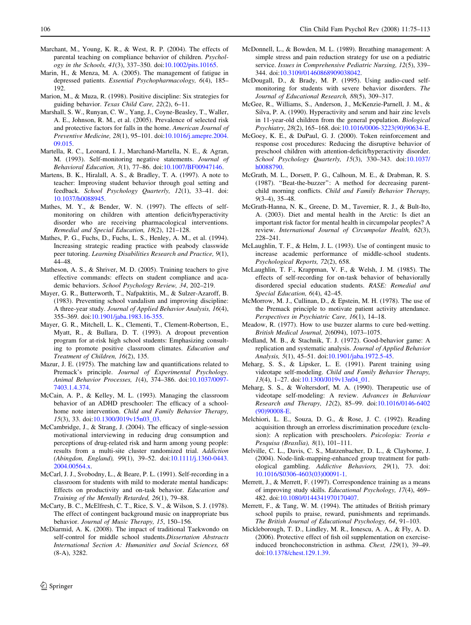- <span id="page-31-0"></span>Marchant, M., Young, K. R., & West, R. P. (2004). The effects of parental teaching on compliance behavior of children. Psychology in the Schools, 41(3), 337–350. doi[:10.1002/pits.10165.](http://dx.doi.org/10.1002/pits.10165)
- Marin, H., & Menza, M. A. (2005). The management of fatigue in depressed patients. Essential Psychopharmacology, 6(4), 185– 192.
- Marion, M., & Muza, R. (1998). Positive discipline: Six strategies for guiding behavior. Texas Child Care, 22(2), 6–11.
- Marshall, S. W., Runyan, C. W., Yang, J., Coyne-Beasley, T., Waller, A. E., Johnson, R. M., et al. (2005). Prevalence of selected risk and protective factors for falls in the home. American Journal of Preventive Medicine, 28(1), 95–101. doi:[10.1016/j.amepre.2004.](http://dx.doi.org/10.1016/j.amepre.2004.09.015) [09.015](http://dx.doi.org/10.1016/j.amepre.2004.09.015).
- Martella, R. C., Leonard, I. J., Marchand-Martella, N. E., & Agran, M. (1993). Self-monitoring negative statements. Journal of Behavioral Education, 3(1), 77–86. doi:[10.1007/BF00947146](http://dx.doi.org/10.1007/BF00947146).
- Martens, B. K., Hiralall, A. S., & Bradley, T. A. (1997). A note to teacher: Improving student behavior through goal setting and feedback. School Psychology Quarterly, 12(1), 33-41. doi: [10.1037/h0088945.](http://dx.doi.org/10.1037/h0088945)
- Mathes, M. Y., & Bender, W. N. (1997). The effects of selfmonitoring on children with attention deficit/hyperactivity disorder who are receiving pharmacological interventions. Remedial and Special Education, 18(2), 121–128.
- Mathes, P. G., Fuchs, D., Fuchs, L. S., Henley, A. M., et al. (1994). Increasing strategic reading practice with peabody classwide peer tutoring. Learning Disabilities Research and Practice, 9(1), 44–48.
- Matheson, A. S., & Shriver, M. D. (2005). Training teachers to give effective commands: effects on student compliance and academic behaviors. School Psychology Review, 34, 202–219.
- Mayer, G. R., Butterworth, T., Nafpaktitis, M., & Sulzer-Azaroff, B. (1983). Preventing school vandalism and improving discipline: A three-year study. Journal of Applied Behavior Analysis, 16(4), 355–369. doi:[10.1901/jaba.1983.16-355](http://dx.doi.org/10.1901/jaba.1983.16-355).
- Mayer, G. R., Mitchell, L. K., Clementi, T., Clement-Robertson, E., Myatt, R., & Bullara, D. T. (1993). A dropout prevention program for at-risk high school students: Emphasizing consulting to promote positive classroom climates. Education and Treatment of Children, 16(2), 135.
- Mazur, J. E. (1975). The matching law and quantifications related to Premack's principle. Journal of Experimental Psychology. Animal Behavior Processes, 1(4), 374–386. doi[:10.1037/0097-](http://dx.doi.org/10.1037/0097-7403.1.4.374) [7403.1.4.374](http://dx.doi.org/10.1037/0097-7403.1.4.374).
- McCain, A. P., & Kelley, M. L. (1993). Managing the classroom behavior of an ADHD preschooler: The efficacy of a schoolhome note intervention. Child and Family Behavior Therapy, 15(3), 33. doi:[10.1300/J019v15n03\\_03.](http://dx.doi.org/10.1300/J019v15n03_03)
- McCambridge, J., & Strang, J. (2004). The efficacy of single-session motivational interviewing in reducing drug consumption and perceptions of drug-related risk and harm among young people: results from a multi-site cluster randomized trial. Addiction (Abingdon, England), 99(1), 39–52. doi:[10.1111/j.1360-0443.](http://dx.doi.org/10.1111/j.1360-0443.2004.00564.x) [2004.00564.x.](http://dx.doi.org/10.1111/j.1360-0443.2004.00564.x)
- McCarl, J. J., Svobodny, L., & Beare, P. L. (1991). Self-recording in a classroom for students with mild to moderate mental handicaps: Effects on productivity and on-task behavior. Education and Training of the Mentally Retarded, 26(1), 79–88.
- McCarty, B. C., McElfresh, C. T., Rice, S. V., & Wilson, S. J. (1978). The effect of contingent background music on inappropriate bus behavior. Journal of Music Therapy, 15, 150–156.
- McDiarmid, A. K. (2008). The impact of traditional Taekwondo on self-control for middle school students.Dissertation Abstracts International Section A: Humanities and Social Sciences, 68 (8-A), 3282.
- McDonnell, L., & Bowden, M. L. (1989). Breathing management: A simple stress and pain reduction strategy for use on a pediatric service. Issues in Comprehensive Pediatric Nursing, 12(5), 339– 344. doi[:10.3109/01460868909038042.](http://dx.doi.org/10.3109/01460868909038042)
- McDougall, D., & Brady, M. P. (1995). Using audio-cued selfmonitoring for students with severe behavior disorders. The Journal of Educational Research, 88(5), 309–317.
- McGee, R., Williams, S., Anderson, J., McKenzie-Parnell, J. M., & Silva, P. A. (1990). Hyperactivity and serum and hair zinc levels in 11-year-old children from the general population. Biological Psychiatry, 28(2), 165–168. doi[:10.1016/0006-3223\(90\)90634-E](http://dx.doi.org/10.1016/0006-3223(90)90634-E).
- McGoey, K. E., & DuPaul, G. J. (2000). Token reinforcement and response cost procedures: Reducing the disruptive behavior of preschool children with attention-deficit/hyperactivity disorder. School Psychology Quarterly, 15(3), 330–343. doi[:10.1037/](http://dx.doi.org/10.1037/h0088790) [h0088790](http://dx.doi.org/10.1037/h0088790).
- McGrath, M. L., Dorsett, P. G., Calhoun, M. E., & Drabman, R. S. (1987). ''Beat-the-buzzer'': A method for decreasing parentchild morning conflicts. Child and Family Behavior Therapy, 9(3–4), 35–48.
- McGrath-Hanna, N. K., Greene, D. M., Tavernier, R. J., & Bult-Ito, A. (2003). Diet and mental health in the Arctic: Is diet an important risk factor for mental health in circumpolar peoples? A review. International Journal of Circumpolar Health, 62(3), 228–241.
- McLaughlin, T. F., & Helm, J. L. (1993). Use of contingent music to increase academic performance of middle-school students. Psychological Reports, 72(2), 658.
- McLaughlin, T. F., Krappman, V. F., & Welsh, J. M. (1985). The effects of self-recording for on-task behavior of behaviorally disordered special education students. RASE: Remedial and Special Education, 6(4), 42–45.
- McMorrow, M. J., Cullinan, D., & Epstein, M. H. (1978). The use of the Premack principle to motivate patient activity attendance. Perspectives in Psychiatric Care, 16(1), 14–18.
- Meadow, R. (1977). How to use buzzer alarms to cure bed-wetting. British Medical Journal, 2(6094), 1073–1075.
- Medland, M. B., & Stachnik, T. J. (1972). Good-behavior game: A replication and systematic analysis. Journal of Applied Behavior Analysis, 5(1), 45–51. doi[:10.1901/jaba.1972.5-45](http://dx.doi.org/10.1901/jaba.1972.5-45).
- Meharg, S. S., & Lipsker, L. E. (1991). Parent training using videotape self-modeling. Child and Family Behavior Therapy, 13(4), 1–27. doi:[10.1300/J019v13n04\\_01.](http://dx.doi.org/10.1300/J019v13n04_01)
- Meharg, S. S., & Woltersdorf, M. A. (1990). Therapeutic use of videotape self-modeling: A review. Advances in Behaviour Research and Therapy, 12(2), 85–99. doi:[10.1016/0146-6402](http://dx.doi.org/10.1016/0146-6402(90)90008-E) [\(90\)90008-E](http://dx.doi.org/10.1016/0146-6402(90)90008-E).
- Melchiori, L. E., Souza, D. G., & Rose, J. C. (1992). Reading acquisition through an errorless discrimination procedure (exclusion): A replication with preschoolers. Psicologia: Teoria e Pesquisa (Brasılia),  $8(1)$ ,  $101-111$ .
- Melville, C. L., Davis, C. S., Matzenbacher, D. L., & Clayborne, J. (2004). Node-link-mapping-enhanced group treatment for pathological gambling. Addictive Behaviors, 29(1), 73. doi: [10.1016/S0306-4603\(03\)00091-1.](http://dx.doi.org/10.1016/S0306-4603(03)00091-1)
- Merrett, J., & Merrett, F. (1997). Correspondence training as a means of improving study skills. Educational Psychology, 17(4), 469– 482. doi[:10.1080/0144341970170407.](http://dx.doi.org/10.1080/0144341970170407)
- Merrett, F., & Tang, W. M. (1994). The attitudes of British primary school pupils to praise, reward, punishments and reprimands. The British Journal of Educational Psychology, 64, 91–103.
- Mickleborough, T. D., Lindley, M. R., Ionescu, A. A., & Fly, A. D. (2006). Protective effect of fish oil supplementation on exerciseinduced bronchoconstriction in asthma. Chest, 129(1), 39–49. doi[:10.1378/chest.129.1.39.](http://dx.doi.org/10.1378/chest.129.1.39)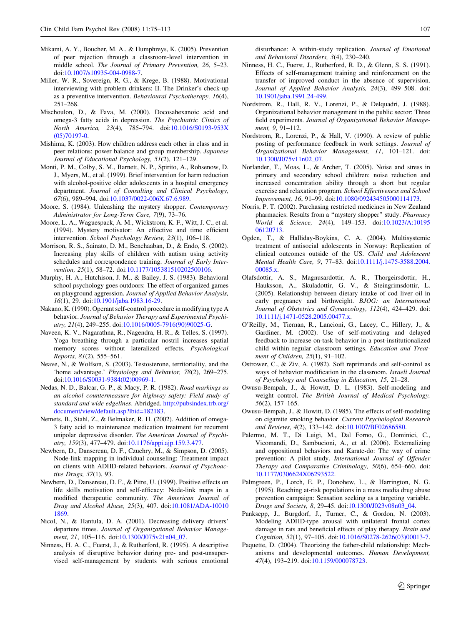- <span id="page-32-0"></span>Mikami, A. Y., Boucher, M. A., & Humphreys, K. (2005). Prevention of peer rejection through a classroom-level intervention in middle school. The Journal of Primary Prevention, 26, 5–23. doi[:10.1007/s10935-004-0988-7.](http://dx.doi.org/10.1007/s10935-004-0988-7)
- Miller, W. R., Sovereign, R. G., & Krege, B. (1988). Motivational interviewing with problem drinkers: II. The Drinker's check-up as a preventive intervention. Behavioural Psychotherapy, 16(4), 251–268.
- Mischoulon, D., & Fava, M. (2000). Docosahexanoic acid and omega-3 fatty acids in depression. The Psychiatric Clinics of North America, 23(4), 785–794. doi:[10.1016/S0193-953X](http://dx.doi.org/10.1016/S0193-953X(05)70197-0) [\(05\)70197-0](http://dx.doi.org/10.1016/S0193-953X(05)70197-0).
- Mishima, K. (2003). How children address each other in class and in peer relations: power balance and group membership. Japanese Journal of Educational Psychology, 51(2), 121–129.
- Monti, P. M., Colby, S. M., Barnett, N. P., Spirito, A., Rohsenow, D. J., Myers, M., et al. (1999). Brief intervention for harm reduction with alcohol-positive older adolescents in a hospital emergency department. Journal of Consulting and Clinical Psychology, 67(6), 989–994. doi[:10.1037/0022-006X.67.6.989](http://dx.doi.org/10.1037/0022-006X.67.6.989).
- Moore, S. (1984). Unleashing the mystery shopper. Contemporary Administrator for Long-Term Care, 7(9), 73–76.
- Moore, L. A., Waguespack, A. M., Wickstrom, K. F., Witt, J. C., et al. (1994). Mystery motivator: An effective and time efficient intervention. School Psychology Review, 23(1), 106–118.
- Morrison, R. S., Sainato, D. M., Benchaaban, D., & Endo, S. (2002). Increasing play skills of children with autism using activity schedules and correspondence training. Journal of Early Inter-vention, 25(1), 58-72. doi:[10.1177/105381510202500106.](http://dx.doi.org/10.1177/105381510202500106)
- Murphy, H. A., Hutchison, J. M., & Bailey, J. S. (1983). Behavioral school psychology goes outdoors: The effect of organized games on playground aggression. Journal of Applied Behavior Analysis, 16(1), 29. doi:[10.1901/jaba.1983.16-29](http://dx.doi.org/10.1901/jaba.1983.16-29).
- Nakano, K. (1990). Operant self-control procedure in modifying type A behavior. Journal of Behavior Therapy and Experimental Psychiatry, 21(4), 249–255. doi:[10.1016/0005-7916\(90\)90025-G](http://dx.doi.org/10.1016/0005-7916(90)90025-G).
- Naveen, K. V., Nagarathna, R., Nagendra, H. R., & Telles, S. (1997). Yoga breathing through a particular nostril increases spatial memory scores without lateralized effects. Psychological Reports, 81(2), 555–561.
- Neave, N., & Wolfson, S. (2003). Testosterone, territoriality, and the 'home advantage.' Physiology and Behavior, 78(2), 269–275. doi[:10.1016/S0031-9384\(02\)00969-1.](http://dx.doi.org/10.1016/S0031-9384(02)00969-1)
- Nedas, N. D., Balcar, G. P., & Macy, P. R. (1982). Road markings as an alcohol countermeasure for highway safety: Field study of standard and wide edgelines. Abridged. [http://pubsindex.trb.org/](http://pubsindex.trb.org/document/view/default.asp?lbid=182183) [document/view/default.asp?lbid=182183](http://pubsindex.trb.org/document/view/default.asp?lbid=182183).
- Nemets, B., Stahl, Z., & Belmaker, R. H. (2002). Addition of omega-3 fatty acid to maintenance medication treatment for recurrent unipolar depressive disorder. The American Journal of Psychiatry, 159(3), 477–479. doi:[10.1176/appi.ajp.159.3.477](http://dx.doi.org/10.1176/appi.ajp.159.3.477).
- Newbern, D., Dansereau, D. F., Czuchry, M., & Simpson, D. (2005). Node-link mapping in individual counseling: Treatment impact on clients with ADHD-related behaviors. Journal of Psychoactive Drugs, 37(1), 93.
- Newbern, D., Dansereau, D. F., & Pitre, U. (1999). Positive effects on life skills motivation and self-efficacy: Node-link maps in a modified therapeutic community. The American Journal of Drug and Alcohol Abuse, 25(3), 407. doi:[10.1081/ADA-10010](http://dx.doi.org/10.1081/ADA-100101869) [1869.](http://dx.doi.org/10.1081/ADA-100101869)
- Nicol, N., & Hantula, D. A. (2001). Decreasing delivery drivers' departure times. Journal of Organizational Behavior Manage-ment, 21, 105-116. doi:[10.1300/J075v21n04\\_07.](http://dx.doi.org/10.1300/J075v21n04_07)
- Ninness, H. A. C., Fuerst, J., & Rutherford, R. (1995). A descriptive analysis of disruptive behavior during pre- and post-unsupervised self-management by students with serious emotional

disturbance: A within-study replication. Journal of Emotional and Behavioral Disorders, 3(4), 230–240.

- Ninness, H. C., Fuerst, J., Rutherford, R. D., & Glenn, S. S. (1991). Effects of self-management training and reinforcement on the transfer of improved conduct in the absence of supervision. Journal of Applied Behavior Analysis, 24(3), 499–508. doi: [10.1901/jaba.1991.24-499](http://dx.doi.org/10.1901/jaba.1991.24-499).
- Nordstrom, R., Hall, R. V., Lorenzi, P., & Delquadri, J. (1988). Organizational behavior management in the public sector: Three field experiments. Journal of Organizational Behavior Management, 9, 91–112.
- Nordstrom, R., Lorenzi, P., & Hall, V. (1990). A review of public posting of performance feedback in work settings. Journal of Organizational Behavior Management, 11, 101–121. doi: [10.1300/J075v11n02\\_07](http://dx.doi.org/10.1300/J075v11n02_07).
- Norlander, T., Moas, L., & Archer, T. (2005). Noise and stress in primary and secondary school children: noise reduction and increased concentration ability through a short but regular exercise and relaxation program. School Effectiveness and School Improvement, 16, 91–99. doi:[10.1080/092434505000114173.](http://dx.doi.org/10.1080/092434505000114173)
- Norris, P. T. (2002). Purchasing restricted medicines in New Zealand pharmacies: Results from a "mystery shopper" study. Pharmacy World & Science, 24(4), 149–153. doi:[10.1023/A:10195](http://dx.doi.org/10.1023/A:1019506120713) [06120713](http://dx.doi.org/10.1023/A:1019506120713).
- Ogden, T., & Halliday-Boykins, C. A. (2004). Multisystemic treatment of antisocial adolescents in Norway: Replication of clinical outcomes outside of the US. Child and Adolescent Mental Health Care, 9, 77–83. doi:[10.1111/j.1475-3588.2004.](http://dx.doi.org/10.1111/j.1475-3588.2004.00085.x) [00085.x.](http://dx.doi.org/10.1111/j.1475-3588.2004.00085.x)
- Olafsdottir, A. S., Magnusardottir, A. R., Thorgeirsdottir, H., Hauksson, A., Skuladottir, G. V., & Steingrimsdottir, L. (2005). Relationship between dietary intake of cod liver oil in early pregnancy and birthweight. BJOG: an International Journal of Obstetrics and Gynaecology, 112(4), 424–429. doi: [10.1111/j.1471-0528.2005.00477.x.](http://dx.doi.org/10.1111/j.1471-0528.2005.00477.x)
- O'Reilly, M., Tiernan, R., Lancioni, G., Lacey, C., Hillery, J., & Gardiner, M. (2002). Use of self-motivating and delayed feedback to increase on-task behavior in a post-institutionalized child within regular classroom settings. Education and Treatment of Children, 25(1), 91–102.
- Ostrower, C., & Ziv, A. (1982). Soft reprimands and self-control as ways of behavior modification in the classroom. Israeli Journal of Psychology and Counseling in Education, 15, 21–28.
- Owusu-Bempah, J., & Howitt, D. L. (1983). Self-modeling and weight control. The British Journal of Medical Psychology, 56(2), 157–165.
- Owusu-Bempah, J., & Howitt, D. (1985). The effects of self-modeling on cigarette smoking behavior. Current Psychological Research and Reviews, 4(2), 133–142. doi[:10.1007/BF02686580.](http://dx.doi.org/10.1007/BF02686580)
- Palermo, M. T., Di Luigi, M., Dal Forno, G., Dominici, C., Vicomandi, D., Sambucioni, A., et al. (2006). Externalizing and oppositional behaviors and Karate-do: The way of crime prevention: A pilot study. International Journal of Offender Therapy and Comparative Criminology, 50(6), 654–660. doi: [10.1177/0306624X06293522.](http://dx.doi.org/10.1177/0306624X06293522)
- Palmgreen, P., Lorch, E. P., Donohew, L., & Harrington, N. G. (1995). Reaching at-risk populations in a mass media drug abuse prevention campaign: Sensation seeking as a targeting variable. Drugs and Society, 8, 29–45. doi:[10.1300/J023v08n03\\_04.](http://dx.doi.org/10.1300/J023v08n03_04)
- Panksepp, J., Burgdorf, J., Turner, C., & Gordon, N. (2003). Modeling ADHD-type arousal with unilateral frontal cortex damage in rats and beneficial effects of play therapy. Brain and Cognition, 52(1), 97–105. doi[:10.1016/S0278-2626\(03\)00013-7](http://dx.doi.org/10.1016/S0278-2626(03)00013-7).
- Paquette, D. (2004). Theorizing the father-child relationship: Mechanisms and developmental outcomes. Human Development, 47(4), 193–219. doi[:10.1159/000078723](http://dx.doi.org/10.1159/000078723).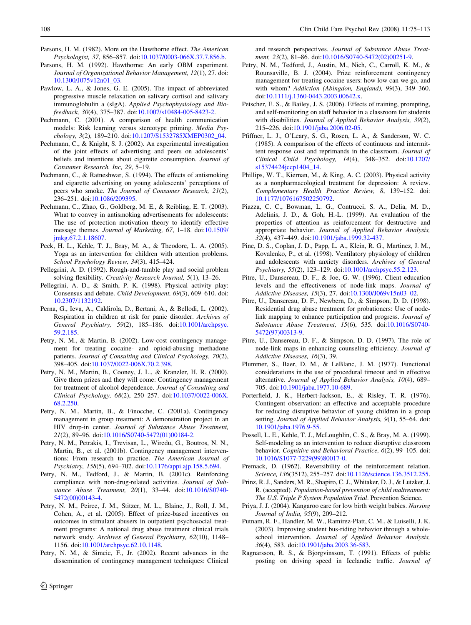- <span id="page-33-0"></span>Parsons, H. M. (1982). More on the Hawthorne effect. The American Psychologist, 37, 856–857. doi:[10.1037/0003-066X.37.7.856.b](http://dx.doi.org/10.1037/0003-066X.37.7.856.b).
- Parsons, H. M. (1992). Hawthorne: An early OBM experiment. Journal of Organizational Behavior Management, 12(1), 27. doi: [10.1300/J075v12n01\\_03](http://dx.doi.org/10.1300/J075v12n01_03).
- Pawlow, L. A., & Jones, G. E. (2005). The impact of abbreviated progressive muscle relaxation on salivary cortisol and salivary immunoglobulin a (sIgA). Applied Psychophysiology and Biofeedback, 30(4), 375–387. doi[:10.1007/s10484-005-8423-2](http://dx.doi.org/10.1007/s10484-005-8423-2).
- Pechmann, C. (2001). A comparison of health communication models: Risk learning versus stereotype priming. Media Psychology, 3(2), 189–210. doi:[10.1207/S1532785XMEP0302\\_04](http://dx.doi.org/10.1207/S1532785XMEP0302_04).
- Pechmann, C., & Knight, S. J. (2002). An experimental investigation of the joint effects of advertising and peers on adolescents' beliefs and intentions about cigarette consumption. Journal of Consumer Research. Inc, 29, 5–19.
- Pechmann, C., & Ratneshwar, S. (1994). The effects of antismoking and cigarette advertising on young adolescents' perceptions of peers who smoke. The Journal of Consumer Research, 21(2), 236–251. doi:[10.1086/209395](http://dx.doi.org/10.1086/209395).
- Pechmann, C., Zhao, G., Goldberg, M. E., & Reibling, E. T. (2003). What to convey in antismoking advertisements for adolescents: The use of protection motivation theory to identify effective message themes. Journal of Marketing, 67, 1–18. doi[:10.1509/](http://dx.doi.org/10.1509/jmkg.67.2.1.18607) [jmkg.67.2.1.18607](http://dx.doi.org/10.1509/jmkg.67.2.1.18607).
- Peck, H. L., Kehle, T. J., Bray, M. A., & Theodore, L. A. (2005). Yoga as an intervention for children with attention problems. School Psychology Review, 34(3), 415–424.
- Pellegrini, A. D. (1992). Rough-and-tumble play and social problem solving flexibility. Creativity Research Journal, 5(1), 13–26.
- Pellegrini, A. D., & Smith, P. K. (1998). Physical activity play: Consensus and debate. Child Development, 69(3), 609–610. doi: [10.2307/1132192.](http://dx.doi.org/10.2307/1132192)
- Perna, G., Ieva, A., Caldirola, D., Bertani, A., & Bellodi, L. (2002). Respiration in children at risk for panic disorder. Archives of General Psychiatry, 59(2), 185–186. doi:[10.1001/archpsyc.](http://dx.doi.org/10.1001/archpsyc.59.2.185) [59.2.185.](http://dx.doi.org/10.1001/archpsyc.59.2.185)
- Petry, N. M., & Martin, B. (2002). Low-cost contingency management for treating cocaine- and opioid-abusing methadone patients. Journal of Consulting and Clinical Psychology, 70(2), 398–405. doi:[10.1037/0022-006X.70.2.398](http://dx.doi.org/10.1037/0022-006X.70.2.398).
- Petry, N. M., Martin, B., Cooney, J. L., & Kranzler, H. R. (2000). Give them prizes and they will come: Contingency management for treatment of alcohol dependence. Journal of Consulting and Clinical Psychology, 68(2), 250–257. doi:[10.1037/0022-006X.](http://dx.doi.org/10.1037/0022-006X.68.2.250) [68.2.250.](http://dx.doi.org/10.1037/0022-006X.68.2.250)
- Petry, N. M., Martin, B., & Finocche, C. (2001a). Contingency management in group treatment: A demonstration project in an HIV drop-in center. Journal of Substance Abuse Treatment, 21(2), 89–96. doi:[10.1016/S0740-5472\(01\)00184-2](http://dx.doi.org/10.1016/S0740-5472(01)00184-2).
- Petry, N. M., Petrakis, I., Trevisan, L., Wiredu, G., Boutros, N. N., Martin, B., et al. (2001b). Contingency management interventions: From research to practice. The American Journal of Psychiatry, 158(5), 694–702. doi:[10.1176/appi.ajp.158.5.694.](http://dx.doi.org/10.1176/appi.ajp.158.5.694)
- Petry, N. M., Tedford, J., & Martin, B. (2001c). Reinforcing compliance with non-drug-related activities. Journal of Substance Abuse Treatment, 20(1), 33–44. doi:[10.1016/S0740-](http://dx.doi.org/10.1016/S0740-5472(00)00143-4) [5472\(00\)00143-4](http://dx.doi.org/10.1016/S0740-5472(00)00143-4).
- Petry, N. M., Peirce, J. M., Stitzer, M. L., Blaine, J., Roll, J. M., Cohen, A., et al. (2005). Effect of prize-based incentives on outcomes in stimulant abusers in outpatient psychosocial treatment programs: A national drug abuse treatment clinical trials network study. Archives of General Psychiatry, 62(10), 1148– 1156. doi[:10.1001/archpsyc.62.10.1148](http://dx.doi.org/10.1001/archpsyc.62.10.1148).
- Petry, N. M., & Simcic, F., Jr. (2002). Recent advances in the dissemination of contingency management techniques: Clinical

and research perspectives. Journal of Substance Abuse Treat-ment, 23(2), 81-86. doi[:10.1016/S0740-5472\(02\)00251-9.](http://dx.doi.org/10.1016/S0740-5472(02)00251-9)

- Petry, N. M., Tedford, J., Austin, M., Nich, C., Carroll, K. M., & Rounsaville, B. J. (2004). Prize reinforcement contingency management for treating cocaine users: how low can we go, and with whom? Addiction (Abingdon, England), 99(3), 349–360. doi[:10.1111/j.1360-0443.2003.00642.x](http://dx.doi.org/10.1111/j.1360-0443.2003.00642.x).
- Petscher, E. S., & Bailey, J. S. (2006). Effects of training, prompting, and self-monitoring on staff behavior in a classroom for students with disabilities. Journal of Applied Behavior Analysis, 39(2), 215–226. doi:[10.1901/jaba.2006.02-05](http://dx.doi.org/10.1901/jaba.2006.02-05).
- Pfiffner, L. J., O'Leary, S. G., Rosen, L. A., & Sanderson, W. C. (1985). A comparison of the effects of continuous and intermittent response cost and reprimands in the classroom. Journal of Clinical Child Psychology, 14(4), 348–352. doi[:10.1207/](http://dx.doi.org/10.1207/s15374424jccp1404_14) [s15374424jccp1404\\_14](http://dx.doi.org/10.1207/s15374424jccp1404_14).
- Phillips, W. T., Kiernan, M., & King, A. C. (2003). Physical activity as a nonpharmacological treatment for depression: A review. Complementary Health Practice Review, 8, 139–152. doi: [10.1177/1076167502250792.](http://dx.doi.org/10.1177/1076167502250792)
- Piazza, C. C., Bowman, L. G., Contrucci, S. A., Delia, M. D., Adelinis, J. D., & Goh, H.-L. (1999). An evaluation of the properties of attention as reinforcement for destructive and appropriate behavior. Journal of Applied Behavior Analysis, 32(4), 437–449. doi[:10.1901/jaba.1999.32-437.](http://dx.doi.org/10.1901/jaba.1999.32-437)
- Pine, D. S., Coplan, J. D., Papp, L. A., Klein, R. G., Martinez, J. M., Kovalenko, P., et al. (1998). Ventilatory physiology of children and adolescents with anxiety disorders. Archives of General Psychiatry, 55(2), 123–129. doi:[10.1001/archpsyc.55.2.123](http://dx.doi.org/10.1001/archpsyc.55.2.123).
- Pitre, U., Dansereau, D. F., & Joe, G. W. (1996). Client education levels and the effectiveness of node-link maps. Journal of Addictive Diseases, 15(3), 27. doi[:10.1300/J069v15n03\\_02](http://dx.doi.org/10.1300/J069v15n03_02).
- Pitre, U., Dansereau, D. F., Newbern, D., & Simpson, D. D. (1998). Residential drug abuse treatment for probationers: Use of nodelink mapping to enhance participation and progress. Journal of Substance Abuse Treatment, 15(6), 535. doi:[10.1016/S0740-](http://dx.doi.org/10.1016/S0740-5472(97)00313-9) [5472\(97\)00313-9](http://dx.doi.org/10.1016/S0740-5472(97)00313-9).
- Pitre, U., Dansereau, D. F., & Simpson, D. D. (1997). The role of node-link maps in enhancing counseling efficiency. Journal of Addictive Diseases, 16(3), 39.
- Plummer, S., Baer, D. M., & LeBlanc, J. M. (1977). Functional considerations in the use of procedural timeout and in effective alternative. Journal of Applied Behavior Analysis, 10(4), 689– 705. doi[:10.1901/jaba.1977.10-689](http://dx.doi.org/10.1901/jaba.1977.10-689).
- Porterfield, J. K., Herbert-Jackson, E., & Risley, T. R. (1976). Contingent observation: an effective and acceptable procedure for reducing disruptive behavior of young children in a group setting. Journal of Applied Behavior Analysis, 9(1), 55–64. doi: [10.1901/jaba.1976.9-55.](http://dx.doi.org/10.1901/jaba.1976.9-55)
- Possell, L. E., Kehle, T. J., McLoughlin, C. S., & Bray, M. A. (1999). Self-modeling as an intervention to reduce disruptive classroom behavior. Cognitive and Behavioral Practice, 6(2), 99-105. doi: [10.1016/S1077-7229\(99\)80017-0.](http://dx.doi.org/10.1016/S1077-7229(99)80017-0)
- Premack, D. (1962). Reversibility of the reinforcement relation. Science, 136(3512), 255–257. doi[:10.1126/science.136.3512.255](http://dx.doi.org/10.1126/science.136.3512.255).
- Prinz, R. J., Sanders, M. R., Shapiro, C. J., Whitaker, D. J., & Lutzker, J. R. (accepted). Population-based prevention of child maltreatment: The U.S. Triple P System Population Trial. Prevention Science.
- Priya, J. J. (2004). Kangaroo care for low birth weight babies. Nursing Journal of India, 95(9), 209–212.
- Putnam, R. F., Handler, M. W., Ramirez-Platt, C. M., & Luiselli, J. K. (2003). Improving student bus-riding behavior through a wholeschool intervention. Journal of Applied Behavior Analysis, 36(4), 583. doi[:10.1901/jaba.2003.36-583.](http://dx.doi.org/10.1901/jaba.2003.36-583)
- Ragnarsson, R. S., & Bjorgvinsson, T. (1991). Effects of public posting on driving speed in Icelandic traffic. Journal of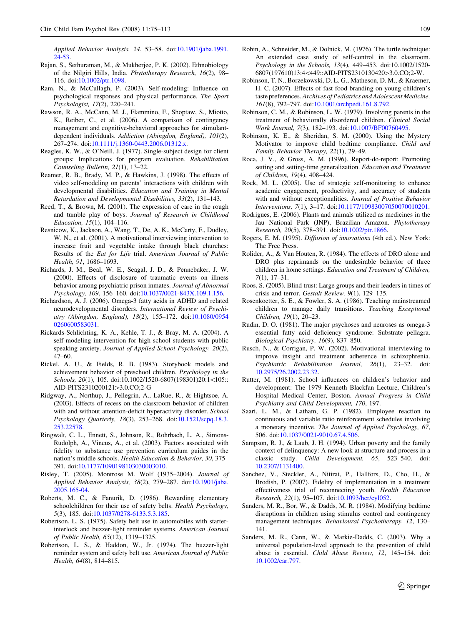<span id="page-34-0"></span>Applied Behavior Analysis, 24, 53–58. doi:[10.1901/jaba.1991.](http://dx.doi.org/10.1901/jaba.1991.24-53) [24-53.](http://dx.doi.org/10.1901/jaba.1991.24-53)

- Rajan, S., Sethuraman, M., & Mukherjee, P. K. (2002). Ethnobiology of the Nilgiri Hills, India. Phytotherapy Research, 16(2), 98– 116. doi:[10.1002/ptr.1098](http://dx.doi.org/10.1002/ptr.1098).
- Ram, N., & McCullagh, P. (2003). Self-modeling: Influence on psychological responses and physical performance. The Sport Psychologist, 17(2), 220–241.
- Rawson, R. A., McCann, M. J., Flammino, F., Shoptaw, S., Miotto, K., Reiber, C., et al. (2006). A comparison of contingency management and cognitive-behavioral approaches for stimulantdependent individuals. Addiction (Abingdon, England), 101(2), 267–274. doi:[10.1111/j.1360-0443.2006.01312.x.](http://dx.doi.org/10.1111/j.1360-0443.2006.01312.x)
- Reagles, K. W., & O'Neill, J. (1977). Single-subject design for client groups: Implications for program evaluation. Rehabilitation Counseling Bulletin, 21(1), 13–22.
- Reamer, R. B., Brady, M. P., & Hawkins, J. (1998). The effects of video self-modeling on parents' interactions with children with developmental disabilities. Education and Training in Mental Retardation and Developmental Disabilities, 33(2), 131–143.
- Reed, T., & Brown, M. (2001). The expression of care in the rough and tumble play of boys. Journal of Research in Childhood Education, 15(1), 104–116.
- Resnicow, K., Jackson, A., Wang, T., De, A. K., McCarty, F., Dudley, W. N., et al. (2001). A motivational interviewing intervention to increase fruit and vegetable intake through black churches: Results of the Eat for Life trial. American Journal of Public Health, 91, 1686–1693.
- Richards, J. M., Beal, W. E., Seagal, J. D., & Pennebaker, J. W. (2000). Effects of disclosure of traumatic events on illness behavior among psychiatric prison inmates. Journal of Abnormal Psychology, 109, 156–160. doi:[10.1037/0021-843X.109.1.156](http://dx.doi.org/10.1037/0021-843X.109.1.156).
- Richardson, A. J. (2006). Omega-3 fatty acids in ADHD and related neurodevelopmental disorders. International Review of Psychiatry (Abingdon, England), 18(2), 155–172. doi[:10.1080/0954](http://dx.doi.org/10.1080/09540260600583031) [0260600583031](http://dx.doi.org/10.1080/09540260600583031).
- Rickards-Schlichting, K. A., Kehle, T. J., & Bray, M. A. (2004). A self-modeling intervention for high school students with public speaking anxiety. Journal of Applied School Psychology, 20(2), 47–60.
- Rickel, A. U., & Fields, R. B. (1983). Storybook models and achievement behavior of preschool children. Psychology in the Schools, 20(1), 105. doi:10.1002/1520-6807(198301)20:1<105:: AID-PITS2310200121>3.0.CO;2-G
- Ridgway, A., Northup, J., Pellegrin, A., LaRue, R., & Hightsoe, A. (2003). Effects of recess on the classroom behavior of children with and without attention-deficit hyperactivity disorder. School Psychology Quarterly, 18(3), 253–268. doi:[10.1521/scpq.18.3.](http://dx.doi.org/10.1521/scpq.18.3.253.22578) [253.22578](http://dx.doi.org/10.1521/scpq.18.3.253.22578).
- Ringwalt, C. L., Ennett, S., Johnson, R., Rohrbach, L. A., Simons-Rudolph, A., Vincus, A., et al. (2003). Factors associated with fidelity to substance use prevention curriculum guides in the nation's middle schools. Health Education & Behavior, 30, 375– 391. doi:[10.1177/1090198103030003010](http://dx.doi.org/10.1177/1090198103030003010).
- Risley, T. (2005). Montrose M. Wolf (1935–2004). Journal of Applied Behavior Analysis, 38(2), 279–287. doi:[10.1901/jaba.](http://dx.doi.org/10.1901/jaba.2005.165-04) [2005.165-04](http://dx.doi.org/10.1901/jaba.2005.165-04).
- Roberts, M. C., & Fanurik, D. (1986). Rewarding elementary schoolchildren for their use of safety belts. Health Psychology, 5(3), 185. doi:[10.1037/0278-6133.5.3.185](http://dx.doi.org/10.1037/0278-6133.5.3.185).
- Robertson, L. S. (1975). Safety belt use in automobiles with starterinterlock and buzzer-light reminder systems. American Journal of Public Health, 65(12), 1319–1325.
- Robertson, L. S., & Haddon, W., Jr. (1974). The buzzer-light reminder system and safety belt use. American Journal of Public Health, 64(8), 814–815.
- Robin, A., Schneider, M., & Dolnick, M. (1976). The turtle technique: An extended case study of self-control in the classroom. Psychology in the Schools, 13(4), 449–453. doi:10.1002/1520- 6807(197610)13:4<449::AID-PITS2310130420>3.0.CO;2-W.
- Robinson, T. N., Borzekowski, D. L. G., Matheson, D. M., & Kraemer, H. C. (2007). Effects of fast food branding on young children's taste preferences. Archives of Pediatrics and Adolescent Medicine, 161(8), 792–797. doi[:10.1001/archpedi.161.8.792](http://dx.doi.org/10.1001/archpedi.161.8.792).
- Robinson, C. M., & Robinson, L. W. (1979). Involving parents in the treatment of behaviorally disordered children. Clinical Social Work Journal, 7(3), 182–193. doi:[10.1007/BF00760495.](http://dx.doi.org/10.1007/BF00760495)
- Robinson, K. E., & Sheridan, S. M. (2000). Using the Mystery Motivator to improve child bedtime compliance. Child and Family Behavior Therapy, 22(1), 29–49.
- Roca, J. V., & Gross, A. M. (1996). Report-do-report: Promoting setting and setting-time generalization. Education and Treatment of Children, 19(4), 408–424.
- Rock, M. L. (2005). Use of strategic self-monitoring to enhance academic engagement, productivity, and accuracy of students with and without exceptionalities. Journal of Positive Behavior Interventions, 7(1), 3–17. doi[:10.1177/10983007050070010201.](http://dx.doi.org/10.1177/10983007050070010201)
- Rodrigues, E. (2006). Plants and animals utilized as medicines in the Jau National Park (JNP), Brazilian Amazon. Phytotherapy Research, 20(5), 378–391. doi:[10.1002/ptr.1866](http://dx.doi.org/10.1002/ptr.1866).
- Rogers, E. M. (1995). Diffusion of innovations (4th ed.). New York: The Free Press.
- Rolider, A., & Van Houten, R. (1984). The effects of DRO alone and DRO plus reprimands on the undesirable behavior of three children in home settings. Education and Treatment of Children, 7(1), 17–31.
- Roos, S. (2005). Blind trust: Large groups and their leaders in times of crisis and terror. Gestalt Review, 9(1), 129–135.
- Rosenkoetter, S. E., & Fowler, S. A. (1986). Teaching mainstreamed children to manage daily transitions. Teaching Exceptional Children, 19(1), 20–23.
- Rudin, D. O. (1981). The major psychoses and neuroses as omega-3 essential fatty acid deficiency syndrome: Substrate pellagra. Biological Psychiatry, 16(9), 837–850.
- Rusch, N., & Corrigan, P. W. (2002). Motivational interviewing to improve insight and treatment adherence in schizophrenia. Psychiatric Rehabilitation Journal, 26(1), 23–32. doi: [10.2975/26.2002.23.32.](http://dx.doi.org/10.2975/26.2002.23.32)
- Rutter, M. (1981). School influences on children's behavior and development: The 1979 Kenneth Blackfan Lecture, Children's Hospital Medical Center, Boston. Annual Progress in Child Psychiatry and Child Development, 170, 197.
- Saari, L. M., & Latham, G. P. (1982). Employee reaction to continuous and variable ratio reinforcement schedules involving a monetary incentive. The Journal of Applied Psychology, 67, 506. doi[:10.1037/0021-9010.67.4.506](http://dx.doi.org/10.1037/0021-9010.67.4.506).
- Sampson, R. J., & Laub, J. H. (1994). Urban poverty and the family context of delinquency: A new look at structure and process in a classic study. Child Development, 65, 523–540. doi: [10.2307/1131400.](http://dx.doi.org/10.2307/1131400)
- Sanchez, V., Steckler, A., Nitirat, P., Hallfors, D., Cho, H., & Brodish, P. (2007). Fidelity of implementation in a treatment effectiveness trial of reconnecting youth. Health Education Research, 22(1), 95–107. doi:[10.1093/her/cyl052.](http://dx.doi.org/10.1093/her/cyl052)
- Sanders, M. R., Bor, W., & Dadds, M. R. (1984). Modifying bedtime disruptions in children using stimulus control and contingency management techniques. Behavioural Psychotherapy, 12, 130– 141.
- Sanders, M. R., Cann, W., & Markie-Dadds, C. (2003). Why a universal population-level approach to the prevention of child abuse is essential. Child Abuse Review, 12, 145–154. doi: [10.1002/car.797](http://dx.doi.org/10.1002/car.797).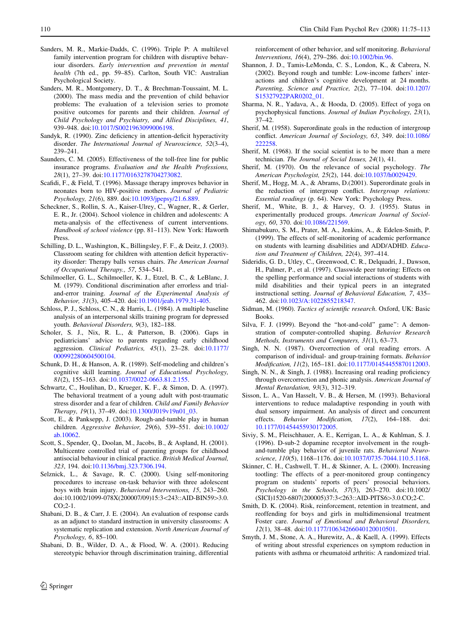- <span id="page-35-0"></span>Sanders, M. R., Markie-Dadds, C. (1996). Triple P: A multilevel family intervention program for children with disruptive behaviour disorders. Early intervention and prevention in mental health (7th ed., pp. 59–85). Carlton, South VIC: Australian Psychological Society.
- Sanders, M. R., Montgomery, D. T., & Brechman-Toussaint, M. L. (2000). The mass media and the prevention of child behavior problems: The evaluation of a television series to promote positive outcomes for parents and their children. Journal of Child Psychology and Psychiatry, and Allied Disciplines, 41, 939–948. doi:[10.1017/S0021963099006198](http://dx.doi.org/10.1017/S0021963099006198).
- Sandyk, R. (1990). Zinc deficiency in attention-deficit hyperactivity disorder. The International Journal of Neuroscience, 52(3–4), 239–241.
- Saunders, C. M. (2005). Effectiveness of the toll-free line for public insurance programs. Evaluation and the Health Professions, 28(1), 27–39. doi:[10.1177/0163278704273082](http://dx.doi.org/10.1177/0163278704273082).
- Scafidi, F., & Field, T. (1996). Massage therapy improves behavior in neonates born to HIV-positive mothers. Journal of Pediatric Psychology, 21(6), 889. doi[:10.1093/jpepsy/21.6.889](http://dx.doi.org/10.1093/jpepsy/21.6.889).
- Scheckner, S., Rollin, S. A., Kaiser-Ulrey, C., Wagner, R., & Gerler, E. R., Jr. (2004). School violence in children and adolescents: A meta-analysis of the effectiveness of current interventions. Handbook of school violence (pp. 81–113). New York: Haworth Press.
- Schilling, D. L., Washington, K., Billingsley, F. F., & Deitz, J. (2003). Classroom seating for children with attention deficit hyperactivity disorder: Therapy balls versus chairs. The American Journal of Occupational Therapy., 57, 534–541.
- Schilmoeller, G. L., Schilmoeller, K. J., Etzel, B. C., & LeBlanc, J. M. (1979). Conditional discrimination after errorless and trialand-error training. Journal of the Experimental Analysis of Behavior, 31(3), 405–420. doi[:10.1901/jeab.1979.31-405.](http://dx.doi.org/10.1901/jeab.1979.31-405)
- Schloss, P. J., Schloss, C. N., & Harris, L. (1984). A multiple baseline analysis of an interpersonal skills training program for depressed youth. Behavioral Disorders, 9(3), 182–188.
- Scholer, S. J., Nix, R. L., & Patterson, B. (2006). Gaps in pediatricians' advice to parents regarding early childhood aggression. Clinical Pediatrics, 45(1), 23–28. doi[:10.1177/](http://dx.doi.org/10.1177/000992280604500104) [000992280604500104](http://dx.doi.org/10.1177/000992280604500104).
- Schunk, D. H., & Hanson, A. R. (1989). Self-modeling and children's cognitive skill learning. Journal of Educational Psychology, 81(2), 155–163. doi[:10.1037/0022-0663.81.2.155.](http://dx.doi.org/10.1037/0022-0663.81.2.155)
- Schwartz, C., Houlihan, D., Krueger, K. F., & Simon, D. A. (1997). The behavioral treatment of a young adult with post-traumatic stress disorder and a fear of children. Child and Family Behavior Therapy, 19(1), 37–49. doi:[10.1300/J019v19n01\\_03.](http://dx.doi.org/10.1300/J019v19n01_03)
- Scott, E., & Panksepp, J. (2003). Rough-and-tumble play in human children. Aggressive Behavior, 29(6), 539–551. doi[:10.1002/](http://dx.doi.org/10.1002/ab.10062) [ab.10062](http://dx.doi.org/10.1002/ab.10062).
- Scott, S., Spender, Q., Doolan, M., Jacobs, B., & Aspland, H. (2001). Multicentre controlled trial of parenting groups for childhood antisocial behaviour in clinical practice. British Medical Journal, 323, 194. doi:[10.1136/bmj.323.7306.194](http://dx.doi.org/10.1136/bmj.323.7306.194).
- Selznick, L., & Savage, R. C. (2000). Using self-monitoring procedures to increase on-task behavior with three adolescent boys with brain injury. Behavioral Interventions, 15, 243–260. doi:10.1002/1099-078X(200007/09)15:3<243::AID-BIN59>3.0. CO;2-1.
- Shabani, D. B., & Carr, J. E. (2004). An evaluation of response cards as an adjunct to standard instruction in university classrooms: A systematic replication and extension. North American Journal of Psychology, 6, 85–100.
- Shabani, D. B., Wilder, D. A., & Flood, W. A. (2001). Reducing stereotypic behavior through discrimination training, differential

reinforcement of other behavior, and self monitoring. Behavioral Interventions, 16(4), 279–286. doi[:10.1002/bin.96](http://dx.doi.org/10.1002/bin.96).

- Shannon, J. D., Tamis-LeMonda, C. S., London, K., & Cabrera, N. (2002). Beyond rough and tumble: Low-income fathers' interactions and children's cognitive development at 24 months. Parenting, Science and Practice, 2(2), 77–104. doi[:10.1207/](http://dx.doi.org/10.1207/S15327922PAR0202_01) [S15327922PAR0202\\_01.](http://dx.doi.org/10.1207/S15327922PAR0202_01)
- Sharma, N. R., Yadava, A., & Hooda, D. (2005). Effect of yoga on psychophysical functions. Journal of Indian Psychology, 23(1), 37–42.
- Sherif, M. (1958). Superordinate goals in the reduction of intergroup conflict. American Journal of Sociology, 63, 349. doi[:10.1086/](http://dx.doi.org/10.1086/222258) [222258.](http://dx.doi.org/10.1086/222258)
- Sherif, M. (1968). If the social scientist is to be more than a mere technician. The Journal of Social Issues, 24(1), 41.
- Sherif, M. (1970). On the relevance of social psychology. The American Psychologist, 25(2), 144. doi[:10.1037/h0029429](http://dx.doi.org/10.1037/h0029429).
- Sherif, M., Hogg, M. A., & Abrams, D.(2001). Superordinate goals in the reduction of intergroup conflict. Intergroup relations: Essential readings (p. 64). New York: Psychology Press.
- Sherif, M., White, B. J., & Harvey, O. J. (1955). Status in experimentally produced groups. American Journal of Sociology, 60, 370. doi:[10.1086/221569.](http://dx.doi.org/10.1086/221569)
- Shimabukuro, S. M., Prater, M. A., Jenkins, A., & Edelen-Smith, P. (1999). The effects of self-monitoring of academic performance on students with learning disabilities and ADD/ADHD. Education and Treatment of Children, 22(4), 397–414.
- Sideridis, G. D., Utley, C., Greenwood, C. R., Delquadri, J., Dawson, H., Palmer, P., et al. (1997). Classwide peer tutoring: Effects on the spelling performance and social interactions of students with mild disabilities and their typical peers in an integrated instructional setting. Journal of Behavioral Education, 7, 435– 462. doi[:10.1023/A:1022855218347](http://dx.doi.org/10.1023/A:1022855218347).
- Sidman, M. (1960). Tactics of scientific research. Oxford, UK: Basic Books.
- Silva, F. J. (1999). Beyond the ''hot-and-cold'' game'': A demonstration of computer-controlled shaping. Behavior Research Methods, Instruments and Computers, 31(1), 63–73.
- Singh, N. N. (1987). Overcorrection of oral reading errors. A comparison of individual- and group-training formats. Behavior Modification, 11(2), 165–181. doi[:10.1177/01454455870112003](http://dx.doi.org/10.1177/01454455870112003).
- Singh, N. N., & Singh, J. (1988). Increasing oral reading proficiency through overcorrection and phonic analysis. American Journal of Mental Retardation, 93(3), 312–319.
- Sisson, L. A., Van Hasselt, V. B., & Hersen, M. (1993). Behavioral interventions to reduce maladaptive responding in youth with dual sensory impairment. An analysis of direct and concurrent effects. Behavior Modification, 17(2), 164–188. doi: [10.1177/01454455930172005](http://dx.doi.org/10.1177/01454455930172005).
- Siviy, S. M., Fleischhauer, A. E., Kerrigan, L. A., & Kuhlman, S. J. (1996). D-sub-2 dopamine receptor involvement in the roughand-tumble play behavior of juvenile rats. Behavioral Neuroscience, 110(5), 1168–1176. doi[:10.1037/0735-7044.110.5.1168](http://dx.doi.org/10.1037/0735-7044.110.5.1168).
- Skinner, C. H., Cashwell, T. H., & Skinner, A. L. (2000). Increasing tootling: The effects of a peer-monitored group contingency program on students' reports of peers' prosocial behaviors. Psychology in the Schools, 37(3), 263–270. doi:10.1002/ (SICI)1520-6807(200005)37:3<263::AID-PITS6>3.0.CO;2-C.
- Smith, D. K. (2004). Risk, reinforcement, retention in treatment, and reoffending for boys and girls in multidimensional treatment Foster care. Journal of Emotional and Behavioral Disorders, 12(1), 38–48. doi:[10.1177/10634266040120010501](http://dx.doi.org/10.1177/10634266040120010501).
- Smyth, J. M., Stone, A. A., Hurewitz, A., & Kaell, A. (1999). Effects of writing about stressful experiences on symptom reduction in patients with asthma or rheumatoid arthritis: A randomized trial.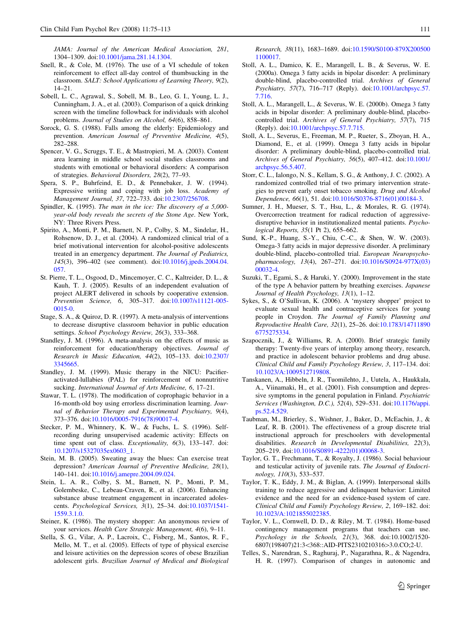<span id="page-36-0"></span>JAMA: Journal of the American Medical Association, 281, 1304–1309. doi[:10.1001/jama.281.14.1304](http://dx.doi.org/10.1001/jama.281.14.1304).

- Snell, R., & Cole, M. (1976). The use of a VI schedule of token reinforcement to effect all-day control of thumbsucking in the classroom. SALT: School Applications of Learning Theory, 9(2), 14–21.
- Sobell, L. C., Agrawal, S., Sobell, M. B., Leo, G. I., Young, L. J., Cunningham, J. A., et al. (2003). Comparison of a quick drinking screen with the timeline followback for individuals with alcohol problems. Journal of Studies on Alcohol, 64(6), 858–861.
- Sorock, G. S. (1988). Falls among the elderly: Epidemiology and prevention. American Journal of Preventive Medicine, 4(5), 282–288.
- Spencer, V. G., Scruggs, T. E., & Mastropieri, M. A. (2003). Content area learning in middle school social studies classrooms and students with emotional or behavioral disorders: A comparison of strategies. Behavioral Disorders, 28(2), 77–93.
- Spera, S. P., Buhrfeind, E. D., & Pennebaker, J. W. (1994). Expressive writing and coping with job loss. Academy of Management Journal, 37, 722–733. doi:[10.2307/256708.](http://dx.doi.org/10.2307/256708)
- Spindler, K. (1995). The man in the ice: The discovery of a 5,000year-old body reveals the secrets of the Stone Age. New York, NY: Three Rivers Press.
- Spirito, A., Monti, P. M., Barnett, N. P., Colby, S. M., Sindelar, H., Rohsenow, D. J., et al. (2004). A randomized clinical trial of a brief motivational intervention for alcohol-positive adolescents treated in an emergency department. The Journal of Pediatrics, 145(3), 396–402 (see comment). doi[:10.1016/j.jpeds.2004.04.](http://dx.doi.org/10.1016/j.jpeds.2004.04.057) [057.](http://dx.doi.org/10.1016/j.jpeds.2004.04.057)
- St. Pierre, T. L., Osgood, D., Mincemoyer, C. C., Kaltreider, D. L., & Kauh, T. J. (2005). Results of an independent evaluation of project ALERT delivered in schools by cooperative extension. Prevention Science, 6, 305–317. doi[:10.1007/s11121-005-](http://dx.doi.org/10.1007/s11121-005-0015-0) [0015-0](http://dx.doi.org/10.1007/s11121-005-0015-0).
- Stage, S. A., & Quiroz, D. R. (1997). A meta-analysis of interventions to decrease disruptive classroom behavior in public education settings. School Psychology Review, 26(3), 333–368.
- Standley, J. M. (1996). A meta-analysis on the effects of music as reinforcement for education/therapy objectives. Journal of Research in Music Education, 44(2), 105–133. doi[:10.2307/](http://dx.doi.org/10.2307/3345665) [3345665.](http://dx.doi.org/10.2307/3345665)
- Standley, J. M. (1999). Music therapy in the NICU: Pacifieractivated-lullabies (PAL) for reinforcement of nonnutritive sucking. International Journal of Arts Medicine, 6, 17–21.
- Stawar, T. L. (1978). The modification of coprophagic behavior in a 16-month-old boy using errorless discrimination learning. Journal of Behavior Therapy and Experimental Psychiatry, 9(4), 373–376. doi:[10.1016/0005-7916\(78\)90017-4.](http://dx.doi.org/10.1016/0005-7916(78)90017-4)
- Stecker, P. M., Whinnery, K. W., & Fuchs, L. S. (1996). Selfrecording during unsupervised academic activity: Effects on time spent out of class. Exceptionality, 6(3), 133-147. doi: [10.1207/s15327035ex0603\\_1.](http://dx.doi.org/10.1207/s15327035ex0603_1)
- Stein, M. B. (2005). Sweating away the blues: Can exercise treat depression? American Journal of Preventive Medicine, 28(1), 140–141. doi:[10.1016/j.amepre.2004.09.024.](http://dx.doi.org/10.1016/j.amepre.2004.09.024)
- Stein, L. A. R., Colby, S. M., Barnett, N. P., Monti, P. M., Golembeske, C., Lebeau-Craven, R., et al. (2006). Enhancing substance abuse treatment engagement in incarcerated adolescents. Psychological Services, 3(1), 25–34. doi[:10.1037/1541-](http://dx.doi.org/10.1037/1541-1559.3.1.0) [1559.3.1.0](http://dx.doi.org/10.1037/1541-1559.3.1.0).
- Steiner, K. (1986). The mystery shopper: An anonymous review of your services. Health Care Strategic Management, 4(6), 9–11.
- Stella, S. G., Vilar, A. P., Lacroix, C., Fisberg, M., Santos, R. F., Mello, M. T., et al. (2005). Effects of type of physical exercise and leisure activities on the depression scores of obese Brazilian adolescent girls. Brazilian Journal of Medical and Biological

Research, 38(11), 1683–1689. doi:[10.1590/S0100-879X200500](http://dx.doi.org/10.1590/S0100-879X2005001100017) [1100017.](http://dx.doi.org/10.1590/S0100-879X2005001100017)

- Stoll, A. L., Damico, K. E., Marangell, L. B., & Severus, W. E. (2000a). Omega 3 fatty acids in bipolar disorder: A preliminary double-blind, placebo-controlled trial. Archives of General Psychiatry, 57(7), 716–717 (Reply). doi[:10.1001/archpsyc.57.](http://dx.doi.org/10.1001/archpsyc.57.7.716) [7.716](http://dx.doi.org/10.1001/archpsyc.57.7.716).
- Stoll, A. L., Marangell, L., & Severus, W. E. (2000b). Omega 3 fatty acids in bipolar disorder: A preliminary double-blind, placebocontrolled trial. Archives of General Psychiatry, 57(7), 715 (Reply). doi[:10.1001/archpsyc.57.7.715](http://dx.doi.org/10.1001/archpsyc.57.7.715).
- Stoll, A. L., Severus, E., Freeman, M. P., Rueter, S., Zboyan, H. A., Diamond, E., et al. (1999). Omega 3 fatty acids in bipolar disorder: A preliminary double-blind, placebo-controlled trial. Archives of General Psychiatry, 56(5), 407–412. doi[:10.1001/](http://dx.doi.org/10.1001/archpsyc.56.5.407) [archpsyc.56.5.407](http://dx.doi.org/10.1001/archpsyc.56.5.407).
- Storr, C. L., Ialongo, N. S., Kellam, S. G., & Anthony, J. C. (2002). A randomized controlled trial of two primary intervention strategies to prevent early onset tobacco smoking. Drug and Alcohol Dependence, 66(1), 51. doi:[10.1016/S0376-8716\(01\)00184-3.](http://dx.doi.org/10.1016/S0376-8716(01)00184-3)
- Sumner, J. H., Mueser, S. T., Hsu, L., & Morales, R. G. (1974). Overcorrection treatment for radical reduction of aggressivedisruptive behavior in institutionalized mental patients. Psychological Reports, 35(1 Pt 2), 655–662.
- Sund, K.-P., Huang, S.-Y., Chiu, C.-C., & Shen, W. W. (2003). Omega-3 fatty acids in major depressive disorder. A preliminary double-blind, placebo-controlled trial. European Neuropsychopharmacology, 13(4), 267–271. doi:[10.1016/S0924-977X\(03\)](http://dx.doi.org/10.1016/S0924-977X(03)00032-4) [00032-4](http://dx.doi.org/10.1016/S0924-977X(03)00032-4).
- Suzuki, T., Egami, S., & Haruki, Y. (2000). Improvement in the state of the type A behavior pattern by breathing exercises. Japanese Journal of Health Psychology, 13(1), 1–12.
- Sykes, S., & O'Sullivan, K. (2006). A 'mystery shopper' project to evaluate sexual health and contraceptive services for young people in Croydon. The Journal of Family Planning and Reproductive Health Care, 32(1), 25–26. doi[:10.1783/14711890](http://dx.doi.org/10.1783/147118906775275334) [6775275334](http://dx.doi.org/10.1783/147118906775275334).
- Szapocznik, J., & Williams, R. A. (2000). Brief strategic family therapy: Twenty-five years of interplay among theory, research, and practice in adolescent behavior problems and drug abuse. Clinical Child and Family Psychology Review, 3, 117–134. doi: [10.1023/A:1009512719808.](http://dx.doi.org/10.1023/A:1009512719808)
- Tanskanen, A., Hibbeln, J. R., Tuomilehto, J., Uutela, A., Haukkala, A., Viinamaki, H., et al. (2001). Fish consumption and depressive symptoms in the general population in Finland. Psychiatric Services (Washington, D.C.), 52(4), 529–531. doi:[10.1176/appi.](http://dx.doi.org/10.1176/appi.ps.52.4.529) [ps.52.4.529](http://dx.doi.org/10.1176/appi.ps.52.4.529).
- Taubman, M., Brierley, S., Wishner, J., Baker, D., McEachin, J., & Leaf, R. B. (2001). The effectiveness of a group discrete trial instructional approach for preschoolers with developmental disabilities. Research in Developmental Disabilities, 22(3), 205–219. doi:[10.1016/S0891-4222\(01\)00068-3.](http://dx.doi.org/10.1016/S0891-4222(01)00068-3)
- Taylor, G. T., Frechmann, T., & Royalty, J. (1986). Social behaviour and testicular activity of juvenile rats. The Journal of Endocrinology, 110(3), 533–537.
- Taylor, T. K., Eddy, J. M., & Biglan, A. (1999). Interpersonal skills training to reduce aggressive and delinquent behavior: Limited evidence and the need for an evidence-based system of care. Clinical Child and Family Psychology Review, 2, 169–182. doi: [10.1023/A:1021855022385.](http://dx.doi.org/10.1023/A:1021855022385)
- Taylor, V. L., Cornwell, D. D., & Riley, M. T. (1984). Home-based contingency management programs that teachers can use. Psychology in the Schools, 21(3), 368. doi:10.1002/1520- 6807(198407)21:3<368::AID-PITS2310210316>3.0.CO;2-U.
- Telles, S., Narendran, S., Raghuraj, P., Nagarathna, R., & Nagendra, H. R. (1997). Comparison of changes in autonomic and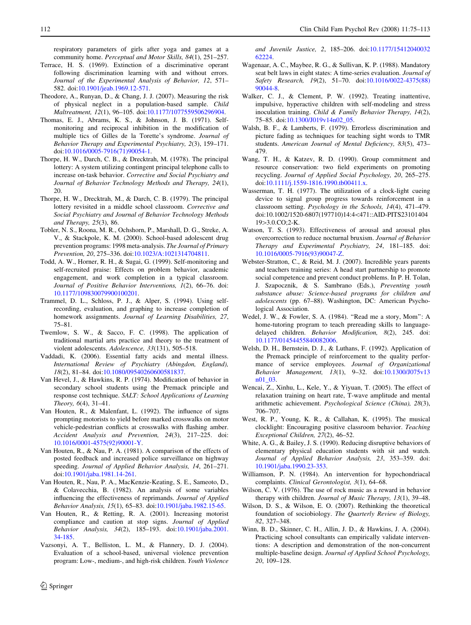<span id="page-37-0"></span>respiratory parameters of girls after yoga and games at a community home. Perceptual and Motor Skills, 84(1), 251–257.

- Terrace, H. S. (1969). Extinction of a discriminative operant following discrimination learning with and without errors. Journal of the Experimental Analysis of Behavior, 12, 571– 582. doi:[10.1901/jeab.1969.12-571](http://dx.doi.org/10.1901/jeab.1969.12-571).
- Theodore, A., Runyan, D., & Chang, J. J. (2007). Measuring the risk of physical neglect in a population-based sample. Child Maltreatment, 12(1), 96–105. doi[:10.1177/1077559506296904.](http://dx.doi.org/10.1177/1077559506296904)
- Thomas, E. J., Abrams, K. S., & Johnson, J. B. (1971). Selfmonitoring and reciprocal inhibition in the modification of multiple tics of Gilles de la Torette's syndrome. Journal of Behavior Therapy and Experimental Psychiatry, 2(3), 159–171. doi[:10.1016/0005-7916\(71\)90054-1](http://dx.doi.org/10.1016/0005-7916(71)90054-1).
- Thorpe, H. W., Darch, C. B., & Drecktrah, M. (1978). The principal lottery: A system utilizing contingent principal telephone calls to increase on-task behavior. Corrective and Social Psychiatry and Journal of Behavior Technology Methods and Therapy, 24(1), 20.
- Thorpe, H. W., Drecktrah, M., & Darch, C. B. (1979). The principal lottery revisited in a middle school classroom. Corrective and Social Psychiatry and Journal of Behavior Technology Methods and Therapy, 25(3), 86.
- Tobler, N. S., Roona, M. R., Ochshorn, P., Marshall, D. G., Streke, A. V., & Stackpole, K. M. (2000). School-based adolescent drug prevention programs: 1998 meta-analysis. The Journal of Primary Prevention, 20, 275–336. doi[:10.1023/A:1021314704811.](http://dx.doi.org/10.1023/A:1021314704811)
- Todd, A. W., Horner, R. H., & Sugai, G. (1999). Self-monitoring and self-recruited praise: Effects on problem behavior, academic engagement, and work completion in a typical classroom. Journal of Positive Behavior Interventions, 1(2), 66–76. doi: [10.1177/109830079900100201](http://dx.doi.org/10.1177/109830079900100201).
- Trammel, D. L., Schloss, P. J., & Alper, S. (1994). Using selfrecording, evaluation, and graphing to increase completion of homework assignments. Journal of Learning Disabilities, 27, 75–81.
- Twemlow, S. W., & Sacco, F. C. (1998). The application of traditional martial arts practice and theory to the treatment of violent adolescents. Adolescence, 33(131), 505–518.
- Vaddadi, K. (2006). Essential fatty acids and mental illness. International Review of Psychiatry (Abingdon, England), 18(2), 81–84. doi:[10.1080/09540260600581837.](http://dx.doi.org/10.1080/09540260600581837)
- Van Hevel, J., & Hawkins, R. P. (1974). Modification of behavior in secondary school students using the Premack principle and response cost technique. SALT: School Applications of Learning Theory, 6(4), 31–41.
- Van Houten, R., & Malenfant, L. (1992). The influence of signs prompting motorists to yield before marked crosswalks on motor vehicle-pedestrian conflicts at crosswalks with flashing amber. Accident Analysis and Prevention, 24(3), 217–225. doi: [10.1016/0001-4575\(92\)90001-Y.](http://dx.doi.org/10.1016/0001-4575(92)90001-Y)
- Van Houten, R., & Nau, P. A. (1981). A comparison of the effects of posted feedback and increased police surveillance on highway speeding. Journal of Applied Behavior Analysis, 14, 261–271. doi[:10.1901/jaba.1981.14-261.](http://dx.doi.org/10.1901/jaba.1981.14-261)
- Van Houten, R., Nau, P. A., MacKenzie-Keating, S. E., Sameoto, D., & Colavecchia, B. (1982). An analysis of some variables influencing the effectiveness of reprimands. Journal of Applied Behavior Analysis, 15(1), 65–83. doi[:10.1901/jaba.1982.15-65](http://dx.doi.org/10.1901/jaba.1982.15-65).
- Van Houten, R., & Retting, R. A. (2001). Increasing motorist compliance and caution at stop signs. Journal of Applied Behavior Analysis, 34(2), 185–193. doi:[10.1901/jaba.2001.](http://dx.doi.org/10.1901/jaba.2001.34-185) [34-185](http://dx.doi.org/10.1901/jaba.2001.34-185).
- Vazsonyi, A. T., Belliston, L. M., & Flannery, D. J. (2004). Evaluation of a school-based, universal violence prevention program: Low-, medium-, and high-risk children. Youth Violence

and Juvenile Justice, 2, 185–206. doi:[10.1177/15412040032](http://dx.doi.org/10.1177/1541204003262224) [62224](http://dx.doi.org/10.1177/1541204003262224).

- Wagenaar, A. C., Maybee, R. G., & Sullivan, K. P. (1988). Mandatory seat belt laws in eight states: A time-series evaluation. Journal of Safety Research, 19(2), 51–70. doi:[10.1016/0022-4375\(88\)](http://dx.doi.org/10.1016/0022-4375(88)90044-8) [90044-8](http://dx.doi.org/10.1016/0022-4375(88)90044-8).
- Walker, C. J., & Clement, P. W. (1992). Treating inattentive, impulsive, hyperactive children with self-modeling and stress inoculation training. Child & Family Behavior Therapy, 14(2), 75–85. doi[:10.1300/J019v14n02\\_05.](http://dx.doi.org/10.1300/J019v14n02_05)
- Walsh, B. F., & Lamberts, F. (1979). Errorless discrimination and picture fading as techniques for teaching sight words to TMR students. American Journal of Mental Deficiency, 83(5), 473– 479.
- Wang, T. H., & Katzev, R. D. (1990). Group commitment and resource conservation: two field experiments on promoting recycling. Journal of Applied Social Psychology, 20, 265–275. doi[:10.1111/j.1559-1816.1990.tb00411.x.](http://dx.doi.org/10.1111/j.1559-1816.1990.tb00411.x)
- Wasserman, T. H. (1977). The utilization of a clock-light cueing device to signal group progress towards reinforcement in a classroom setting. Psychology in the Schools, 14(4), 471–479. doi:10.1002/1520-6807(197710)14:4\471::AID-PITS23101404 19>3.0.CO;2-K.
- Watson, T. S. (1993). Effectiveness of arousal and arousal plus overcorrection to reduce nocturnal bruxism. Journal of Behavior Therapy and Experimental Psychiatry, 24, 181–185. doi: [10.1016/0005-7916\(93\)90047-Z](http://dx.doi.org/10.1016/0005-7916(93)90047-Z).
- Webster-Stratton, C., & Reid, M. J. (2007). Incredible years parents and teachers training series: A head start partnership to promote social competence and prevent conduct problems. In P. H. Tolan, J. Szapocznik, & S. Sambrano (Eds.), Preventing youth substance abuse: Science-based programs for children and adolescents (pp. 67–88). Washington, DC: American Psychological Association.
- Wedel, J. W., & Fowler, S. A. (1984). "Read me a story, Mom": A home-tutoring program to teach prereading skills to languagedelayed children. Behavior Modification, 8(2), 245. doi: [10.1177/01454455840082006](http://dx.doi.org/10.1177/01454455840082006).
- Welsh, D. H., Bernstein, D. J., & Luthans, F. (1992). Application of the Premack principle of reinforcement to the quality performance of service employees. Journal of Organizational Behavior Management, 13(1), 9–32. doi:[10.1300/J075v13](http://dx.doi.org/10.1300/J075v13n01_03) [n01\\_03.](http://dx.doi.org/10.1300/J075v13n01_03)
- Wencai, Z., Xinhu, L., Kele, Y., & Yiyuan, T. (2005). The effect of relaxation training on heart rate, T-wave amplitude and mental arithmetic achievement. Psychological Science (China), 28(3), 706–707.
- West, R. P., Young, K. R., & Callahan, K. (1995). The musical clocklight: Encouraging positive classroom behavior. Teaching Exceptional Children, 27(2), 46–52.
- White, A. G., & Bailey, J. S. (1990). Reducing disruptive behaviors of elementary physical education students with sit and watch. Journal of Applied Behavior Analysis, 23, 353–359. doi: [10.1901/jaba.1990.23-353](http://dx.doi.org/10.1901/jaba.1990.23-353).
- Williamson, P. N. (1984). An intervention for hypochondriacal complaints. Clinical Gerontologist, 3(1), 64–68.
- Wilson, C. V. (1976). The use of rock music as a reward in behavior therapy with children. Journal of Music Therapy, 13(1), 39–48.
- Wilson, D. S., & Wilson, E. O. (2007). Rethinking the theoretical foundation of sociobiology. The Quarterly Review of Biology, 82, 327–348.
- Winn, B. D., Skinner, C. H., Allin, J. D., & Hawkins, J. A. (2004). Practicing school consultants can empirically validate interventions: A description and demonstration of the non-concurrent multiple-baseline design. Journal of Applied School Psychology, 20, 109–128.